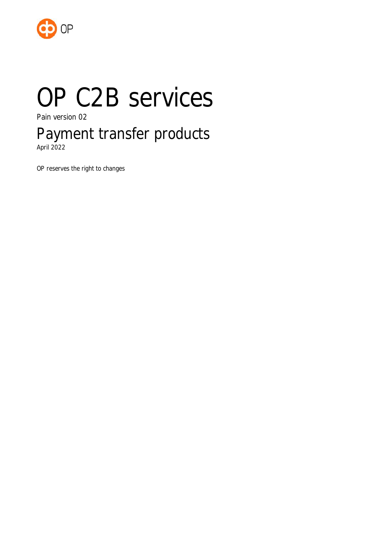

# OP C2B services

Pain version 02

# Payment transfer products

April 2022

OP reserves the right to changes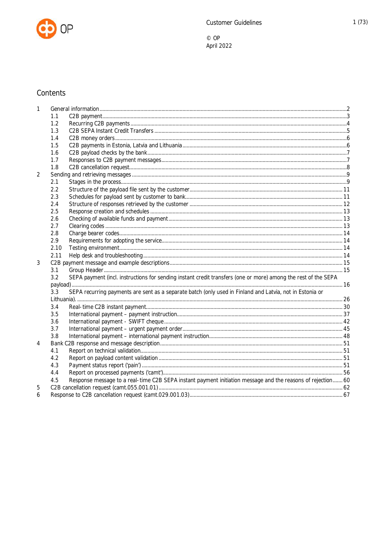

# Contents

| 1              |      |                                                                                                                |  |
|----------------|------|----------------------------------------------------------------------------------------------------------------|--|
|                | 1.1  |                                                                                                                |  |
|                | 1.2  |                                                                                                                |  |
|                | 1.3  |                                                                                                                |  |
|                | 1.4  |                                                                                                                |  |
|                | 1.5  |                                                                                                                |  |
|                | 1.6  |                                                                                                                |  |
|                | 1.7  |                                                                                                                |  |
|                | 1.8  |                                                                                                                |  |
| $\overline{2}$ |      |                                                                                                                |  |
|                | 2.1  |                                                                                                                |  |
|                | 2.2  |                                                                                                                |  |
|                | 2.3  |                                                                                                                |  |
|                | 2.4  |                                                                                                                |  |
|                | 2.5  |                                                                                                                |  |
|                | 2.6  |                                                                                                                |  |
|                | 2.7  |                                                                                                                |  |
|                | 2.8  |                                                                                                                |  |
|                | 2.9  |                                                                                                                |  |
|                | 2.10 |                                                                                                                |  |
|                | 2.11 |                                                                                                                |  |
| 3              |      |                                                                                                                |  |
|                | 3.1  |                                                                                                                |  |
|                | 3.2  | SEPA payment (incl. instructions for sending instant credit transfers (one or more) among the rest of the SEPA |  |
|                |      |                                                                                                                |  |
|                | 3.3  | SEPA recurring payments are sent as a separate batch (only used in Finland and Latvia, not in Estonia or       |  |
|                |      |                                                                                                                |  |
|                | 3.4  |                                                                                                                |  |
|                | 3.5  |                                                                                                                |  |
|                | 3.6  |                                                                                                                |  |
|                | 3.7  |                                                                                                                |  |
|                | 3.8  |                                                                                                                |  |
| 4              |      |                                                                                                                |  |
|                | 4.1  |                                                                                                                |  |
|                | 4.2  |                                                                                                                |  |
|                | 4.3  |                                                                                                                |  |
|                | 4.4  |                                                                                                                |  |
|                | 4.5  | Response message to a real-time C2B SEPA instant payment initiation message and the reasons of rejection 60    |  |
| 5              |      |                                                                                                                |  |
| 6              |      |                                                                                                                |  |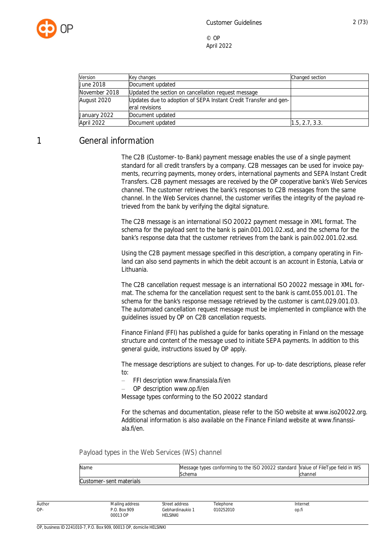

| Version          | Key changes                                                                        | Changed section |
|------------------|------------------------------------------------------------------------------------|-----------------|
| <b>June 2018</b> | Document updated                                                                   |                 |
| November 2018    | Updated the section on cancellation request message                                |                 |
| August 2020      | Updates due to adoption of SEPA Instant Credit Transfer and gen-<br>eral revisions |                 |
| January 2022     | Document updated                                                                   |                 |
| April 2022       | Document updated                                                                   | 1.5, 2.7, 3.3.  |

# <span id="page-2-0"></span>1 General information

The C2B (Customer-to-Bank) payment message enables the use of a single payment standard for all credit transfers by a company. C2B messages can be used for invoice payments, recurring payments, money orders, international payments and SEPA Instant Credit Transfers. C2B payment messages are received by the OP cooperative bank's Web Services channel. The customer retrieves the bank's responses to C2B messages from the same channel. In the Web Services channel, the customer verifies the integrity of the payload retrieved from the bank by verifying the digital signature.

The C2B message is an international ISO 20022 payment message in XML format. The schema for the payload sent to the bank is pain.001.001.02.xsd, and the schema for the bank's response data that the customer retrieves from the bank is pain.002.001.02.xsd.

Using the C2B payment message specified in this description, a company operating in Finland can also send payments in which the debit account is an account in Estonia, Latvia or Lithuania.

The C2B cancellation request message is an international ISO 20022 message in XML format. The schema for the cancellation request sent to the bank is camt.055.001.01. The schema for the bank's response message retrieved by the customer is camt.029.001.03. The automated cancellation request message must be implemented in compliance with the guidelines issued by OP on C2B cancellation requests.

Finance Finland (FFI) has published a guide for banks operating in Finland on the message structure and content of the message used to initiate SEPA payments. In addition to this general guide, instructions issued by OP apply.

The message descriptions are subject to changes. For up-to-date descriptions, please refer to:

- FFI description www.finanssiala.fi/en
- OP description www.op.fi/en

Message types conforming to the ISO 20022 standard

For the schemas and documentation, please refer to the ISO website at www.iso20022.org. Additional information is also available on the Finance Finland website at www.finanssiala.fi/en.

Payload types in the Web Services (WS) channel

| Name                    | Message types conforming to the ISO 20022 standard Value of FileType field in WS |         |
|-------------------------|----------------------------------------------------------------------------------|---------|
|                         | Schema                                                                           | channel |
| Customer-sent materials |                                                                                  |         |

Author OP-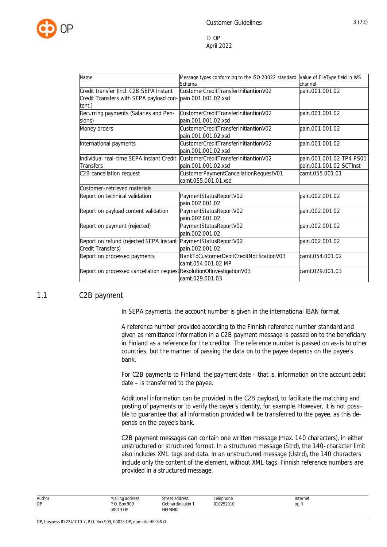

| Name                                                                                                            | Message types conforming to the ISO 20022 standard<br>Schema   | Value of FileType field in WS<br>channel            |
|-----------------------------------------------------------------------------------------------------------------|----------------------------------------------------------------|-----------------------------------------------------|
| Credit transfer (incl. C2B SEPA Instant<br>Credit Transfers with SEPA payload con-pain.001.001.02.xsd<br>tent.) | CustomerCreditTransferInitiantionV02                           | pain.001.001.02                                     |
| Recurring payments (Salaries and Pen-<br>sions)                                                                 | CustomerCreditTransferInitiantionV02<br>pain.001.001.02.xsd    | pain.001.001.02                                     |
| Money orders                                                                                                    | CustomerCreditTransferInitiantionV02<br>pain.001.001.02.xsd    | pain.001.001.02                                     |
| International payments                                                                                          | CustomerCreditTransferInitiantionV02<br>pain.001.001.02.xsd    | pain.001.001.02                                     |
| Individual real-time SEPA Instant Credit<br><b>Transfers</b>                                                    | CustomerCreditTransferInitiantionV02<br>pain.001.001.02.xsd    | pain.001.001.02 TP4 PS01<br>pain.001.001.02 SCTInst |
| C2B cancellation request                                                                                        | CustomerPaymentCancellationRequestV01<br>camt.055.001.01.xsd   | camt.055.001.01                                     |
| Customer-retrieved materials                                                                                    |                                                                |                                                     |
| Report on technical validation                                                                                  | PaymentStatusReportV02<br>pain.002.001.02                      | pain.002.001.02                                     |
| Report on payload content validation                                                                            | PaymentStatusReportV02<br>pain.002.001.02                      | pain.002.001.02                                     |
| Report on payment (rejected)                                                                                    | PaymentStatusReportV02<br>pain.002.001.02                      | pain.002.001.02                                     |
| Report on refund (rejected SEPA Instant<br>Credit Transfers)                                                    | PaymentStatusReportV02<br>pain.002.001.02                      | pain.002.001.02                                     |
| Report on processed payments                                                                                    | BankToCustomerDebitCreditNotificationV03<br>camt.054.001.02 MP | camt.054.001.02                                     |
| Report on processed cancellation request ResolutionOfInvestigationV03                                           | camt.029.001.03                                                | camt.029.001.03                                     |

#### <span id="page-3-0"></span>1.1 C2B payment

In SEPA payments, the account number is given in the international IBAN format.

A reference number provided according to the Finnish reference number standard and given as remittance information in a C2B payment message is passed on to the beneficiary in Finland as a reference for the creditor. The reference number is passed on as-is to other countries, but the manner of passing the data on to the payee depends on the payee's bank.

For C2B payments to Finland, the payment date – that is, information on the account debit date – is transferred to the payee.

Additional information can be provided in the C2B payload, to facilitate the matching and posting of payments or to verify the payer's identity, for example. However, it is not possible to guarantee that all information provided will be transferred to the payee, as this depends on the payee's bank.

C2B payment messages can contain one written message (max. 140 characters), in either unstructured or structured format. In a structured message (Strd), the 140-character limit also includes XML tags and data. In an unstructured message (Ustrd), the 140 characters include only the content of the element, without XML tags. Finnish reference numbers are provided in a structured message.

> **Telephone** 010252010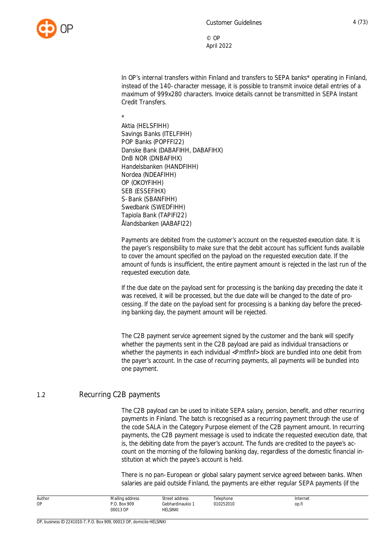

In OP's internal transfers within Finland and transfers to SEPA banks\* operating in Finland, instead of the 140-character message, it is possible to transmit invoice detail entries of a maximum of 999x280 characters. Invoice details cannot be transmitted in SEPA Instant Credit Transfers.

\*

Aktia (HELSFIHH) Savings Banks (ITELFIHH) POP Banks (POPFFI22) Danske Bank (DABAFIHH, DABAFIHX) DnB NOR (DNBAFIHX) Handelsbanken (HANDFIHH) Nordea (NDEAFIHH) OP (OKOYFIHH) SEB (ESSEFIHX) S-Bank (SBANFIHH) Swedbank (SWEDFIHH) Tapiola Bank (TAPIFI22) Ålandsbanken (AABAFI22)

Payments are debited from the customer's account on the requested execution date. It is the payer's responsibility to make sure that the debit account has sufficient funds available to cover the amount specified on the payload on the requested execution date. If the amount of funds is insufficient, the entire payment amount is rejected in the last run of the requested execution date.

If the due date on the payload sent for processing is the banking day preceding the date it was received, it will be processed, but the due date will be changed to the date of processing. If the date on the payload sent for processing is a banking day before the preceding banking day, the payment amount will be rejected.

The C2B payment service agreement signed by the customer and the bank will specify whether the payments sent in the C2B payload are paid as individual transactions or whether the payments in each individual <PmtfInf> block are bundled into one debit from the payer's account. In the case of recurring payments, all payments will be bundled into one payment.

#### <span id="page-4-0"></span>1.2 Recurring C2B payments

The C2B payload can be used to initiate SEPA salary, pension, benefit, and other recurring payments in Finland. The batch is recognised as a recurring payment through the use of the code SALA in the Category Purpose element of the C2B payment amount. In recurring payments, the C2B payment message is used to indicate the requested execution date, that is, the debiting date from the payer's account. The funds are credited to the payee's account on the morning of the following banking day, regardless of the domestic financial institution at which the payee's account is held.

There is no pan-European or global salary payment service agreed between banks. When salaries are paid outside Finland, the payments are either regular SEPA payments (if the

| Author<br><b>OP</b> | Mailing address<br>P.O. Box 909<br>00013 OP<br>. | Street address<br>Gebhardinaukio 1<br>HELSINKI<br>the contract of the contract of the contract of | elephone<br>010252010 | Internet<br>op.fi |
|---------------------|--------------------------------------------------|---------------------------------------------------------------------------------------------------|-----------------------|-------------------|
|---------------------|--------------------------------------------------|---------------------------------------------------------------------------------------------------|-----------------------|-------------------|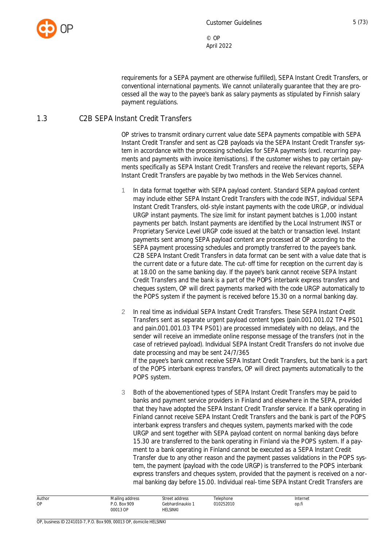

requirements for a SEPA payment are otherwise fulfilled), SEPA Instant Credit Transfers, or conventional international payments. We cannot unilaterally guarantee that they are processed all the way to the payee's bank as salary payments as stipulated by Finnish salary payment regulations.

#### <span id="page-5-0"></span>1.3 C2B SEPA Instant Credit Transfers

OP strives to transmit ordinary current value date SEPA payments compatible with SEPA Instant Credit Transfer and sent as C2B payloads via the SEPA Instant Credit Transfer system in accordance with the processing schedules for SEPA payments (excl. recurring payments and payments with invoice itemisations). If the customer wishes to pay certain payments specifically as SEPA Instant Credit Transfers and receive the relevant reports, SEPA Instant Credit Transfers are payable by two methods in the Web Services channel.

- 1 In data format together with SEPA payload content. Standard SEPA payload content may include either SEPA Instant Credit Transfers with the code INST, individual SEPA Instant Credit Transfers, old-style instant payments with the code URGP, or individual URGP instant payments. The size limit for instant payment batches is 1,000 instant payments per batch. Instant payments are identified by the Local Instrument INST or Proprietary Service Level URGP code issued at the batch or transaction level. Instant payments sent among SEPA payload content are processed at OP according to the SEPA payment processing schedules and promptly transferred to the payee's bank. C2B SEPA Instant Credit Transfers in data format can be sent with a value date that is the current date or a future date. The cut-off time for reception on the current day is at 18.00 on the same banking day. If the payee's bank cannot receive SEPA Instant Credit Transfers and the bank is a part of the POPS interbank express transfers and cheques system, OP will direct payments marked with the code URGP automatically to the POPS system if the payment is received before 15.30 on a normal banking day.
- 2 In real time as individual SEPA Instant Credit Transfers. These SEPA Instant Credit Transfers sent as separate urgent payload content types (pain.001.001.02 TP4 PS01 and pain.001.001.03 TP4 PS01) are processed immediately with no delays, and the sender will receive an immediate online response message of the transfers (not in the case of retrieved payload). Individual SEPA Instant Credit Transfers do not involve due date processing and may be sent 24/7/365 If the payee's bank cannot receive SEPA Instant Credit Transfers, but the bank is a part of the POPS interbank express transfers, OP will direct payments automatically to the POPS system.
- 3 Both of the abovementioned types of SEPA Instant Credit Transfers may be paid to [banks and payment service providers](https://www.ebaclearing.eu/services/instant-payments/participants/) in Finland and elsewhere in the SEPA, provided that they have adopted the SEPA Instant Credit Transfer service. If a bank operating in Finland cannot receive SEPA Instant Credit Transfers and the bank is part of the POPS interbank express transfers and cheques system, payments marked with the code URGP and sent together with SEPA payload content on normal banking days before 15.30 are transferred to the bank operating in Finland via the POPS system. If a payment to a bank operating in Finland cannot be executed as a SEPA Instant Credit Transfer due to any other reason and the payment passes validations in the POPS system, the payment (payload with the code URGP) is transferred to the POPS interbank express transfers and cheques system, provided that the payment is received on a normal banking day before 15.00. Individual real-time SEPA Instant Credit Transfers are

| Author<br>OP | Mailing address<br>Box 909<br>00013 OP<br>. | Street address<br>Gebhardinaukio<br>HELSINKI<br>the contract of the contract of the contract of | elephone<br>010252010 | Internet<br>op.fi |  |
|--------------|---------------------------------------------|-------------------------------------------------------------------------------------------------|-----------------------|-------------------|--|
|--------------|---------------------------------------------|-------------------------------------------------------------------------------------------------|-----------------------|-------------------|--|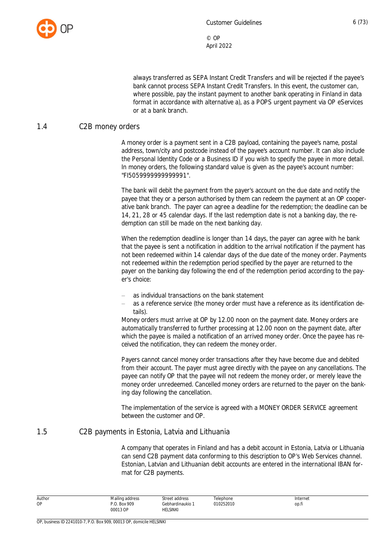

always transferred as SEPA Instant Credit Transfers and will be rejected if the payee's bank cannot process SEPA Instant Credit Transfers. In this event, the customer can, where possible, pay the instant payment to another bank operating in Finland in data format in accordance with alternative a), as a POPS urgent payment via OP eServices or at a bank branch.

#### <span id="page-6-0"></span>1.4 C2B money orders

A money order is a payment sent in a C2B payload, containing the payee's name, postal address, town/city and postcode instead of the payee's account number. It can also include the Personal Identity Code or a Business ID if you wish to specify the payee in more detail. In money orders, the following standard value is given as the payee's account number: "FI5059999999999991".

The bank will debit the payment from the payer's account on the due date and notify the payee that they or a person authorised by them can redeem the payment at an OP cooperative bank branch. The payer can agree a deadline for the redemption; the deadline can be 14, 21, 28 or 45 calendar days. If the last redemption date is not a banking day, the redemption can still be made on the next banking day.

When the redemption deadline is longer than 14 days, the payer can agree with he bank that the payee is sent a notification in addition to the arrival notification if the payment has not been redeemed within 14 calendar days of the due date of the money order. Payments not redeemed within the redemption period specified by the payer are returned to the payer on the banking day following the end of the redemption period according to the payer's choice:

- as individual transactions on the bank statement
- as a reference service (the money order must have a reference as its identification details).

Money orders must arrive at OP by 12.00 noon on the payment date. Money orders are automatically transferred to further processing at 12.00 noon on the payment date, after which the payee is mailed a notification of an arrived money order. Once the payee has received the notification, they can redeem the money order.

Payers cannot cancel money order transactions after they have become due and debited from their account. The payer must agree directly with the payee on any cancellations. The payee can notify OP that the payee will not redeem the money order, or merely leave the money order unredeemed. Cancelled money orders are returned to the payer on the banking day following the cancellation.

The implementation of the service is agreed with a MONEY ORDER SERVICE agreement between the customer and OP.

#### <span id="page-6-1"></span>1.5 C2B payments in Estonia, Latvia and Lithuania

A company that operates in Finland and has a debit account in Estonia, Latvia or Lithuania can send C2B payment data conforming to this description to OP's Web Services channel. Estonian, Latvian and Lithuanian debit accounts are entered in the international IBAN format for C2B payments.

| Author    | Mailing address                   | Street address | Telephone                                                                                    | Internet |  |
|-----------|-----------------------------------|----------------|----------------------------------------------------------------------------------------------|----------|--|
| <b>OP</b> | <b>Box 909</b><br>$\cdot$ $\cdot$ | Gebhardinaukio | the contract of the contract of the contract of the contract of the contract of<br>010252010 | op.fi    |  |
|           | 00013 OP<br>.                     | HELSINKI       |                                                                                              |          |  |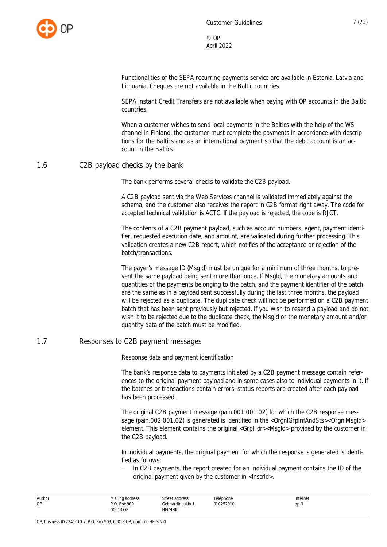

Functionalities of the SEPA recurring payments service are available in Estonia, Latvia and Lithuania. Cheques are not available in the Baltic countries.

SEPA Instant Credit Transfers are not available when paying with OP accounts in the Baltic countries.

When a customer wishes to send local payments in the Baltics with the help of the WS channel in Finland, the customer must complete the payments in accordance with descriptions for the Baltics and as an international payment so that the debit account is an account in the Baltics.

#### <span id="page-7-0"></span>1.6 C2B payload checks by the bank

The bank performs several checks to validate the C2B payload.

A C2B payload sent via the Web Services channel is validated immediately against the schema, and the customer also receives the report in C2B format right away. The code for accepted technical validation is ACTC. If the payload is rejected, the code is RJCT.

The contents of a C2B payment payload, such as account numbers, agent, payment identifier, requested execution date, and amount, are validated during further processing. This validation creates a new C2B report, which notifies of the acceptance or rejection of the batch/transactions.

The payer's message ID (MsgId) must be unique for a minimum of three months, to prevent the same payload being sent more than once. If MsgId, the monetary amounts and quantities of the payments belonging to the batch, and the payment identifier of the batch are the same as in a payload sent successfully during the last three months, the payload will be rejected as a duplicate. The duplicate check will not be performed on a C2B payment batch that has been sent previously but rejected. If you wish to resend a payload and do not wish it to be rejected due to the duplicate check, the MsgId or the monetary amount and/or quantity data of the batch must be modified.

#### <span id="page-7-1"></span>1.7 Responses to C2B payment messages

Response data and payment identification

The bank's response data to payments initiated by a C2B payment message contain references to the original payment payload and in some cases also to individual payments in it. If the batches or transactions contain errors, status reports are created after each payload has been processed.

The original C2B payment message (pain.001.001.02) for which the C2B response message (pain.002.001.02) is generated is identified in the <OrgnlGrpInfAndSts><OrgnlMsgId> element. This element contains the original <GrpHdr><Msgld> provided by the customer in the C2B payload.

In individual payments, the original payment for which the response is generated is identified as follows:

 In C2B payments, the report created for an individual payment contains the ID of the original payment given by the customer in <InstrId>.

| Author | Mailing address | Street address   | Telephone | Internet |  |
|--------|-----------------|------------------|-----------|----------|--|
| ОP     | P.O. Box 909    | Gebhardinaukio 1 | 010252010 | op.fi    |  |
|        | 00013 OP        | HELSINKI         |           |          |  |
|        |                 |                  |           |          |  |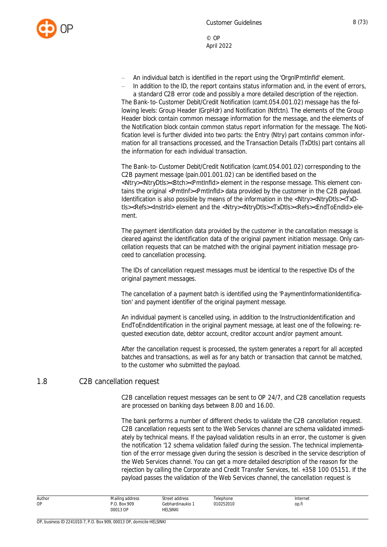

- An individual batch is identified in the report using the 'OrgnlPmtInfId' element.
- In addition to the ID, the report contains status information and, in the event of errors,

a standard C2B error code and possibly a more detailed description of the rejection. The Bank-to-Customer Debit/Credit Notification (camt.054.001.02) message has the following levels: Group Header (GrpHdr) and Notification (Ntfctn). The elements of the Group Header block contain common message information for the message, and the elements of the Notification block contain common status report information for the message. The Notification level is further divided into two parts: the Entry (Ntry) part contains common information for all transactions processed, and the Transaction Details (TxDtls) part contains all the information for each individual transaction.

The Bank-to-Customer Debit/Credit Notification (camt.054.001.02) corresponding to the C2B payment message (pain.001.001.02) can be identified based on the <Ntry><NtryDtls><Btch><PmtInfId> element in the response message. This element contains the original <Pmtlnf><Pmtlnfld> data provided by the customer in the C2B payload. Identification is also possible by means of the information in the <Ntry><NtryDtls><TxDtls><Refs><InstrId> element and the <Ntry><NtryDtls><TxDtls><Refs><EndToEndId> element.

The payment identification data provided by the customer in the cancellation message is cleared against the identification data of the original payment initiation message. Only cancellation requests that can be matched with the original payment initiation message proceed to cancellation processing.

The IDs of cancellation request messages must be identical to the respective IDs of the original payment messages.

The cancellation of a payment batch is identified using the 'PaymentInformationIdentification' and payment identifier of the original payment message.

An individual payment is cancelled using, in addition to the InstructionIdentification and EndToEndIdentification in the original payment message, at least one of the following: requested execution date, debtor account, creditor account and/or payment amount.

After the cancellation request is processed, the system generates a report for all accepted batches and transactions, as well as for any batch or transaction that cannot be matched, to the customer who submitted the payload.

#### <span id="page-8-0"></span>1.8 C2B cancellation request

C2B cancellation request messages can be sent to OP 24/7, and C2B cancellation requests are processed on banking days between 8.00 and 16.00.

The bank performs a number of different checks to validate the C2B cancellation request. C2B cancellation requests sent to the Web Services channel are schema validated immediately by technical means. If the payload validation results in an error, the customer is given the notification '12 schema validation failed' during the session. The technical implementation of the error message given during the session is described in the service description of the Web Services channel. You can get a more detailed description of the reason for the rejection by calling the Corporate and Credit Transfer Services, tel. +358 100 05151. If the payload passes the validation of the Web Services channel, the cancellation request is

| Author | Mailing address<br>the contract of the contract of | Street address<br>. | Telephone | Internet |
|--------|----------------------------------------------------|---------------------|-----------|----------|
| ОP     | Box 909<br>n n                                     | Gebhardinaukio 1    | 010252010 | op.fi    |
|        | 00013 OP                                           | HELSINKI            |           |          |
|        |                                                    |                     |           |          |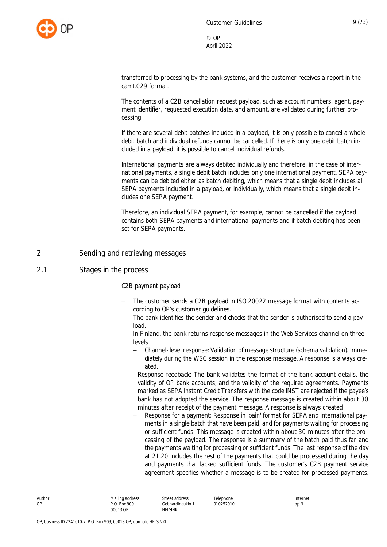

transferred to processing by the bank systems, and the customer receives a report in the camt.029 format.

The contents of a C2B cancellation request payload, such as account numbers, agent, payment identifier, requested execution date, and amount, are validated during further processing.

If there are several debit batches included in a payload, it is only possible to cancel a whole debit batch and individual refunds cannot be cancelled. If there is only one debit batch included in a payload, it is possible to cancel individual refunds.

International payments are always debited individually and therefore, in the case of international payments, a single debit batch includes only one international payment. SEPA payments can be debited either as batch debiting, which means that a single debit includes all SEPA payments included in a payload, or individually, which means that a single debit includes one SEPA payment.

Therefore, an individual SEPA payment, for example, cannot be cancelled if the payload contains both SEPA payments and international payments and if batch debiting has been set for SEPA payments.

#### <span id="page-9-0"></span>2 Sending and retrieving messages

#### <span id="page-9-1"></span>2.1 Stages in the process

#### C2B payment payload

- The customer sends a C2B payload in ISO 20022 message format with contents according to OP's customer guidelines.
- The bank identifies the sender and checks that the sender is authorised to send a payload.
- In Finland, the bank returns response messages in the Web Services channel on three levels
	- Channel-level response: Validation of message structure (schema validation). Immediately during the WSC session in the response message. A response is always created.
	- Response feedback: The bank validates the format of the bank account details, the validity of OP bank accounts, and the validity of the required agreements. Payments marked as SEPA Instant Credit Transfers with the code INST are rejected if the payee's bank has not adopted the service. The response message is created within about 30 minutes after receipt of the payment message. A response is always created
		- Response for a payment: Response in 'pain' format for SEPA and international payments in a single batch that have been paid, and for payments waiting for processing or sufficient funds. This message is created within about 30 minutes after the processing of the payload. The response is a summary of the batch paid thus far and the payments waiting for processing or sufficient funds. The last response of the day at 21.20 includes the rest of the payments that could be processed during the day and payments that lacked sufficient funds. The customer's C2B payment service agreement specifies whether a message is to be created for processed payments.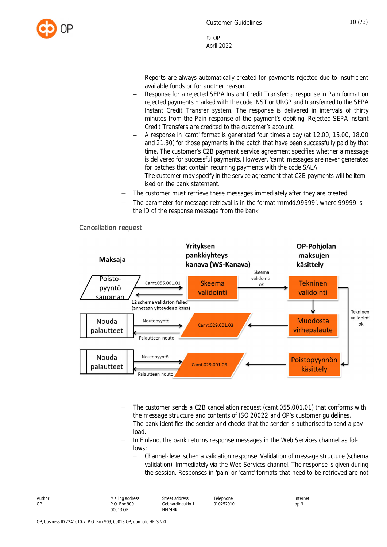

Reports are always automatically created for payments rejected due to insufficient available funds or for another reason.

- Response for a rejected SEPA Instant Credit Transfer: a response in Pain format on rejected payments marked with the code INST or URGP and transferred to the SEPA Instant Credit Transfer system. The response is delivered in intervals of thirty minutes from the Pain response of the payment's debiting. Rejected SEPA Instant Credit Transfers are credited to the customer's account.
- A response in 'camt' format is generated four times a day (at 12.00, 15.00, 18.00 and 21.30) for those payments in the batch that have been successfully paid by that time. The customer's C2B payment service agreement specifies whether a message is delivered for successful payments. However, 'camt' messages are never generated for batches that contain recurring payments with the code SALA.
- The customer may specify in the service agreement that C2B payments will be itemised on the bank statement.
- The customer must retrieve these messages immediately after they are created.
- The parameter for message retrieval is in the format 'mmdd.99999', where 99999 is the ID of the response message from the bank.



#### Cancellation request

- The customer sends a C2B cancellation request (camt.055.001.01) that conforms with the message structure and contents of ISO 20022 and OP's customer guidelines.
- The bank identifies the sender and checks that the sender is authorised to send a payload.
- In Finland, the bank returns response messages in the Web Services channel as follows:
	- Channel-level schema validation response: Validation of message structure (schema validation). Immediately via the Web Services channel. The response is given during the session. Responses in 'pain' or 'camt' formats that need to be retrieved are not

| Author    | Mailing address          | Street address                    | Telephone      | Internet |
|-----------|--------------------------|-----------------------------------|----------------|----------|
| <b>OP</b> | P.O. Box 909<br>00013 OP | Gebhardinaukio<br><b>HELSINKI</b> | 010252010<br>. | op.fi    |
|           |                          |                                   |                |          |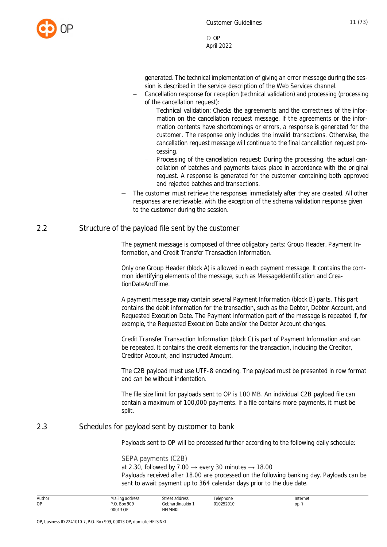

generated. The technical implementation of giving an error message during the session is described in the service description of the Web Services channel.

- Cancellation response for reception (technical validation) and processing (processing of the cancellation request):
	- Technical validation: Checks the agreements and the correctness of the information on the cancellation request message. If the agreements or the information contents have shortcomings or errors, a response is generated for the customer. The response only includes the invalid transactions. Otherwise, the cancellation request message will continue to the final cancellation request processing.
	- Processing of the cancellation request: During the processing, the actual cancellation of batches and payments takes place in accordance with the original request. A response is generated for the customer containing both approved and rejected batches and transactions.
- The customer must retrieve the responses immediately after they are created. All other responses are retrievable, with the exception of the schema validation response given to the customer during the session.

#### <span id="page-11-0"></span>2.2 Structure of the payload file sent by the customer

The payment message is composed of three obligatory parts: Group Header, Payment Information, and Credit Transfer Transaction Information.

Only one Group Header (block A) is allowed in each payment message. It contains the common identifying elements of the message, such as MessageIdentification and CreationDateAndTime.

A payment message may contain several Payment Information (block B) parts. This part contains the debit information for the transaction, such as the Debtor, Debtor Account, and Requested Execution Date. The Payment Information part of the message is repeated if, for example, the Requested Execution Date and/or the Debtor Account changes.

Credit Transfer Transaction Information (block C) is part of Payment Information and can be repeated. It contains the credit elements for the transaction, including the Creditor, Creditor Account, and Instructed Amount.

The C2B payload must use UTF-8 encoding. The payload must be presented in row format and can be without indentation.

The file size limit for payloads sent to OP is 100 MB. An individual C2B payload file can contain a maximum of 100,000 payments. If a file contains more payments, it must be split.

#### <span id="page-11-1"></span>2.3 Schedules for payload sent by customer to bank

Payloads sent to OP will be processed further according to the following daily schedule:

#### SEPA payments (C2B)

at 2.30, followed by 7.00  $\rightarrow$  every 30 minutes  $\rightarrow$  18.00 Payloads received after 18.00 are processed on the following banking day. Payloads can be sent to await payment up to 364 calendar days prior to the due date.

| Author | Mailing address                   | Street address                                                                             | Telephone | Internet |  |
|--------|-----------------------------------|--------------------------------------------------------------------------------------------|-----------|----------|--|
| OP     | . Box 909<br>n n<br>00013 OP<br>. | Gebhardinaukio <sup>1</sup><br>helsinki<br>the contract of the contract of the contract of | 010252010 | op.fi    |  |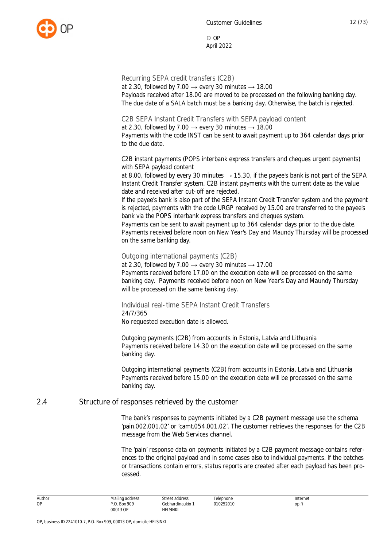Recurring SEPA credit transfers (C2B)

at 2.30, followed by 7.00  $\rightarrow$  every 30 minutes  $\rightarrow$  18.00 Payloads received after 18.00 are moved to be processed on the following banking day. The due date of a SALA batch must be a banking day. Otherwise, the batch is rejected.

C2B SEPA Instant Credit Transfers with SEPA payload content

at 2.30, followed by 7.00  $\rightarrow$  every 30 minutes  $\rightarrow$  18.00

Payments with the code INST can be sent to await payment up to 364 calendar days prior to the due date.

C2B instant payments (POPS interbank express transfers and cheques urgent payments) with SEPA payload content

at 8.00, followed by every 30 minutes  $\rightarrow$  15.30, if the payee's bank is not part of the SEPA Instant Credit Transfer system. C2B instant payments with the current date as the value date and received after cut-off are rejected.

If the payee's bank is also part of the SEPA Instant Credit Transfer system and the payment is rejected, payments with the code URGP received by 15.00 are transferred to the payee's bank via the POPS interbank express transfers and cheques system.

Payments can be sent to await payment up to 364 calendar days prior to the due date. Payments received before noon on New Year's Day and Maundy Thursday will be processed on the same banking day.

Outgoing international payments (C2B)

at 2.30, followed by 7.00  $\rightarrow$  every 30 minutes  $\rightarrow$  17.00 Payments received before 17.00 on the execution date will be processed on the same banking day. Payments received before noon on New Year's Day and Maundy Thursday will be processed on the same banking day.

Individual real-time SEPA Instant Credit Transfers 24/7/365 No requested execution date is allowed.

Outgoing payments (C2B) from accounts in Estonia, Latvia and Lithuania Payments received before 14.30 on the execution date will be processed on the same banking day.

Outgoing international payments (C2B) from accounts in Estonia, Latvia and Lithuania Payments received before 15.00 on the execution date will be processed on the same banking day.

#### <span id="page-12-0"></span>2.4 Structure of responses retrieved by the customer

The bank's responses to payments initiated by a C2B payment message use the schema 'pain.002.001.02' or 'camt.054.001.02'. The customer retrieves the responses for the C2B message from the Web Services channel.

The 'pain' response data on payments initiated by a C2B payment message contains references to the original payload and in some cases also to individual payments. If the batches or transactions contain errors, status reports are created after each payload has been processed.

| Author | Mailing address<br>the contract of the contract of | address<br>street<br>$\sim$ auur Coo   | Telephone      | Internet |
|--------|----------------------------------------------------|----------------------------------------|----------------|----------|
| OP     | P.O. Box 909<br>00013 OP<br>.                      | ebhardinaukio <sup>.</sup><br>HELSINKI | 010252010<br>. | op.fi    |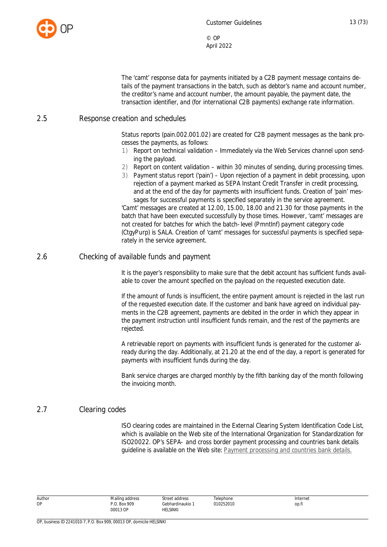

The 'camt' response data for payments initiated by a C2B payment message contains details of the payment transactions in the batch, such as debtor's name and account number, the creditor's name and account number, the amount payable, the payment date, the transaction identifier, and (for international C2B payments) exchange rate information.

#### <span id="page-13-0"></span>2.5 Response creation and schedules

Status reports (pain.002.001.02) are created for C2B payment messages as the bank processes the payments, as follows:

- 1) Report on technical validation Immediately via the Web Services channel upon sending the payload.
- 2) Report on content validation within 30 minutes of sending, during processing times.
- 3) Payment status report ('pain') Upon rejection of a payment in debit processing, upon rejection of a payment marked as SEPA Instant Credit Transfer in credit processing, and at the end of the day for payments with insufficient funds. Creation of 'pain' messages for successful payments is specified separately in the service agreement.

'Camt' messages are created at 12.00, 15.00, 18.00 and 21.30 for those payments in the batch that have been executed successfully by those times. However, 'camt' messages are not created for batches for which the batch-level (PmntInf) payment category code (CtgyPurp) is SALA. Creation of 'camt' messages for successful payments is specified separately in the service agreement.

## <span id="page-13-1"></span>2.6 Checking of available funds and payment

It is the payer's responsibility to make sure that the debit account has sufficient funds available to cover the amount specified on the payload on the requested execution date.

If the amount of funds is insufficient, the entire payment amount is rejected in the last run of the requested execution date. If the customer and bank have agreed on individual payments in the C2B agreement, payments are debited in the order in which they appear in the payment instruction until insufficient funds remain, and the rest of the payments are rejected.

A retrievable report on payments with insufficient funds is generated for the customer already during the day. Additionally, at 21.20 at the end of the day, a report is generated for payments with insufficient funds during the day.

Bank service charges are charged monthly by the fifth banking day of the month following the invoicing month.

## <span id="page-13-2"></span>2.7 Clearing codes

ISO clearing codes are maintained in the External Clearing System Identification Code List, which is available on the Web site of the International Organization for Standardization for ISO20022. OP's SEPA- and cross border payment processing and countries bank details guideline is available on the Web site: [Payment processing and countries bank details.](https://www.op.fi/documents/20556/35498061/Countries+bank+details+Sepa+and+cross+border+payments/10b221c3-5ec1-0091-8018-e7ac25463cad)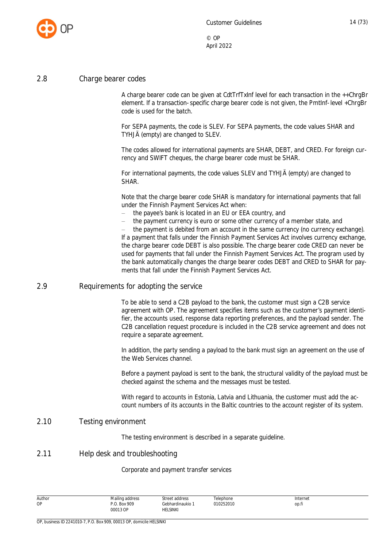

#### <span id="page-14-0"></span>2.8 Charge bearer codes

A charge bearer code can be given at CdtTrfTxInf level for each transaction in the ++ChrgBr element. If a transaction-specific charge bearer code is not given, the PmtInf-level +ChrgBr code is used for the batch.

For SEPA payments, the code is SLEV. For SEPA payments, the code values SHAR and TYHJÄ (empty) are changed to SLEV.

The codes allowed for international payments are SHAR, DEBT, and CRED. For foreign currency and SWIFT cheques, the charge bearer code must be SHAR.

For international payments, the code values SLEV and TYHJÄ (empty) are changed to SHAR.

Note that the charge bearer code SHAR is mandatory for international payments that fall under the Finnish Payment Services Act when:

- the payee's bank is located in an EU or EEA country, and
- the payment currency is euro or some other currency of a member state, and

 the payment is debited from an account in the same currency (no currency exchange). If a payment that falls under the Finnish Payment Services Act involves currency exchange, the charge bearer code DEBT is also possible. The charge bearer code CRED can never be used for payments that fall under the Finnish Payment Services Act. The program used by the bank automatically changes the charge bearer codes DEBT and CRED to SHAR for payments that fall under the Finnish Payment Services Act.

#### <span id="page-14-1"></span>2.9 Requirements for adopting the service

To be able to send a C2B payload to the bank, the customer must sign a C2B service agreement with OP. The agreement specifies items such as the customer's payment identifier, the accounts used, response data reporting preferences, and the payload sender. The C2B cancellation request procedure is included in the C2B service agreement and does not require a separate agreement.

In addition, the party sending a payload to the bank must sign an agreement on the use of the Web Services channel.

Before a payment payload is sent to the bank, the structural validity of the payload must be checked against the schema and the messages must be tested.

With regard to accounts in Estonia, Latvia and Lithuania, the customer must add the account numbers of its accounts in the Baltic countries to the account register of its system.

#### <span id="page-14-2"></span>2.10 Testing environment

The testing environment is described in a separate guideline.

#### <span id="page-14-3"></span>2.11 Help desk and troubleshooting

#### Corporate and payment transfer services

| Author | Mailing address | Street address        | Telephone | Internet |
|--------|-----------------|-----------------------|-----------|----------|
| OP     | . Box 909       | <b>Gebhardinaukio</b> | 010252010 | op.h     |
|        | 00013 OP        | <b>HELSINKI</b>       |           |          |

OP, business ID 2241010-7, P.O. Box 909, 00013 OP, domicile HELSINKI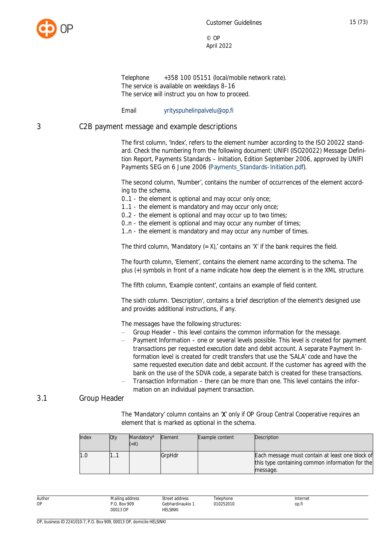

Telephone +358 100 05151 (local/mobile network rate). The service is available on weekdays 8–16 The service will instruct you on how to proceed.

Email yrityspuhelinpalvelu@op.fi

#### <span id="page-15-0"></span>3 C2B payment message and example descriptions

The first column, 'Index', refers to the element number according to the ISO 20022 standard. Check the numbering from the following document: UNIFI (ISO20022) Message Definition Report, Payments Standards – Initiation, Edition September 2006, approved by UNIFI Payments SEG on 6 June 2006 ([Payments\\_Standards-Initiation.pdf](http://tyotilat.opintra.fi/sites/OP_Palvelut/tupake/tuke/pk/Maksuliike/Tiedotus_ja_ohjeet/Asiakasohjeet_ja_palvelukuvaukset/Payments_Standards-Initiation.pdf)).

The second column, 'Number', contains the number of occurrences of the element according to the schema.

0..1 - the element is optional and may occur only once;

1..1 - the element is mandatory and may occur only once;

0..2 - the element is optional and may occur up to two times;

0..n - the element is optional and may occur any number of times;

1..n - the element is mandatory and may occur any number of times.

The third column, 'Mandatory  $(= X)$ ,' contains an 'X' if the bank requires the field.

The fourth column, 'Element', contains the element name according to the schema. The plus (+) symbols in front of a name indicate how deep the element is in the XML structure.

The fifth column, 'Example content', contains an example of field content.

The sixth column. 'Description', contains a brief description of the element's designed use and provides additional instructions, if any.

The messages have the following structures:

- Group Header this level contains the common information for the message.
- Payment Information one or several levels possible. This level is created for payment transactions per requested execution date and debit account. A separate Payment Information level is created for credit transfers that use the 'SALA' code and have the same requested execution date and debit account. If the customer has agreed with the bank on the use of the SDVA code, a separate batch is created for these transactions.
- Transaction Information there can be more than one. This level contains the information on an individual payment transaction.

#### 3.1 Group Header

The 'Mandatory' column contains an 'X' only if OP Group Central Cooperative requires an element that is marked as optional in the schema.

<span id="page-15-1"></span>

| Index | Qty | Mandatory*<br>$(=\times)$ | Element | Example content | Description                                     |
|-------|-----|---------------------------|---------|-----------------|-------------------------------------------------|
| 1.0   |     |                           | GrpHdr  |                 | Each message must contain at least one block of |
|       |     |                           |         |                 | this type containing common information for the |
|       |     |                           |         |                 | message.                                        |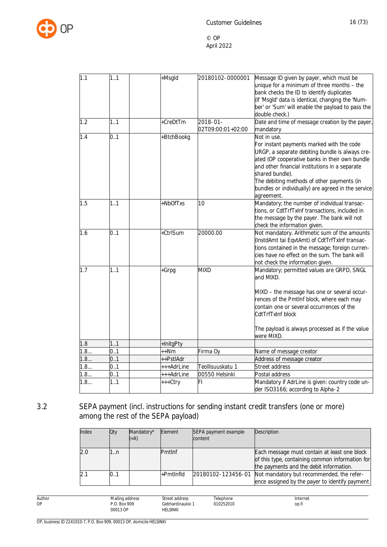

| 1.1 | 1.1 | +Msgld     | 20180102-0000001                   | Message ID given by payer, which must be<br>unique for a minimum of three months - the<br>bank checks the ID to identify duplicates<br>(If 'Msgld' data is identical, changing the 'Num-<br>ber' or 'Sum' will enable the payload to pass the                                                                                                        |
|-----|-----|------------|------------------------------------|------------------------------------------------------------------------------------------------------------------------------------------------------------------------------------------------------------------------------------------------------------------------------------------------------------------------------------------------------|
| 1.2 | 1.1 | +CreDtTm   | $2018 - 01 -$<br>02T09:00:01+02:00 | double check.)<br>Date and time of message creation by the payer,<br>mandatory                                                                                                                                                                                                                                                                       |
| 1.4 | 0.1 | +BtchBookg |                                    | Not in use.<br>For instant payments marked with the code<br>URGP, a separate debiting bundle is always cre-<br>ated (OP cooperative banks in their own bundle<br>and other financial institutions in a separate<br>shared bundle).<br>The debiting methods of other payments (in<br>bundles or individually) are agreed in the service<br>agreement. |
| 1.5 | 1.1 | +NbOfTxs   | 10                                 | Mandatory; the number of individual transac-<br>tions, or CdtTrfTxInf transactions, included in<br>the message by the payer. The bank will not<br>check the information given.                                                                                                                                                                       |
| 1.6 | 0.1 | +CtrlSum   | 20000.00                           | Not mandatory. Arithmetic sum of the amounts<br>(InstdAmt tai EqvtAmt) of CdtTrfTxInf transac-<br>tions contained in the message; foreign curren-<br>cies have no effect on the sum. The bank will<br>not check the information given.                                                                                                               |
| 1.7 | 1.1 | +Grpg      | <b>MIXD</b>                        | Mandatory; permitted values are GRPD, SNGL<br>and MIXD.<br>MIXD - the message has one or several occur-<br>rences of the PmtInf block, where each may<br>contain one or several occurrences of the<br>CdtTrfTxInf block<br>The payload is always processed as if the value<br>were MIXD.                                                             |
| 1.8 | 1.1 | +InitgPty  |                                    |                                                                                                                                                                                                                                                                                                                                                      |
| 1.8 | 0.1 | ++Nm       | Firma Oy                           | Name of message creator                                                                                                                                                                                                                                                                                                                              |
| 1.8 | 0.1 | ++PstlAdr  |                                    | Address of message creator                                                                                                                                                                                                                                                                                                                           |
| 1.8 | 0.1 | +++AdrLine | Teollisuuskatu 1                   | Street address                                                                                                                                                                                                                                                                                                                                       |
| 1.8 | 0.1 | +++AdrLine | 00550 Helsinki                     | Postal address                                                                                                                                                                                                                                                                                                                                       |
| 1.8 | 1.1 | +++Ctry    | FI                                 | Mandatory if AdrLine is given: country code un-<br>der ISO3166; according to Alpha-2                                                                                                                                                                                                                                                                 |

# 3.2 SEPA payment (incl. instructions for sending instant credit transfers (one or more) among the rest of the SEPA payload)

Street address Gebhardinaukio 1 HELSINKI

<span id="page-16-0"></span>

| Index | Qty  | Mandatory*<br>$(=\times)$ | Element       | SEPA payment example<br>content | Description                                                                                                                                |
|-------|------|---------------------------|---------------|---------------------------------|--------------------------------------------------------------------------------------------------------------------------------------------|
| 2.0   | l…n  |                           | <b>Pmtlnf</b> |                                 | Each message must contain at least one block<br>of this type, containing common information for<br>the payments and the debit information. |
| 2.1   | 0. 1 |                           | +PmtInfld     | 20180102-123456-01              | Not mandatory but recommended, the refer-<br>ence assigned by the payer to identify payment                                                |

Author OP

Telephone 010252010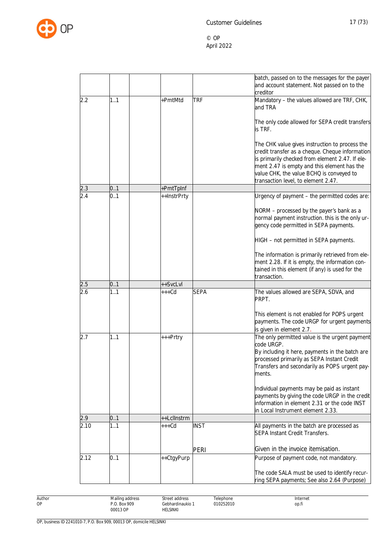

|      |     |             |             | batch, passed on to the messages for the payer<br>and account statement. Not passed on to the<br>creditor                                                                                                                                                                              |
|------|-----|-------------|-------------|----------------------------------------------------------------------------------------------------------------------------------------------------------------------------------------------------------------------------------------------------------------------------------------|
| 2.2  | 11  | +PmtMtd     | <b>TRF</b>  | Mandatory - the values allowed are TRF, CHK,<br>and TRA                                                                                                                                                                                                                                |
|      |     |             |             | The only code allowed for SEPA credit transfers<br>is TRF.                                                                                                                                                                                                                             |
|      |     |             |             | The CHK value gives instruction to process the<br>credit transfer as a cheque. Cheque information<br>is primarily checked from element 2.47. If ele-<br>ment 2.47 is empty and this element has the<br>value CHK, the value BCHQ is conveyed to<br>transaction level, to element 2.47. |
| 2.3  | 0.1 | +PmtTpInf   |             |                                                                                                                                                                                                                                                                                        |
| 2.4  | 0.1 | ++InstrPrty |             | Urgency of payment - the permitted codes are:                                                                                                                                                                                                                                          |
|      |     |             |             | NORM - processed by the payer's bank as a<br>normal payment instruction. this is the only ur-<br>gency code permitted in SEPA payments.                                                                                                                                                |
|      |     |             |             | HIGH - not permitted in SEPA payments.                                                                                                                                                                                                                                                 |
|      |     |             |             | The information is primarily retrieved from ele-<br>ment 2.28. If it is empty, the information con-<br>tained in this element (if any) is used for the<br>transaction.                                                                                                                 |
| 2.5  | 0.1 | ++SvcLvl    |             |                                                                                                                                                                                                                                                                                        |
| 2.6  | 1.1 | $+++Cd$     | <b>SEPA</b> | The values allowed are SEPA, SDVA, and<br>PRPT.                                                                                                                                                                                                                                        |
|      |     |             |             | This element is not enabled for POPS urgent<br>payments. The code URGP for urgent payments<br>is given in element 2.7.                                                                                                                                                                 |
| 2.7  | 1.1 | +++Prtry    |             | The only permitted value is the urgent payment<br>code URGP.                                                                                                                                                                                                                           |
|      |     |             |             | By including it here, payments in the batch are<br>processed primarily as SEPA Instant Credit<br>Transfers and secondarily as POPS urgent pay-<br>ments.                                                                                                                               |
|      |     |             |             |                                                                                                                                                                                                                                                                                        |
|      |     |             |             | Individual payments may be paid as instant<br>payments by giving the code URGP in the credit<br>information in element 2.31 or the code INST<br>in Local Instrument element 2.33.                                                                                                      |
| 2.9  | 0.1 | ++LclInstrm |             |                                                                                                                                                                                                                                                                                        |
| 2.10 | 1.1 | $+++Cd$     | <b>INST</b> | All payments in the batch are processed as<br>SEPA Instant Credit Transfers.                                                                                                                                                                                                           |
|      |     |             | PERI        | Given in the invoice itemisation.                                                                                                                                                                                                                                                      |
| 2.12 | 0.1 | ++CtgyPurp  |             | Purpose of payment code, not mandatory.                                                                                                                                                                                                                                                |
|      |     |             |             | The code SALA must be used to identify recur-<br>ring SEPA payments; See also 2.64 (Purpose)                                                                                                                                                                                           |

Author Mailing address P.O. Box 909 00013 OP Street address Gebhardinaukio 1 HELSINKI Telephone 010252010 Internet op.fi

OP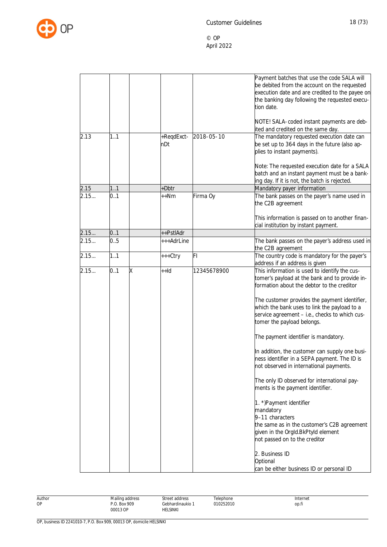

|      |          |                   |             | Payment batches that use the code SALA will<br>be debited from the account on the requested<br>execution date and are credited to the payee on<br>the banking day following the requested execu-<br>tion date. |
|------|----------|-------------------|-------------|----------------------------------------------------------------------------------------------------------------------------------------------------------------------------------------------------------------|
|      |          |                   |             | NOTE! SALA-coded instant payments are deb-<br>ited and credited on the same day.                                                                                                                               |
| 2.13 | 1.1      | +ReqdExct-<br>nDt | 2018-05-10  | The mandatory requested execution date can<br>be set up to 364 days in the future (also ap-<br>plies to instant payments).                                                                                     |
|      |          |                   |             | Note: The requested execution date for a SALA<br>batch and an instant payment must be a bank-<br>ing day. If it is not, the batch is rejected.                                                                 |
| 2.15 | 1.1      | +Dbtr             |             | Mandatory payer information                                                                                                                                                                                    |
| 2.15 | 0.1      | ++Nm              | Firma Oy    | The bank passes on the payer's name used in<br>the C2B agreement                                                                                                                                               |
|      |          |                   |             | This information is passed on to another finan-<br>cial institution by instant payment.                                                                                                                        |
| 2.15 | 0.1      | ++PstlAdr         |             |                                                                                                                                                                                                                |
| 2.15 | 0.5      | +++AdrLine        |             | The bank passes on the payer's address used in<br>the C2B agreement                                                                                                                                            |
| 2.15 | 1.1      | +++Ctry           | FI          | The country code is mandatory for the payer's<br>address if an address is given                                                                                                                                |
| 2.15 | 0.1<br>Χ | $+Hd$             | 12345678900 | This information is used to identify the cus-<br>tomer's payload at the bank and to provide in-<br>formation about the debtor to the creditor                                                                  |
|      |          |                   |             | The customer provides the payment identifier,<br>which the bank uses to link the payload to a<br>service agreement - i.e., checks to which cus-<br>tomer the payload belongs.                                  |
|      |          |                   |             | The payment identifier is mandatory.                                                                                                                                                                           |
|      |          |                   |             | In addition, the customer can supply one busi-<br>ness identifier in a SEPA payment. The ID is<br>not observed in international payments.                                                                      |
|      |          |                   |             | The only ID observed for international pay-<br>ments is the payment identifier.                                                                                                                                |
|      |          |                   |             | 1. *) Payment identifier<br>mandatory<br>9-11 characters<br>the same as in the customer's C2B agreement<br>given in the OrgId.BkPtyId element<br>not passed on to the creditor                                 |
|      |          |                   |             | 2. Business ID<br>Optional<br>can be either business ID or personal ID                                                                                                                                         |

Author OP

Telephone 010252010 Internet op.fi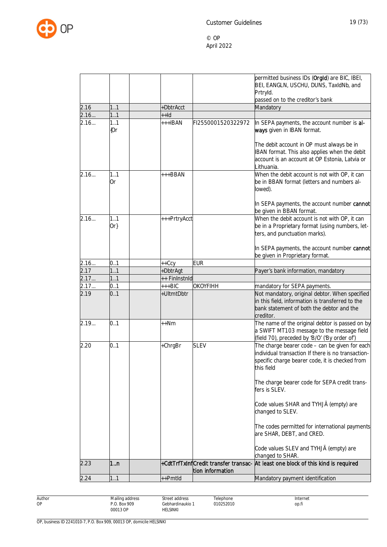

| 2.24         | 11         | ++Pmtld       |                    | Mandatory payment identification                                                                                                                                      |
|--------------|------------|---------------|--------------------|-----------------------------------------------------------------------------------------------------------------------------------------------------------------------|
|              |            |               | tion information   |                                                                                                                                                                       |
| 2.23         | 1n         |               |                    | changed to SHAR.<br>+CdtTrfTxInfCredit transfer transac- At least one block of this kind is required                                                                  |
|              |            |               |                    | are SHAR, DEBT, and CRED.<br>Code values SLEV and TYHJÄ (empty) are                                                                                                   |
|              |            |               |                    | Code values SHAR and TYHJÄ (empty) are<br>changed to SLEV.<br>The codes permitted for international payments                                                          |
|              |            |               |                    | The charge bearer code for SEPA credit trans-<br>fers is SLEV.                                                                                                        |
| 2.20         | 0.1        | +ChrgBr       | <b>SLEV</b>        | The charge bearer code - can be given for each<br>individual transaction If there is no transaction-<br>specific charge bearer code, it is checked from<br>this field |
| 2.19         | 0.1        | $++Nm$        |                    | The name of the original debtor is passed on by<br>a SWIFT MT103 message to the message field<br>(field 70), preceded by 'B/O' ('By order of')                        |
|              |            | +UltmtDbtr    |                    | Not mandatory, original debtor. When specified<br>in this field, information is transferred to the<br>bank statement of both the debtor and the<br>creditor.          |
| 2.17<br>2.19 | 0.1<br>0.1 | $+++BIC$      | OKOYFIHH           | mandatory for SEPA payments.                                                                                                                                          |
| 2.17         | 1.1        | ++ FinInstnId |                    |                                                                                                                                                                       |
| 2.17         | 1.1        | +DbtrAgt      |                    | Payer's bank information, mandatory                                                                                                                                   |
| 2.16         | 0.1        | $++Ccy$       | <b>EUR</b>         | In SEPA payments, the account number cannot<br>be given in Proprietary format.                                                                                        |
|              | $Or\}$     |               |                    | be in a Proprietary format (using numbers, let-<br>ters, and punctuation marks).                                                                                      |
| 2.16         | 1.1        | +++PrtryAcct  |                    | In SEPA payments, the account number cannot<br>be given in BBAN format.<br>When the debit account is not with OP, it can                                              |
|              |            |               |                    | lowed).                                                                                                                                                               |
| 2.16         | 1.1<br>0r  | $++BBAN$      |                    | When the debit account is not with OP, it can<br>be in BBAN format (letters and numbers al-                                                                           |
|              |            |               |                    | The debit account in OP must always be in<br>BAN format. This also applies when the debit<br>account is an account at OP Estonia, Latvia or<br>Lithuania.             |
| 2.16         | 1.1<br>{Or | $++IBAN$      | FI2550001520322972 | In SEPA payments, the account number is al-<br>ways given in IBAN format.                                                                                             |
| 2.16         | 1.1        | $++Id$        |                    |                                                                                                                                                                       |
| 2.16         | 11         | +DbtrAcct     |                    | Mandatory                                                                                                                                                             |
|              |            |               |                    | Prtryld.<br>passed on to the creditor's bank                                                                                                                          |
|              |            |               |                    | permitted business IDs (Orgld) are BIC, IBEI,<br>BEI, EANGLN, USCHU, DUNS, TaxIdNb, and                                                                               |

Author OP

Gebhardinaukio 1 Telephone 010252010

Street address

HELSINKI

Internet op.fi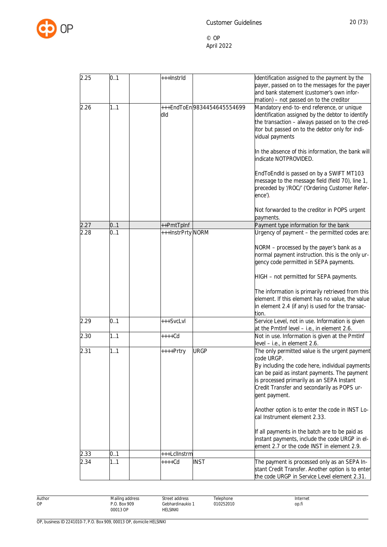

| 2.25 | 0.1 | +++InstrId        |                            | Identification assigned to the payment by the<br>payer, passed on to the messages for the payer                                                                                                                                                                              |
|------|-----|-------------------|----------------------------|------------------------------------------------------------------------------------------------------------------------------------------------------------------------------------------------------------------------------------------------------------------------------|
|      |     |                   |                            | and bank statement (customer's own infor-<br>mation) - not passed on to the creditor                                                                                                                                                                                         |
| 2.26 | 11  | dld               | +++EndToEn9834454645554699 | Mandatory end-to-end reference, or unique<br>identification assigned by the debtor to identify<br>the transaction - always passed on to the cred-<br>itor but passed on to the debtor only for indi-<br>vidual payments                                                      |
|      |     |                   |                            | In the absence of this information, the bank will<br>indicate NOTPROVIDED.                                                                                                                                                                                                   |
|      |     |                   |                            | EndToEndId is passed on by a SWIFT MT103<br>message to the message field (field 70), line 1,<br>preceded by '/ROC/' ('Ordering Customer Refer-<br>ence').                                                                                                                    |
|      |     |                   |                            | Not forwarded to the creditor in POPS urgent<br>payments.                                                                                                                                                                                                                    |
| 2.27 | 0.1 | ++PmtTpInf        |                            | Payment type information for the bank                                                                                                                                                                                                                                        |
| 2.28 | 0.1 | +++InstrPrty NORM |                            | Urgency of payment - the permitted codes are:                                                                                                                                                                                                                                |
|      |     |                   |                            | NORM - processed by the payer's bank as a<br>normal payment instruction. this is the only ur-<br>gency code permitted in SEPA payments.                                                                                                                                      |
|      |     |                   |                            | HIGH - not permitted for SEPA payments.                                                                                                                                                                                                                                      |
|      |     |                   |                            | The information is primarily retrieved from this<br>element. If this element has no value, the value<br>in element 2.4 (if any) is used for the transac-<br>tion.                                                                                                            |
| 2.29 | 0.1 | +++SvcLvl         |                            | Service Level, not in use. Information is given<br>at the PmtInf level - i.e., in element 2.6.                                                                                                                                                                               |
| 2.30 | 1.1 | $***+Cd$          |                            | Not in use. Information is given at the PmtInf<br>level - i.e., in element 2.6.                                                                                                                                                                                              |
| 2.31 | 1.1 | ++++Prtry         | <b>URGP</b>                | The only permitted value is the urgent payment<br>code URGP.<br>By including the code here, individual payments<br>can be paid as instant payments. The payment<br>is processed primarily as an SEPA Instant<br>Credit Transfer and secondarily as POPS ur-<br>gent payment. |
|      |     |                   |                            | Another option is to enter the code in INST Lo-<br>cal Instrument element 2.33.                                                                                                                                                                                              |
|      |     |                   |                            | If all payments in the batch are to be paid as<br>instant payments, include the code URGP in el-<br>ement 2.7 or the code INST in element 2.9.                                                                                                                               |
| 2.33 | 0.1 | +++LclInstrm      |                            |                                                                                                                                                                                                                                                                              |
| 2.34 | 1.1 | ++++Cd            | <b>INST</b>                | The payment is processed only as an SEPA In-<br>stant Credit Transfer. Another option is to enter<br>the code URGP in Service Level element 2.31.                                                                                                                            |

Author OP Mailing address P.O. Box 909 00013 OP Street address Gebhardinaukio 1 HELSINKI Telephone 010252010 Internet op.fi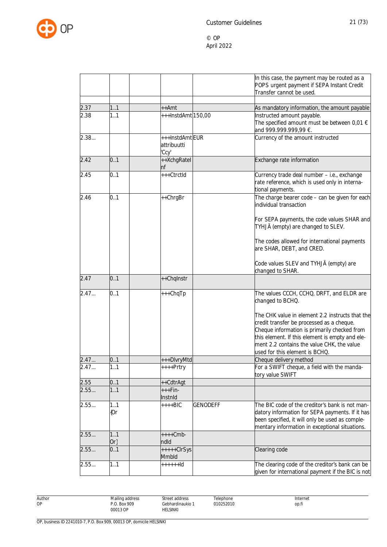

|      |               |                                        | In this case, the payment may be routed as a<br>POPS urgent payment if SEPA Instant Credit<br>Transfer cannot be used.                                                                                                                                                          |
|------|---------------|----------------------------------------|---------------------------------------------------------------------------------------------------------------------------------------------------------------------------------------------------------------------------------------------------------------------------------|
| 2.37 | 11            | ++Amt                                  | As mandatory information, the amount payable                                                                                                                                                                                                                                    |
| 2.38 | 1.1           | +++InstdAmt <sub>150,00</sub>          | Instructed amount payable.                                                                                                                                                                                                                                                      |
|      |               |                                        | The specified amount must be between 0,01 $\epsilon$<br>and 999.999.999,99 €.                                                                                                                                                                                                   |
| 2.38 |               | +++InstdAmtEUR<br>attribuutti<br>'Ccy' | Currency of the amount instructed                                                                                                                                                                                                                                               |
| 2.42 | 0.1           | ++XchgRatel<br>nf                      | Exchange rate information                                                                                                                                                                                                                                                       |
| 2.45 | 0.1           | +++CtrctId                             | Currency trade deal number - i.e., exchange<br>rate reference, which is used only in interna-<br>tional payments.                                                                                                                                                               |
| 2.46 | 0.1           | ++ChrgBr                               | The charge bearer code - can be given for each<br>individual transaction                                                                                                                                                                                                        |
|      |               |                                        | For SEPA payments, the code values SHAR and<br>TYHJÄ (empty) are changed to SLEV.                                                                                                                                                                                               |
|      |               |                                        | The codes allowed for international payments<br>are SHAR, DEBT, and CRED.                                                                                                                                                                                                       |
|      |               |                                        | Code values SLEV and TYHJÄ (empty) are<br>changed to SHAR.                                                                                                                                                                                                                      |
| 2.47 | 0.1           | ++Chqlnstr                             |                                                                                                                                                                                                                                                                                 |
| 2.47 | 0.1           | +++ChqTp                               | The values CCCH, CCHQ, DRFT, and ELDR are<br>changed to BCHQ.                                                                                                                                                                                                                   |
|      |               |                                        | The CHK value in element 2.2 instructs that the<br>credit transfer be processed as a cheque.<br>Cheque information is primarily checked from<br>this element. If this element is empty and ele-<br>ment 2.2 contains the value CHK, the value<br>used for this element is BCHQ. |
| 2.47 | 0.1           | +++DlvryMtd                            | Cheque delivery method                                                                                                                                                                                                                                                          |
| 2.47 | 1.1           | ++++Prtry                              | For a SWIFT cheque, a field with the manda-<br>tory value SWIFT                                                                                                                                                                                                                 |
| 2.55 | 0.1           | ++CdtrAgt                              |                                                                                                                                                                                                                                                                                 |
| 2.55 | 1.1           | +++Fin-<br>Instnid                     |                                                                                                                                                                                                                                                                                 |
| 2.55 | 1.1<br>${0r}$ | <b>GENODEFF</b><br>$++++BIC$           | The BIC code of the creditor's bank is not man-<br>datory information for SEPA payments. If it has<br>been specified, it will only be used as comple-<br>mentary information in exceptional situations.                                                                         |
| 2.55 | 1.1<br>$Or\}$ | $+++Cmb-$<br>ndld                      |                                                                                                                                                                                                                                                                                 |
| 2.55 | 0.1           | $++++-ClrSys$<br>Mmbld                 | Clearing code                                                                                                                                                                                                                                                                   |
| 2.55 | 1.1           | $+++++Id$                              | The clearing code of the creditor's bank can be<br>given for international payment if the BIC is not                                                                                                                                                                            |

Author OP

Street address Gebhardinaukio 1 HELSINKI

Telephone 010252010 Internet op.fi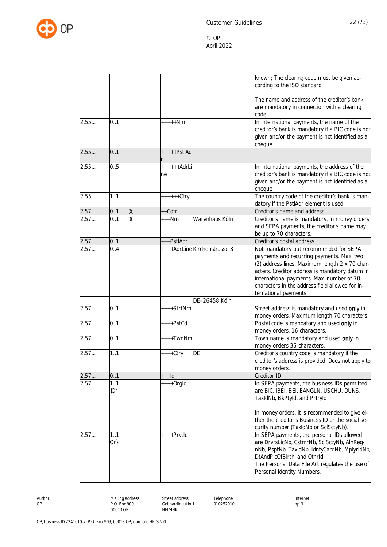

|                   |              |                         |                   |                              | known; The clearing code must be given ac-<br>cording to the ISO standard                                                                                                                                                                                                                                        |
|-------------------|--------------|-------------------------|-------------------|------------------------------|------------------------------------------------------------------------------------------------------------------------------------------------------------------------------------------------------------------------------------------------------------------------------------------------------------------|
|                   |              |                         |                   |                              | The name and address of the creditor's bank<br>are mandatory in connection with a clearing<br>code.                                                                                                                                                                                                              |
| 2.55              | 0.1          |                         | $***+Nm$          |                              | In international payments, the name of the<br>creditor's bank is mandatory if a BIC code is not<br>given and/or the payment is not identified as a<br>cheque.                                                                                                                                                    |
| 2.55              | 0.1          |                         | $++++PstIAd$      |                              |                                                                                                                                                                                                                                                                                                                  |
| 2.55              | 0.5          |                         | $+++++AdrL$<br>ne |                              | In international payments, the address of the<br>creditor's bank is mandatory if a BIC code is not<br>given and/or the payment is not identified as a<br>cheque                                                                                                                                                  |
| 2.55              | 1.1          |                         | ++++++Ctry        |                              | The country code of the creditor's bank is man-<br>datory if the PstlAdr element is used                                                                                                                                                                                                                         |
| 2.57              | 0.1          | Χ                       | ++Cdtr            |                              | Creditor's name and address                                                                                                                                                                                                                                                                                      |
| $\overline{2.57}$ | 0.1          | $\overline{\mathsf{x}}$ | $***Nm$           | Warenhaus Köln               | Creditor's name is mandatory. In money orders<br>and SEPA payments, the creditor's name may<br>be up to 70 characters.                                                                                                                                                                                           |
| 2.57              | 0.1          |                         | +++PstlAdr        |                              | Creditor's postal address                                                                                                                                                                                                                                                                                        |
| 2.57              | 0.4          |                         |                   | ++++AdrLine Kirchenstrasse 3 | Not mandatory but recommended for SEPA<br>payments and recurring payments. Max. two<br>(2) address lines. Maximum length 2 x 70 char-<br>acters. Creditor address is mandatory datum in<br>international payments. Max. number of 70<br>characters in the address field allowed for in-<br>ternational payments. |
|                   |              |                         |                   | DE-26458 Köln                |                                                                                                                                                                                                                                                                                                                  |
| 2.57              | 0.1          |                         | ++++StrtNm        |                              | Street address is mandatory and used only in<br>money orders. Maximum length 70 characters.                                                                                                                                                                                                                      |
| 2.57              | 0.1          |                         | ++++PstCd         |                              | Postal code is mandatory and used only in<br>money orders. 16 characters.                                                                                                                                                                                                                                        |
| 2.57              | 0.1          |                         | ++++TwnNm         |                              | Town name is mandatory and used only in<br>money orders 35 characters.                                                                                                                                                                                                                                           |
| 2.57              | 1.1          |                         | ++++Ctry          | DE                           | Creditor's country code is mandatory if the<br>creditor's address is provided. Does not apply to<br>money orders.                                                                                                                                                                                                |
| 2.57              | 0.1          |                         | +++ld             |                              | Creditor ID                                                                                                                                                                                                                                                                                                      |
| 2.57…             | 11<br>(Or    |                         | $***+Orgld$       |                              | In SEPA payments, the business IDs permitted<br>are BIC, IBEI, BEI, EANGLN, USCHU, DUNS,<br>TaxidNb, BkPtyld, and Prtryld<br>In money orders, it is recommended to give ei-<br>ther the creditor's Business ID or the social se-<br>curity number (TaxIdNb or ScISctyNb).                                        |
| 2.57              | 11<br>$Or\}$ |                         | ++++PrvtId        |                              | In SEPA payments, the personal IDs allowed<br>are DrvrsLicNb, CstmrNb, SclSctyNb, AlnReg-<br>nNb, PsptNb, TaxIdNb, IdntyCardNb, MplyrIdNb,<br>DtAndPlcOfBirth, and OthrId<br>The Personal Data File Act regulates the use of<br>Personal Identity Numbers.                                                       |

Author OP

Street address Gebhardinaukio 1 HELSINKI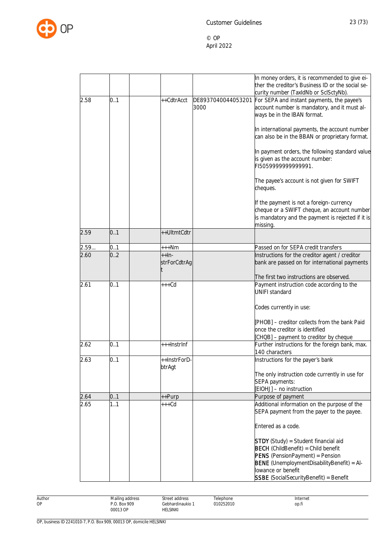

|      |     |               |                    | In money orders, it is recommended to give ei-<br>ther the creditor's Business ID or the social se-    |
|------|-----|---------------|--------------------|--------------------------------------------------------------------------------------------------------|
|      |     |               |                    | curity number (TaxIdNb or ScISctyNb).                                                                  |
| 2.58 | 0.1 | ++CdtrAcct    | DE8937040044053201 | For SEPA and instant payments, the payee's                                                             |
|      |     |               | 3000               | account number is mandatory, and it must al-                                                           |
|      |     |               |                    | ways be in the IBAN format.                                                                            |
|      |     |               |                    |                                                                                                        |
|      |     |               |                    | In international payments, the account number                                                          |
|      |     |               |                    | can also be in the BBAN or proprietary format.                                                         |
|      |     |               |                    |                                                                                                        |
|      |     |               |                    | In payment orders, the following standard value                                                        |
|      |     |               |                    | is given as the account number:                                                                        |
|      |     |               |                    | FI505999999999991.                                                                                     |
|      |     |               |                    | The payee's account is not given for SWIFT                                                             |
|      |     |               |                    | cheques.                                                                                               |
|      |     |               |                    |                                                                                                        |
|      |     |               |                    | If the payment is not a foreign-currency                                                               |
|      |     |               |                    | cheque or a SWIFT cheque, an account number                                                            |
|      |     |               |                    | is mandatory and the payment is rejected if it is                                                      |
|      |     |               |                    | missing.                                                                                               |
| 2.59 | 0.1 | ++UltmtCdtr   |                    |                                                                                                        |
| 2.59 | 0.1 | $***Nm$       |                    | Passed on for SEPA credit transfers                                                                    |
| 2.60 | 0.2 | $+$ $+$ $ln-$ |                    | Instructions for the creditor agent / creditor                                                         |
|      |     | strForCdtrAg  |                    | bank are passed on for international payments                                                          |
|      |     |               |                    |                                                                                                        |
|      |     |               |                    | The first two instructions are observed.                                                               |
| 2.61 | 0.1 | $+++Cd$       |                    | Payment instruction code according to the                                                              |
|      |     |               |                    | <b>UNIFI standard</b>                                                                                  |
|      |     |               |                    | Codes currently in use:                                                                                |
|      |     |               |                    |                                                                                                        |
|      |     |               |                    | [PHOB] - creditor collects from the bank Paid                                                          |
|      |     |               |                    | once the creditor is identified                                                                        |
|      |     |               |                    | [CHQB] - payment to creditor by cheque                                                                 |
| 2.62 | 0.1 | +++InstrInf   |                    | Further instructions for the foreign bank, max.                                                        |
|      |     |               |                    | 140 characters                                                                                         |
| 2.63 | 0.1 | ++InstrForD-  |                    | Instructions for the payer's bank                                                                      |
|      |     | btrAgt        |                    |                                                                                                        |
|      |     |               |                    | The only instruction code currently in use for                                                         |
|      |     |               |                    | SEPA payments:                                                                                         |
| 2.64 | 0.1 | ++Purp        |                    | [EIOHJ] - no instruction<br>Purpose of payment                                                         |
| 2.65 | 1.1 | +++Cd         |                    | Additional information on the purpose of the                                                           |
|      |     |               |                    | SEPA payment from the payer to the payee.                                                              |
|      |     |               |                    |                                                                                                        |
|      |     |               |                    | Entered as a code.                                                                                     |
|      |     |               |                    |                                                                                                        |
|      |     |               |                    | <b>STDY</b> (Study) = Student financial aid<br>$\overline{\text{BECH}}$ (ChildBenefit) = Child benefit |
|      |     |               |                    | <b>PENS</b> (PensionPayment) = Pension                                                                 |
|      |     |               |                    | BENE (UnemploymentDisabilityBenefit) = Al-                                                             |
|      |     |               |                    | lowance or benefit                                                                                     |
|      |     |               |                    | <b>SSBE</b> (SocialSecurityBenefit) = Benefit                                                          |
|      |     |               |                    |                                                                                                        |

Author OP

Street address Gebhardinaukio 1 HELSINKI

Telephone 010252010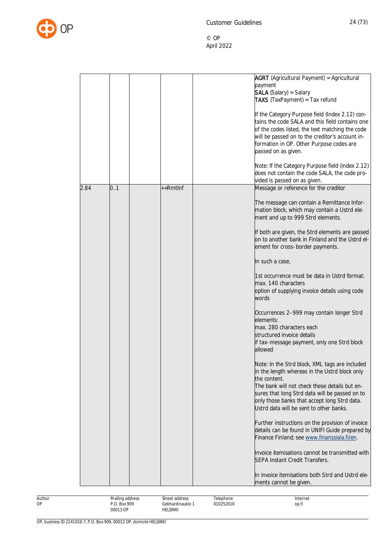

|      |                                 |                                    | <b>AGRT</b> (Agricultural Payment) = Agricultural<br>payment<br><b>SALA</b> (Salary) = Salary<br><b>TAXS</b> (TaxPayment) = Tax refund<br>If the Category Purpose field (Index 2.12) con-<br>tains the code SALA and this field contains one<br>of the codes listed, the text matching the code<br>will be passed on to the creditor's account in-<br>formation in OP. Other Purpose codes are<br>passed on as given.<br>Note: If the Category Purpose field (index 2.12)<br>does not contain the code SALA, the code pro- |
|------|---------------------------------|------------------------------------|----------------------------------------------------------------------------------------------------------------------------------------------------------------------------------------------------------------------------------------------------------------------------------------------------------------------------------------------------------------------------------------------------------------------------------------------------------------------------------------------------------------------------|
|      | 0.1                             | $++Rmtlnf$                         | vided is passed on as given.                                                                                                                                                                                                                                                                                                                                                                                                                                                                                               |
| 2.84 |                                 |                                    | Message or reference for the creditor<br>The message can contain a Remittance Infor-<br>mation block, which may contain a Ustrd ele-<br>ment and up to 999 Strd elements.<br>If both are given, the Strd elements are passed<br>on to another bank in Finland and the Ustrd el-<br>ement for cross-border payments.                                                                                                                                                                                                        |
|      |                                 |                                    | In such a case,<br>1st occurrence must be data in Ustrd format:<br>max. 140 characters<br>option of supplying invoice details using code<br>words                                                                                                                                                                                                                                                                                                                                                                          |
|      |                                 |                                    | Occurrences 2-999 may contain longer Strd<br>elements:<br>max. 280 characters each<br>structured invoice details<br>if tax-message payment, only one Strd block<br>allowed                                                                                                                                                                                                                                                                                                                                                 |
|      |                                 |                                    | Note: In the Strd block, XML tags are included<br>in the length whereas in the Ustrd block only<br>the content.<br>The bank will not check these details but en-<br>sures that long Strd data will be passed on to<br>only those banks that accept long Strd data.<br>Ustrd data will be sent to other banks.                                                                                                                                                                                                              |
|      |                                 |                                    | Further instructions on the provision of invoice<br>details can be found in UNIFI Guide prepared by<br>Finance Finland; see www.finanssiala.fi/en.                                                                                                                                                                                                                                                                                                                                                                         |
|      |                                 |                                    | Invoice itemisations cannot be transmitted with<br><b>SEPA Instant Credit Transfers.</b>                                                                                                                                                                                                                                                                                                                                                                                                                                   |
|      |                                 |                                    | In invoice itemisations both Strd and Ustrd ele-<br>ments cannot be given.                                                                                                                                                                                                                                                                                                                                                                                                                                                 |
|      | Mailing address<br>P.O. Box 909 | Street address<br>Gebhardinaukio 1 | Telephone<br>Internet<br>010252010<br>op.fi                                                                                                                                                                                                                                                                                                                                                                                                                                                                                |

00013 OP

HELSINKI

Author OP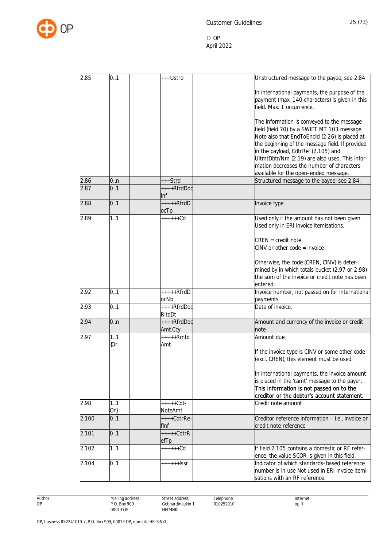

| 2.85  | 0.1    | +++Ustrd              | Unstructured message to the payee; see 2.84                 |
|-------|--------|-----------------------|-------------------------------------------------------------|
|       |        |                       |                                                             |
|       |        |                       | In international payments, the purpose of the               |
|       |        |                       | payment (max. 140 characters) is given in this              |
|       |        |                       | field. Max. 1 occurrence.                                   |
|       |        |                       | The information is conveyed to the message                  |
|       |        |                       | field (field 70) by a SWIFT MT 103 message.                 |
|       |        |                       | Note also that EndToEndld (2.26) is placed at               |
|       |        |                       | the beginning of the message field. If provided             |
|       |        |                       | in the payload, CdtrRef (2.105) and                         |
|       |        |                       | UltmtDbtr/Nm (2.19) are also used. This infor-              |
|       |        |                       | mation decreases the number of characters                   |
|       |        |                       | available for the open-ended message.                       |
| 2.86  | 0n     | +++Strd               | Structured message to the payee; see 2.84.                  |
| 2.87  | 0.1    | ++++RfrdDoc<br>Inf    |                                                             |
| 2.88  | 0.1    | $++++$ RfrdD          | Invoice type                                                |
|       |        | ocTp                  |                                                             |
| 2.89  | 1.1    | $+++++Cd$             | Used only if the amount has not been given.                 |
|       |        |                       | Used only in ERI invoice itemisations.                      |
|       |        |                       | $CREN = credit note$                                        |
|       |        |                       | $CINV$ or other code = invoice                              |
|       |        |                       |                                                             |
|       |        |                       | Otherwise, the code (CREN, CINV) is deter-                  |
|       |        |                       | mined by in which totals bucket (2.97 or 2.98)              |
|       |        |                       | the sum of the invoice or credit note has been              |
|       |        |                       | entered.                                                    |
| 2.92  | 0.1    | $++++$ RfrdD<br>ocNb  | Invoice number, not passed on for international<br>payments |
| 2.93  | 0.1    | ++++RfrdDoc           | Date of invoice.                                            |
|       |        | RItdDt                |                                                             |
| 2.94  | 0n     | ++++RfrdDoc           | Amount and currency of the invoice or credit                |
| 2.97  | 1.1    | Amt.Ccy<br>$***+Rmtd$ | note<br>Amount due                                          |
|       | {Or    | Amt                   |                                                             |
|       |        |                       | If the invoice type is CINV or some other code              |
|       |        |                       | (excl. CREN), this element must be used.                    |
|       |        |                       | In international payments, the invoice amount               |
|       |        |                       | is placed in the 'camt' message to the payer.               |
|       |        |                       | This information is not passed on to the                    |
|       |        |                       | creditor or the debtor's account statement.                 |
| 2.98  | 1.1    | $+++++Cdt-$           | Credit note amount                                          |
|       | $Or\}$ | NoteAmt               |                                                             |
| 2.100 | 0.1    | $+++Cdt$ rRe-         | Creditor reference information - i.e., invoice or           |
|       | 0.1    | flnf<br>$++++CdtrR$   | credit note reference                                       |
| 2.101 |        | efTp                  |                                                             |
| 2.102 | 1.1    | $+++++Cd$             | If field 2.105 contains a domestic or RF refer-             |
|       |        |                       | ence, the value SCOR is given in this field.                |
| 2.104 | 0.1    | ++++++ ssr            | Indicator of which standards-based reference                |
|       |        |                       | number is in use Not used in ERI invoice itemi-             |
|       |        |                       | sations with an RF reference.                               |

Author OP

Street address Gebhardinaukio 1 HELSINKI

Telephone 010252010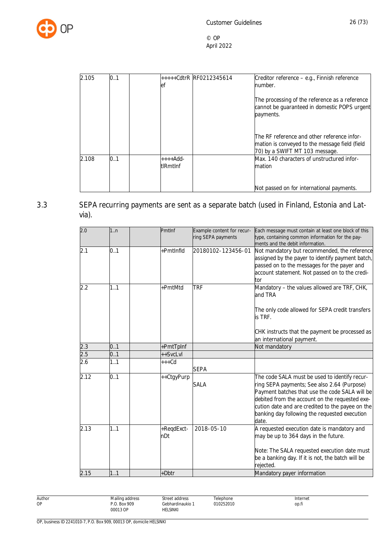

| 2.105 | 0.1 | +++++CdtrR RF0212345614<br>et | Creditor reference - e.g., Finnish reference<br>number.                                                                         |
|-------|-----|-------------------------------|---------------------------------------------------------------------------------------------------------------------------------|
|       |     |                               | The processing of the reference as a reference<br>cannot be guaranteed in domestic POPS urgent<br>payments.                     |
|       |     |                               | The RF reference and other reference infor-<br>mation is conveyed to the message field (field<br>70) by a SWIFT MT 103 message. |
| 2.108 | 0.1 | $+++Add$<br><b>tlRmtInf</b>   | Max. 140 characters of unstructured infor-<br>mation                                                                            |
|       |     |                               | Not passed on for international payments.                                                                                       |

# 3.3 SEPA recurring payments are sent as a separate batch (used in Finland, Estonia and Latvia).

<span id="page-26-0"></span>

| 2.0  | 1:n | Pmtlnf            | Example content for recur-<br>ring SEPA payments | Each message must contain at least one block of this<br>type, containing common information for the pay-<br>ments and the debit information.                                                                                                                                                                   |
|------|-----|-------------------|--------------------------------------------------|----------------------------------------------------------------------------------------------------------------------------------------------------------------------------------------------------------------------------------------------------------------------------------------------------------------|
| 2.1  | 0.1 | +PmtInfld         | 20180102-123456-01                               | Not mandatory but recommended, the reference<br>assigned by the payer to identify payment batch,<br>passed on to the messages for the payer and<br>account statement. Not passed on to the credi-<br>tor                                                                                                       |
| 2.2  | 1.1 | +PmtMtd           | <b>TRF</b>                                       | Mandatory - the values allowed are TRF, CHK,<br>and TRA<br>The only code allowed for SEPA credit transfers<br>is TRF.                                                                                                                                                                                          |
|      |     |                   |                                                  | CHK instructs that the payment be processed as<br>an international payment.                                                                                                                                                                                                                                    |
| 2.3  | 0.1 | +PmtTpInf         |                                                  | Not mandatory                                                                                                                                                                                                                                                                                                  |
| 2.5  | 0.1 | ++SvcLvl          |                                                  |                                                                                                                                                                                                                                                                                                                |
| 2.6  | 1.1 | $+++Cd$           | <b>SEPA</b>                                      |                                                                                                                                                                                                                                                                                                                |
| 2.12 | 0.1 | ++CtgyPurp        | <b>SALA</b>                                      | The code SALA must be used to identify recur-<br>ring SEPA payments; See also 2.64 (Purpose)<br>Payment batches that use the code SALA will be<br>debited from the account on the requested exe-<br>cution date and are credited to the payee on the<br>banking day following the requested execution<br>date. |
| 2.13 | 1.1 | +RegdExct-<br>nDt | 2018-05-10                                       | A requested execution date is mandatory and<br>may be up to 364 days in the future.<br>Note: The SALA requested execution date must<br>be a banking day. If it is not, the batch will be<br>rejected.                                                                                                          |
| 2.15 | 1.1 | +Dbtr             |                                                  | Mandatory payer information                                                                                                                                                                                                                                                                                    |

Author OP Mailing address P.O. Box 909 00013 OP Street address Gebhardinaukio 1 HELSINKI Telephone 010252010 Internet op.fi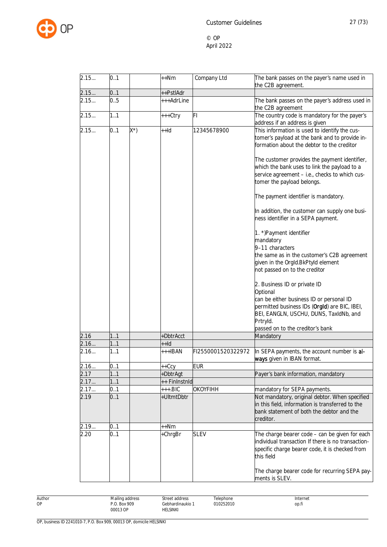

| 2.15 | 0.1 |     | ++Nm          | Company Ltd        | The bank passes on the payer's name used in                                                                                                                                                                                                                                                                                                                                                                                                                                                                                                                                                                                                                                                                                                                                                                                                     |
|------|-----|-----|---------------|--------------------|-------------------------------------------------------------------------------------------------------------------------------------------------------------------------------------------------------------------------------------------------------------------------------------------------------------------------------------------------------------------------------------------------------------------------------------------------------------------------------------------------------------------------------------------------------------------------------------------------------------------------------------------------------------------------------------------------------------------------------------------------------------------------------------------------------------------------------------------------|
|      |     |     |               |                    | the C2B agreement.                                                                                                                                                                                                                                                                                                                                                                                                                                                                                                                                                                                                                                                                                                                                                                                                                              |
| 2.15 | 0.1 |     | ++PstlAdr     |                    |                                                                                                                                                                                                                                                                                                                                                                                                                                                                                                                                                                                                                                                                                                                                                                                                                                                 |
| 2.15 | 0.5 |     | +++AdrLine    |                    | The bank passes on the payer's address used in<br>the C2B agreement                                                                                                                                                                                                                                                                                                                                                                                                                                                                                                                                                                                                                                                                                                                                                                             |
| 2.15 | 1.1 |     | +++Ctry       | FI.                | The country code is mandatory for the payer's<br>address if an address is given                                                                                                                                                                                                                                                                                                                                                                                                                                                                                                                                                                                                                                                                                                                                                                 |
| 2.15 | 0.1 | X*) | $++Id$        | 12345678900        | This information is used to identify the cus-<br>tomer's payload at the bank and to provide in-<br>formation about the debtor to the creditor<br>The customer provides the payment identifier,<br>which the bank uses to link the payload to a<br>service agreement - i.e., checks to which cus-<br>tomer the payload belongs.<br>The payment identifier is mandatory.<br>In addition, the customer can supply one busi-<br>ness identifier in a SEPA payment.<br>1. *) Payment identifier<br>mandatory<br>9-11 characters<br>the same as in the customer's C2B agreement<br>given in the OrgId.BkPtyId element<br>not passed on to the creditor<br>2. Business ID or private ID<br>Optional<br>can be either business ID or personal ID<br>permitted business IDs (Orgld) are BIC, IBEI,<br>BEI, EANGLN, USCHU, DUNS, TaxIdNb, and<br>Prtryld. |
|      |     |     |               |                    | passed on to the creditor's bank                                                                                                                                                                                                                                                                                                                                                                                                                                                                                                                                                                                                                                                                                                                                                                                                                |
| 2.16 | 1.1 |     | +DbtrAcct     |                    | Mandatory                                                                                                                                                                                                                                                                                                                                                                                                                                                                                                                                                                                                                                                                                                                                                                                                                                       |
| 2.16 | 1.1 |     | $++Id$        |                    |                                                                                                                                                                                                                                                                                                                                                                                                                                                                                                                                                                                                                                                                                                                                                                                                                                                 |
| 2.16 | 1.1 |     | +++IBAN       | FI2550001520322972 | In SEPA payments, the account number is al-<br>ways given in IBAN format.                                                                                                                                                                                                                                                                                                                                                                                                                                                                                                                                                                                                                                                                                                                                                                       |
| 2.16 | 0.1 |     | $++Ccy$       | <b>EUR</b>         |                                                                                                                                                                                                                                                                                                                                                                                                                                                                                                                                                                                                                                                                                                                                                                                                                                                 |
| 2.17 | 11  |     | +DbtrAgt      |                    | Payer's bank information, mandatory                                                                                                                                                                                                                                                                                                                                                                                                                                                                                                                                                                                                                                                                                                                                                                                                             |
| 2.17 | 11  |     | ++ FinInstnId |                    |                                                                                                                                                                                                                                                                                                                                                                                                                                                                                                                                                                                                                                                                                                                                                                                                                                                 |
| 2.17 | 0.1 |     | $++.BIC$      | OKOYFIHH           | mandatory for SEPA payments.                                                                                                                                                                                                                                                                                                                                                                                                                                                                                                                                                                                                                                                                                                                                                                                                                    |
| 2.19 | 0.1 |     | +UltmtDbtr    |                    | Not mandatory, original debtor. When specified<br>in this field, information is transferred to the<br>bank statement of both the debtor and the<br>creditor.                                                                                                                                                                                                                                                                                                                                                                                                                                                                                                                                                                                                                                                                                    |
| 2.19 | 0.1 |     | ++Nm          |                    |                                                                                                                                                                                                                                                                                                                                                                                                                                                                                                                                                                                                                                                                                                                                                                                                                                                 |
| 2.20 | 0.1 |     | +ChrgBr       | <b>SLEV</b>        | The charge bearer code - can be given for each<br>individual transaction If there is no transaction-<br>specific charge bearer code, it is checked from<br>this field                                                                                                                                                                                                                                                                                                                                                                                                                                                                                                                                                                                                                                                                           |
|      |     |     |               |                    | The charge bearer code for recurring SEPA pay-<br>ments is SLEV.                                                                                                                                                                                                                                                                                                                                                                                                                                                                                                                                                                                                                                                                                                                                                                                |

Author Mailing address P.O. Box 909 00013 OP Street address Gebhardinaukio 1 HELSINKI Telephone 010252010 Internet op.fi

OP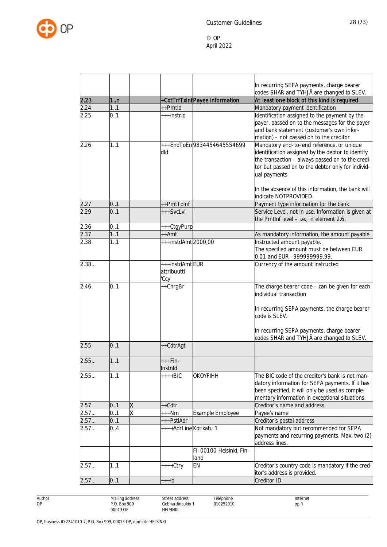

|      |         |   |                        |                               | In recurring SEPA payments, charge bearer                                                             |
|------|---------|---|------------------------|-------------------------------|-------------------------------------------------------------------------------------------------------|
|      |         |   |                        |                               | codes SHAR and TYHJÄ are changed to SLEV.                                                             |
| 2.23 | $11$ .n |   |                        | +CdtTrfTxInfPayee information | At least one block of this kind is required                                                           |
| 2.24 | 1.1     |   | ++Pmtld                |                               | Mandatory payment identification                                                                      |
| 2.25 | 0.1     |   | +++Instrld             |                               | Identification assigned to the payment by the                                                         |
|      |         |   |                        |                               | payer, passed on to the messages for the payer                                                        |
|      |         |   |                        |                               | and bank statement (customer's own infor-                                                             |
|      | 1.1     |   |                        | +++EndToEn9834454645554699    | mation) - not passed on to the creditor                                                               |
| 2.26 |         |   |                        |                               | Mandatory end-to-end reference, or unique                                                             |
|      |         |   | dld                    |                               | identification assigned by the debtor to identify<br>the transaction - always passed on to the credi- |
|      |         |   |                        |                               | tor but passed on to the debtor only for individ-                                                     |
|      |         |   |                        |                               | ual payments                                                                                          |
|      |         |   |                        |                               |                                                                                                       |
|      |         |   |                        |                               | In the absence of this information, the bank will                                                     |
|      |         |   |                        |                               | indicate NOTPROVIDED.                                                                                 |
| 2.27 | 0.1     |   | ++PmtTpInf             |                               | Payment type information for the bank                                                                 |
| 2.29 | 0.1     |   | +++SvcLvl              |                               | Service Level, not in use. Information is given at                                                    |
|      |         |   |                        |                               | the PmtInf level - i.e., in element 2.6.                                                              |
| 2.36 | 0.1     |   | +++CtgyPurp            |                               |                                                                                                       |
| 2.37 | 1.1     |   | ++Amt                  |                               | As mandatory information, the amount payable                                                          |
| 2.38 | 1.1     |   | +++InstdAmt2000,00     |                               | Instructed amount payable.                                                                            |
|      |         |   |                        |                               | The specified amount must be between EUR                                                              |
|      |         |   |                        |                               | 0.01 and EUR -999999999.99.                                                                           |
| 2.38 |         |   | +++InstdAmtEUR         |                               | Currency of the amount instructed                                                                     |
|      |         |   | attribuutti            |                               |                                                                                                       |
|      |         |   | 'Ccy'                  |                               |                                                                                                       |
| 2.46 | 0.1     |   | ++ChrgBr               |                               | The charge bearer code - can be given for each                                                        |
|      |         |   |                        |                               | individual transaction                                                                                |
|      |         |   |                        |                               |                                                                                                       |
|      |         |   |                        |                               | In recurring SEPA payments, the charge bearer                                                         |
|      |         |   |                        |                               | code is SLEV.                                                                                         |
|      |         |   |                        |                               | In recurring SEPA payments, charge bearer                                                             |
|      |         |   |                        |                               | codes SHAR and TYHJÄ are changed to SLEV.                                                             |
| 2.55 | 0.1     |   | ++CdtrAgt              |                               |                                                                                                       |
|      |         |   |                        |                               |                                                                                                       |
| 2.55 | 1.1     |   | $+++Fin-$              |                               |                                                                                                       |
|      |         |   | Instnid                |                               |                                                                                                       |
| 2.55 | 1.1     |   | $++++BIC$              | <b>OKOYFIHH</b>               | The BIC code of the creditor's bank is not man-                                                       |
|      |         |   |                        |                               | datory information for SEPA payments. If it has                                                       |
|      |         |   |                        |                               | been specified, it will only be used as comple-                                                       |
|      |         |   |                        |                               | mentary information in exceptional situations.                                                        |
| 2.57 | 0.1     | χ | ++Cdtr                 |                               | Creditor's name and address                                                                           |
| 2.57 | 0.1     | x | +++Nm                  | Example Employee              | Payee's name                                                                                          |
| 2.57 | 0.1     |   | +++PstlAdr             |                               | Creditor's postal address                                                                             |
| 2.57 | 0.4     |   | ++++AdrLine Kotikatu 1 |                               | Not mandatory but recommended for SEPA                                                                |
|      |         |   |                        |                               | payments and recurring payments. Max. two (2)                                                         |
|      |         |   |                        |                               | address lines.                                                                                        |
|      |         |   |                        | FI-00100 Helsinki, Fin-       |                                                                                                       |
|      |         |   |                        | land                          |                                                                                                       |
| 2.57 | 1.1     |   | ++++Ctry               | <b>EN</b>                     | Creditor's country code is mandatory if the cred-                                                     |
|      |         |   |                        |                               | itor's address is provided.                                                                           |
| 2.57 | 0.1     |   | $++$ -Id               |                               | Creditor ID                                                                                           |

Author OP

Street address Gebhardinaukio 1 HELSINKI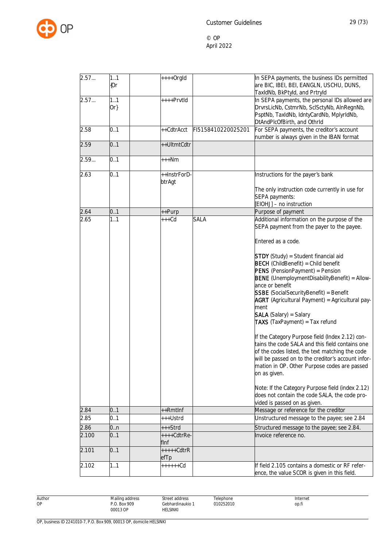

| 2.57  | 1.1<br>{Or    | $++++$ Orgld           |                    | In SEPA payments, the business IDs permitted<br>are BIC, IBEI, BEI, EANGLN, USCHU, DUNS,<br>TaxIdNb, BkPtyld, and Prtryld                                                                                                                                                      |
|-------|---------------|------------------------|--------------------|--------------------------------------------------------------------------------------------------------------------------------------------------------------------------------------------------------------------------------------------------------------------------------|
| 2.57  | 1.1<br>$Or\}$ | ++++PrvtId             |                    | In SEPA payments, the personal IDs allowed are<br>DrvrsLicNb, CstmrNb, SclSctyNb, AlnRegnNb,<br>PsptNb, TaxIdNb, IdntyCardNb, MplyrIdNb,<br>DtAndPlcOfBirth, and OthrId                                                                                                        |
| 2.58  | 0.1           | ++CdtrAcct             | FI5158410220025201 | For SEPA payments, the creditor's account<br>number is always given in the IBAN format                                                                                                                                                                                         |
| 2.59  | 0.1           | ++UltmtCdtr            |                    |                                                                                                                                                                                                                                                                                |
| 2.59  | 0.1           | +++Nm                  |                    |                                                                                                                                                                                                                                                                                |
| 2.63  | 0.1           | ++InstrForD-<br>btrAgt |                    | Instructions for the payer's bank                                                                                                                                                                                                                                              |
|       |               |                        |                    | The only instruction code currently in use for<br>SEPA payments:<br>[EIOHJ] - no instruction                                                                                                                                                                                   |
| 2.64  | 0.1           | ++Purp                 |                    | Purpose of payment                                                                                                                                                                                                                                                             |
| 2.65  | 1.1           | $***Cd$                | <b>SALA</b>        | Additional information on the purpose of the<br>SEPA payment from the payer to the payee.                                                                                                                                                                                      |
|       |               |                        |                    | Entered as a code.<br><b>STDY</b> (Study) = Student financial aid<br><b>BECH</b> (ChildBenefit) = Child benefit<br><b>PENS</b> (PensionPayment) = Pension<br>BENE (UnemploymentDisabilityBenefit) = Allow-<br>ance or benefit<br><b>SSBE</b> (SocialSecurityBenefit) = Benefit |
|       |               |                        |                    | <b>AGRT</b> (Agricultural Payment) = Agricultural pay-<br>ment<br><b>SALA</b> (Salary) = Salary<br>TAXS (TaxPayment) = Tax refund                                                                                                                                              |
|       |               |                        |                    | If the Category Purpose field (Index 2.12) con-<br>tains the code SALA and this field contains one<br>of the codes listed, the text matching the code<br>will be passed on to the creditor's account infor-<br>mation in OP. Other Purpose codes are passed<br>on as given.    |
|       |               |                        |                    | Note: If the Category Purpose field (index 2.12)<br>does not contain the code SALA, the code pro-<br>vided is passed on as given.                                                                                                                                              |
| 2.84  | 0.1           | ++Rmtlnf               |                    | Message or reference for the creditor                                                                                                                                                                                                                                          |
| 2.85  | 0.1           | +++Ustrd               |                    | Unstructured message to the payee; see 2.84                                                                                                                                                                                                                                    |
| 2.86  | 0.n           | +++Strd                |                    | Structured message to the payee; see 2.84.                                                                                                                                                                                                                                     |
| 2.100 | 0.1           | ++++CdtrRe-<br>flnf    |                    | Invoice reference no.                                                                                                                                                                                                                                                          |
| 2.101 | 0.1           | +++++CdtrR             |                    |                                                                                                                                                                                                                                                                                |
| 2.102 | 1.1           | efTp<br>++++++Cd       |                    | If field 2.105 contains a domestic or RF refer-<br>ence, the value SCOR is given in this field.                                                                                                                                                                                |

Author OP

Street address Gebhardinaukio 1 HELSINKI

Telephone 010252010 Internet op.fi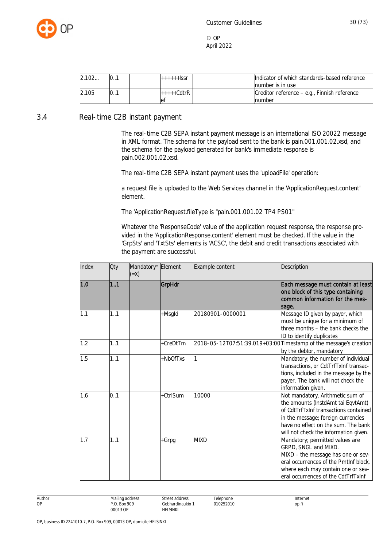

<span id="page-30-0"></span>

| 2.102 | $\mathbf{0}$ . | $+++++$ SSC  | Indicator of which standards-based reference |
|-------|----------------|--------------|----------------------------------------------|
|       |                |              | number is in use                             |
| 2.105 | 0.1            | $++++Cdt$ rR | Creditor reference – e.g., Finnish reference |
|       |                | let          | number                                       |

#### 3.4 Real-time C2B instant payment

The real-time C2B SEPA instant payment message is an international ISO 20022 message in XML format. The schema for the payload sent to the bank is pain.001.001.02.xsd, and the schema for the payload generated for bank's immediate response is pain.002.001.02.xsd.

The real-time C2B SEPA instant payment uses the 'uploadFile' operation:

a request file is uploaded to the Web Services channel in the 'ApplicationRequest.content' element.

The 'ApplicationRequest.fileType is "pain.001.001.02 TP4 PS01"

Whatever the 'ResponseCode' value of the application request response, the response provided in the 'ApplicationResponse.content' element must be checked. If the value in the 'GrpSts' and 'TxtSts' elements is 'ACSC', the debit and credit transactions associated with the payment are successful.

| Index | Qty | Mandatory* Element<br>$(=\times)$ |          | Example content  | Description                                                                                                                                                                                                                           |
|-------|-----|-----------------------------------|----------|------------------|---------------------------------------------------------------------------------------------------------------------------------------------------------------------------------------------------------------------------------------|
| 1.0   | 1.1 |                                   | GrpHdr   |                  | Each message must contain at least<br>one block of this type containing<br>common information for the mes-<br>sage.                                                                                                                   |
| 1.1   | 1.1 |                                   | +Msgld   | 20180901-0000001 | Message ID given by payer, which<br>must be unique for a minimum of<br>three months - the bank checks the<br>ID to identify duplicates                                                                                                |
| 1.2   | 1.1 |                                   | +CreDtTm |                  | 2018-05-12T07:51:39.019+03:00 Timestamp of the message's creation<br>by the debtor, mandatory                                                                                                                                         |
| 1.5   | 1.1 |                                   | +NbOfTxs |                  | Mandatory; the number of individual<br>transactions, or CdtTrfTxInf transac-<br>tions, included in the message by the<br>payer. The bank will not check the<br>information given.                                                     |
| 1.6   | 0.1 |                                   | +CtrlSum | 10000            | Not mandatory. Arithmetic sum of<br>the amounts (InstdAmt tai EqvtAmt)<br>of CdtTrfTxInf transactions contained<br>in the message; foreign currencies<br>have no effect on the sum. The bank<br>will not check the information given. |
| 1.7   | 1.1 |                                   | +Grpg    | <b>MIXD</b>      | Mandatory; permitted values are<br>GRPD, SNGL and MIXD.<br>MIXD - the message has one or sev-<br>eral occurrences of the PmtInf block,<br>where each may contain one or sev-<br>eral occurrences of the CdtTrfTxInf                   |

Author OP Mailing address P.O. Box 909 00013 OP Street address Gebhardinaukio 1 HELSINKI **Telephone** 010252010 Internet op.fi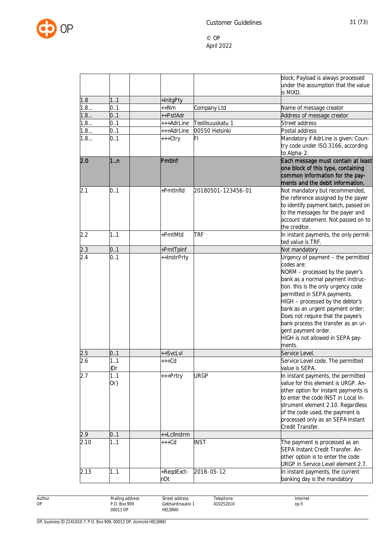

|      |               |                   |                    | block; Payload is always processed<br>under the assumption that the value<br>is MIXD.                                                                                                                                                                                                                                                                                                                                   |
|------|---------------|-------------------|--------------------|-------------------------------------------------------------------------------------------------------------------------------------------------------------------------------------------------------------------------------------------------------------------------------------------------------------------------------------------------------------------------------------------------------------------------|
| 1.8  | 1.1           | +InitgPty         |                    |                                                                                                                                                                                                                                                                                                                                                                                                                         |
| 1.8  | 0.1           | ++Nm              | Company Ltd        | Name of message creator                                                                                                                                                                                                                                                                                                                                                                                                 |
| 1.8  | 0.1           | ++PstlAdr         |                    | Address of message creator                                                                                                                                                                                                                                                                                                                                                                                              |
| 1.8  | 0.1           | +++AdrLine        | Teollisuuskatu 1   | Street address                                                                                                                                                                                                                                                                                                                                                                                                          |
| 1.8  | 0.1           | +++AdrLine        | 00550 Helsinki     | Postal address                                                                                                                                                                                                                                                                                                                                                                                                          |
| 1.8  | 0.1           | +++Ctry           | FI                 |                                                                                                                                                                                                                                                                                                                                                                                                                         |
|      |               |                   |                    | Mandatory if AdrLine is given: Coun-<br>try code under ISO 3166, according<br>to Alpha-2.                                                                                                                                                                                                                                                                                                                               |
| 2.0  | 1n            | PmtInf            |                    | Each message must contain at least<br>one block of this type, containing<br>common information for the pay-<br>ments and the debit information.                                                                                                                                                                                                                                                                         |
| 2.1  | 0.1           | +PmtInfld         | 20180501-123456-01 | Not mandatory but recommended,<br>the reference assigned by the payer<br>to identify payment batch, passed on<br>to the messages for the payer and<br>account statement. Not passed on to<br>the creditor.                                                                                                                                                                                                              |
| 2.2  | 1.1           | +PmtMtd           | <b>TRF</b>         | In instant payments, the only permit-<br>ted value is TRF.                                                                                                                                                                                                                                                                                                                                                              |
| 2.3  | 0.1           | +PmtTpInf         |                    | Not mandatory                                                                                                                                                                                                                                                                                                                                                                                                           |
| 2.4  | 0.1           | ++InstrPrty       |                    | Urgency of payment - the permitted<br>codes are:<br>NORM - processed by the payer's<br>bank as a normal payment instruc-<br>tion. this is the only urgency code<br>permitted in SEPA payments.<br>HIGH - processed by the debtor's<br>bank as an urgent payment order;<br>Does not require that the payee's<br>bank process the transfer as an ur-<br>gent payment order.<br>HIGH is not allowed in SEPA pay-<br>ments. |
| 2.5  | 0.1           | ++SvcLvl          |                    | Service Level.                                                                                                                                                                                                                                                                                                                                                                                                          |
| 2.6  | 1.1<br>${0r}$ | $***$ Cd          |                    | Service Level code. The permitted<br>value is SEPA.                                                                                                                                                                                                                                                                                                                                                                     |
| 2.7  | 1.1<br>$Or\}$ | +++Prtry          | <b>URGP</b>        | In instant payments, the permitted<br>value for this element is URGP. An-<br>other option for instant payments is<br>to enter the code INST in Local In-<br>strument element 2.10. Regardless<br>of the code used, the payment is<br>processed only as an SEPA Instant<br>Credit Transfer.                                                                                                                              |
| 2.9  | 01            | ++LclInstrm       |                    |                                                                                                                                                                                                                                                                                                                                                                                                                         |
| 2.10 | 1.1           | $+++Cd$           | <b>INST</b>        | The payment is processed as an<br>SEPA Instant Credit Transfer. An-<br>other option is to enter the code<br>URGP in Service Level element 2.7.                                                                                                                                                                                                                                                                          |
| 2.13 | 1.1           | +RegdExct-<br>nDt | 2018-05-12         | In instant payments, the current<br>banking day is the mandatory                                                                                                                                                                                                                                                                                                                                                        |

Author OP

Street address Gebhardinaukio 1 HELSINKI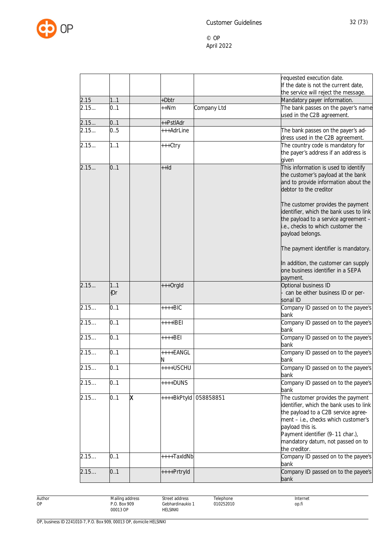

|      |               |                          | requested execution date.<br>If the date is not the current date,<br>the service will reject the message.                                                                                                                                                                 |
|------|---------------|--------------------------|---------------------------------------------------------------------------------------------------------------------------------------------------------------------------------------------------------------------------------------------------------------------------|
| 2.15 | 11            | +Dbtr                    | Mandatory payer information.                                                                                                                                                                                                                                              |
| 2.15 | 0.1           | Company Ltd<br>++Nm      | The bank passes on the payer's name<br>used in the C2B agreement.                                                                                                                                                                                                         |
| 2.15 | 0.1           | ++PstlAdr                |                                                                                                                                                                                                                                                                           |
| 2.15 | 0.5           | +++AdrLine               | The bank passes on the payer's ad-<br>dress used in the C2B agreement.                                                                                                                                                                                                    |
| 2.15 | 1.1           | +++Ctry                  | The country code is mandatory for<br>the payer's address if an address is<br>given                                                                                                                                                                                        |
| 2.15 | 0.1           | $++Id$                   | This information is used to identify<br>the customer's payload at the bank<br>and to provide information about the<br>debtor to the creditor                                                                                                                              |
|      |               |                          | The customer provides the payment<br>identifier, which the bank uses to link<br>the payload to a service agreement -<br>i.e., checks to which customer the<br>payload belongs.                                                                                            |
|      |               |                          | The payment identifier is mandatory.                                                                                                                                                                                                                                      |
|      |               |                          | In addition, the customer can supply<br>one business identifier in a SEPA<br>payment.                                                                                                                                                                                     |
| 2.15 | 1.1<br>${0r}$ | +++OrgId                 | Optional business ID<br>- can be either business ID or per-<br>sonal ID                                                                                                                                                                                                   |
| 2.15 | 0.1           | $+++BIC$                 | Company ID passed on to the payee's<br>bank                                                                                                                                                                                                                               |
| 2.15 | 0.1           | $***IBE1$                | Company ID passed on to the payee's<br>bank                                                                                                                                                                                                                               |
| 2.15 | 0.1           | $***BEI$                 | Company ID passed on to the payee's<br>bank                                                                                                                                                                                                                               |
| 2.15 | 0.1           | $++++$ EANGL<br>N        | Company ID passed on to the payee's<br>bank                                                                                                                                                                                                                               |
| 2.15 | 0.1           | ++++USCHU                | Company ID passed on to the payee's<br>bank                                                                                                                                                                                                                               |
| 2.15 | 0.1           | ++++DUNS                 | Company ID passed on to the payee's<br>bank                                                                                                                                                                                                                               |
| 2.15 | 0.1<br>X      | 058858851<br>++++BkPtyld | The customer provides the payment<br>identifier, which the bank uses to link<br>the payload to a C2B service agree-<br>ment - i.e., checks which customer's<br>payload this is.<br>Payment identifier (9-11 char.),<br>mandatory datum, not passed on to<br>the creditor. |
| 2.15 | 0.1           | ++++TaxIdNb              | Company ID passed on to the payee's<br>bank                                                                                                                                                                                                                               |
| 2.15 | 0.1           | ++++PrtryId              | Company ID passed on to the payee's<br>bank                                                                                                                                                                                                                               |

Author OP

Street address Gebhardinaukio 1 HELSINKI

Telephone 010252010 Internet op.fi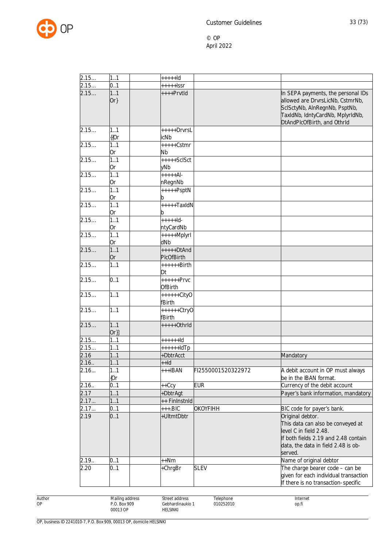

| 2.15  | 1.1           | $++++$                  |                    |                                                                                                                                                                            |
|-------|---------------|-------------------------|--------------------|----------------------------------------------------------------------------------------------------------------------------------------------------------------------------|
| 2.15  | 0.1           | $++++$ Issr             |                    |                                                                                                                                                                            |
| 2.15  | 1.1<br>$Or\}$ | ++++PrvtId              |                    | In SEPA payments, the personal IDs<br>allowed are DrvrsLicNb, CstmrNb,<br>SclSctyNb, AlnRegnNb, PsptNb,<br>TaxIdNb, IdntyCardNb, MplyrIdNb,<br>DtAndPlcOfBirth, and OthrId |
| 2.15  | 1.1<br>{{Or   | $++++$ DrvrsL<br>icNb   |                    |                                                                                                                                                                            |
| 2.15  | 1.1           | $++++-Cstmr$            |                    |                                                                                                                                                                            |
|       | 0r            | Nb                      |                    |                                                                                                                                                                            |
| 2.15  | 1.1           | $++++-SCISct$           |                    |                                                                                                                                                                            |
|       | 0r            | yNb                     |                    |                                                                                                                                                                            |
| 2.15  | 1.1           | $+ + + + +$ Al-         |                    |                                                                                                                                                                            |
|       | 0r            | nRegnNb                 |                    |                                                                                                                                                                            |
| 2.15  | 1.1           | $+++++PSptN$            |                    |                                                                                                                                                                            |
|       | 0r            | b                       |                    |                                                                                                                                                                            |
| 2.15  | 1.1<br>0r     | $++++$ TaxIdN<br>b      |                    |                                                                                                                                                                            |
| 2.15  | 1.1           | $+ + + + +$ ld-         |                    |                                                                                                                                                                            |
|       | 0r            | ntyCardNb               |                    |                                                                                                                                                                            |
| 2.15  | 1.1           | $++++$ Mplyrl           |                    |                                                                                                                                                                            |
|       | 0r            | dNb                     |                    |                                                                                                                                                                            |
| 2.15  | 1.1           | $++++$ DtAnd            |                    |                                                                                                                                                                            |
|       | 0r            | PIcOfBirth              |                    |                                                                                                                                                                            |
| 2.15  | 1.1           | ++++++Birth<br>Dt       |                    |                                                                                                                                                                            |
| 2.15  | 0.1           | $+++++Prvc$             |                    |                                                                                                                                                                            |
|       |               | <b>OfBirth</b>          |                    |                                                                                                                                                                            |
| 2.15  | 1.1           | ++++++CityO<br>fBirth   |                    |                                                                                                                                                                            |
| 2.15  | 1.1           | ++++++Ctry0             |                    |                                                                                                                                                                            |
| 2.15  | 1.1           | fBirth<br>$+++++Othrld$ |                    |                                                                                                                                                                            |
|       | $Or\}$        |                         |                    |                                                                                                                                                                            |
| 2.15  | 11            | $+++++Id$               |                    |                                                                                                                                                                            |
| 2.15  | 11            | $+++++IdTp$             |                    |                                                                                                                                                                            |
| 2.16  | 11            | +DbtrAcct               |                    | Mandatory                                                                                                                                                                  |
| 2.16. | 11            | $++Id$                  |                    |                                                                                                                                                                            |
| 2.16  | 1.1           | $++IBAN$                | FI2550001520322972 | A debit account in OP must always                                                                                                                                          |
|       | (Or           |                         |                    | be in the IBAN format.                                                                                                                                                     |
| 2.16. | 0.1           | ++Ccy                   | <b>EUR</b>         | Currency of the debit account                                                                                                                                              |
| 2.17  | 11            | +DbtrAgt                |                    | Payer's bank information, mandatory                                                                                                                                        |
| 2.17  | 11            | ++ FinInstnId           |                    |                                                                                                                                                                            |
| 2.17  | 0.1           | $++.BIC$                | <b>OKOYFIHH</b>    | BIC code for payer's bank.                                                                                                                                                 |
| 2.19  | 0.1           | +UltmtDbtr              |                    | Original debtor.<br>This data can also be conveyed at<br>level C in field 2.48.<br>If both fields 2.19 and 2.48 contain<br>data, the data in field 2.48 is ob-<br>served.  |
| 2.19. | 0.1           | $++Nm$                  |                    | Name of original debtor                                                                                                                                                    |
| 2.20  | 0.1           | +ChrgBr                 | <b>SLEV</b>        | The charge bearer code - can be<br>given for each individual transaction<br>If there is no transaction-specific                                                            |

Author OP

Street address Gebhardinaukio 1 HELSINKI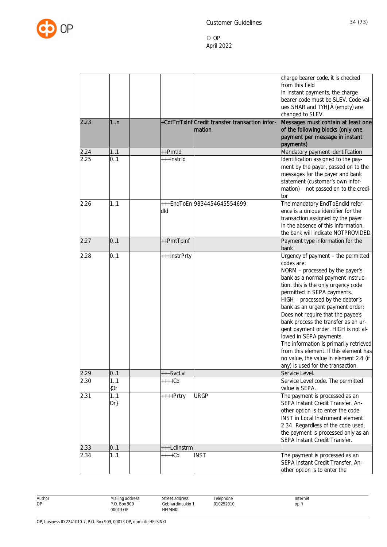

| 2.23 | 1 <sub>n</sub> |              | +CdtTrfTxInfCredit transfer transaction infor-<br>mation | charge bearer code, it is checked<br>from this field<br>In instant payments, the charge<br>bearer code must be SLEV. Code val-<br>ues SHAR and TYHJÄ (empty) are<br>changed to SLEV.<br>Messages must contain at least one<br>of the following blocks (only one<br>payment per message in instant                                                                                                                                                                                                                                                                                       |
|------|----------------|--------------|----------------------------------------------------------|-----------------------------------------------------------------------------------------------------------------------------------------------------------------------------------------------------------------------------------------------------------------------------------------------------------------------------------------------------------------------------------------------------------------------------------------------------------------------------------------------------------------------------------------------------------------------------------------|
|      |                |              |                                                          | payments)                                                                                                                                                                                                                                                                                                                                                                                                                                                                                                                                                                               |
| 2.24 | 11             | ++Pmtld      |                                                          | Mandatory payment identification                                                                                                                                                                                                                                                                                                                                                                                                                                                                                                                                                        |
| 2.25 | 0.1            | +++Instrld   |                                                          | Identification assigned to the pay-<br>ment by the payer, passed on to the<br>messages for the payer and bank<br>statement (customer's own infor-<br>mation) - not passed on to the credi-<br>tor                                                                                                                                                                                                                                                                                                                                                                                       |
| 2.26 | 1.1            | dld          | +++EndToEn 9834454645554699                              | The mandatory EndToEndld refer-<br>ence is a unique identifier for the<br>transaction assigned by the payer.<br>In the absence of this information,<br>the bank will indicate NOTPROVIDED                                                                                                                                                                                                                                                                                                                                                                                               |
| 2.27 | 0.1            | ++PmtTpInf   |                                                          | Payment type information for the<br>bank                                                                                                                                                                                                                                                                                                                                                                                                                                                                                                                                                |
| 2.28 | 0.1            | +++InstrPrty |                                                          | Urgency of payment - the permitted<br>codes are:<br>NORM - processed by the payer's<br>bank as a normal payment instruc-<br>tion. this is the only urgency code<br>permitted in SEPA payments.<br>HIGH - processed by the debtor's<br>bank as an urgent payment order;<br>Does not require that the payee's<br>bank process the transfer as an ur-<br>gent payment order. HIGH is not al-<br>lowed in SEPA payments.<br>The information is primarily retrieved<br>from this element. If this element has<br>no value, the value in element 2.4 (if<br>any) is used for the transaction. |
| 2.29 | 0.1            | +++SvcLvl    |                                                          | Service Level.                                                                                                                                                                                                                                                                                                                                                                                                                                                                                                                                                                          |
| 2.30 | 1.1<br>{Or     | $***Cd$      |                                                          | Service Level code. The permitted<br>value is SEPA.                                                                                                                                                                                                                                                                                                                                                                                                                                                                                                                                     |
| 2.31 | 1.1<br>$Or\}$  | ++++Prtry    | <b>URGP</b>                                              | The payment is processed as an<br>SEPA Instant Credit Transfer. An-<br>other option is to enter the code<br>INST in Local Instrument element<br>2.34. Regardless of the code used,<br>the payment is processed only as an<br>SEPA Instant Credit Transfer.                                                                                                                                                                                                                                                                                                                              |
| 2.33 | 0.1            | +++Lcllnstrm |                                                          |                                                                                                                                                                                                                                                                                                                                                                                                                                                                                                                                                                                         |
| 2.34 | 1.1            | $***Cd$      | <b>INST</b>                                              | The payment is processed as an<br>SEPA Instant Credit Transfer. An-<br>other option is to enter the                                                                                                                                                                                                                                                                                                                                                                                                                                                                                     |

Author OP

Street address

HELSINKI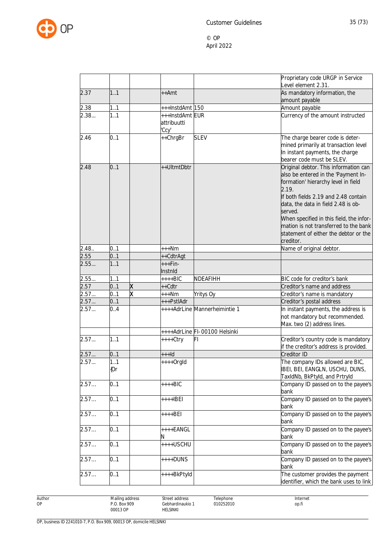

|              |               |                       |                               | Proprietary code URGP in Service<br>Level element 2.31.                    |
|--------------|---------------|-----------------------|-------------------------------|----------------------------------------------------------------------------|
| 2.37         | 1.1           | $++Amt$               |                               | As mandatory information, the                                              |
|              |               |                       |                               | amount payable                                                             |
| 2.38         | 1.1           | +++lnstdAmt 150       |                               | Amount payable                                                             |
| 2.38         | 1.1           | +++InstdAmt EUR       |                               | Currency of the amount instructed                                          |
|              |               | attribuutti<br>'Ccy'  |                               |                                                                            |
| 2.46         | 0.1           | ++ChrgBr              | <b>SLEV</b>                   | The charge bearer code is deter-                                           |
|              |               |                       |                               | mined primarily at transaction level                                       |
|              |               |                       |                               | In instant payments, the charge                                            |
|              |               |                       |                               | bearer code must be SLEV.                                                  |
| 2.48         | 0.1           | ++UltmtDbtr           |                               | Original debtor. This information can                                      |
|              |               |                       |                               | also be entered in the 'Payment In-<br>formation' hierarchy level in field |
|              |               |                       |                               | 2.19.                                                                      |
|              |               |                       |                               | If both fields 2.19 and 2.48 contain                                       |
|              |               |                       |                               | data, the data in field 2.48 is ob-                                        |
|              |               |                       |                               | served.                                                                    |
|              |               |                       |                               | When specified in this field, the infor-                                   |
|              |               |                       |                               | mation is not transferred to the bank                                      |
|              |               |                       |                               | statement of either the debtor or the                                      |
|              |               |                       |                               | creditor.                                                                  |
| 2.48.        | 0.1           | $***Nm$               |                               | Name of original debtor.                                                   |
| 2.55         | 0.1           | ++CdtrAgt             |                               |                                                                            |
| 2.55         | 1.1           | $***Fin-$             |                               |                                                                            |
|              |               | Instnid               |                               |                                                                            |
| 2.55         | 1.1           | ++++BIC               | NDEAFIHH                      | BIC code for creditor's bank                                               |
| 2.57<br>2.57 | X<br>0.1<br>X | ++Cdtr                |                               | Creditor's name and address                                                |
| 2.57         | 0.1<br>0.1    | $***Nm$<br>+++PstlAdr | <b>Yritys Oy</b>              | Creditor's name is mandatory<br>Creditor's postal address                  |
| 2.57         | 0.4           |                       | ++++AdrLine Mannerheimintie 1 | In instant payments, the address is                                        |
|              |               |                       |                               | not mandatory but recommended.                                             |
|              |               |                       |                               | Max. two (2) address lines.                                                |
|              |               |                       | ++++AdrLine FI-00100 Helsinki |                                                                            |
| 2.57         | 1.1           | ++++Ctry              | FL                            | Creditor's country code is mandatory                                       |
|              |               |                       |                               | if the creditor's address is provided.                                     |
| 2.57         | 0.1           | $++$ ld               |                               | Creditor ID                                                                |
| 2.57         | 1.1           | $***+Orgld$           |                               | The company IDs allowed are BIC,                                           |
|              | {Or           |                       |                               | IBEI, BEI, EANGLN, USCHU, DUNS,                                            |
|              |               |                       |                               | TaxIdNb, BkPtyld, and Prtryld                                              |
| 2.57         | 0.1           | $++++BIC$             |                               | Company ID passed on to the payee's                                        |
|              |               |                       |                               | bank                                                                       |
| 2.57         | 0.1           | ++++IBEI              |                               | Company ID passed on to the payee's<br>bank                                |
| 2.57         | 0.1           | ++++BEI               |                               | Company ID passed on to the payee's                                        |
|              |               |                       |                               | bank                                                                       |
| 2.57         | 0.1           | ++++EANGL             |                               | Company ID passed on to the payee's                                        |
|              |               | N                     |                               | bank                                                                       |
| 2.57         | 0.1           | ++++USCHU             |                               | Company ID passed on to the payee's                                        |
|              |               |                       |                               | bank                                                                       |
| 2.57         | 0.1           | $***$ DUNS            |                               | Company ID passed on to the payee's<br>bank                                |
| 2.57         | 0.1           | ++++BkPtyld           |                               | The customer provides the payment                                          |
|              |               |                       |                               | identifier, which the bank uses to link                                    |

Author OP

Street address Gebhardinaukio 1 HELSINKI

Telephone 010252010 Internet op.fi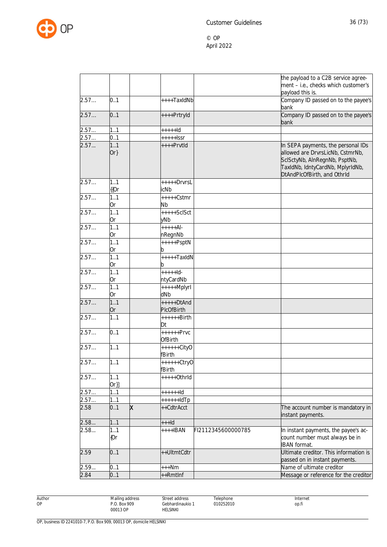

|      |               |   |                               |                    | the payload to a C2B service agree-<br>ment - i.e., checks which customer's                                                                                                |
|------|---------------|---|-------------------------------|--------------------|----------------------------------------------------------------------------------------------------------------------------------------------------------------------------|
|      |               |   |                               |                    | payload this is.                                                                                                                                                           |
| 2.57 | 0.1           |   | ++++TaxIdNb                   |                    | Company ID passed on to the payee's<br>bank                                                                                                                                |
| 2.57 | 0.1           |   | ++++PrtryId                   |                    | Company ID passed on to the payee's<br>bank                                                                                                                                |
| 2.57 | 1.1           |   | $++++$                        |                    |                                                                                                                                                                            |
| 2.57 | 0.1           |   | $***+$ lssr                   |                    |                                                                                                                                                                            |
| 2.57 | 1.1<br>$Or\}$ |   | ++++PrvtId                    |                    | In SEPA payments, the personal IDs<br>allowed are DrvrsLicNb, CstmrNb,<br>SclSctyNb, AInRegnNb, PsptNb,<br>TaxIdNb, IdntyCardNb, MplyrIdNb,<br>DtAndPlcOfBirth, and OthrId |
| 2.57 | 1.1<br>{{Or   |   | $++++-Drvrsl$<br>icNb         |                    |                                                                                                                                                                            |
| 2.57 | 1.1<br>0r     |   | +++++Cstmr<br><b>Nb</b>       |                    |                                                                                                                                                                            |
| 2.57 | 1.1<br>0r     |   | $++++-ScISct$<br>yNb          |                    |                                                                                                                                                                            |
| 2.57 | 1.1<br>0r     |   | $+ + + + + A$<br>nRegnNb      |                    |                                                                                                                                                                            |
| 2.57 | 1.1<br>0r     |   | $++++$ PsptN<br>b             |                    |                                                                                                                                                                            |
| 2.57 | 1.1<br>0r     |   | $++++$ TaxIdN<br>b            |                    |                                                                                                                                                                            |
| 2.57 | 1.1<br>0r     |   | $+ + + + +$ ld-<br>ntyCardNb  |                    |                                                                                                                                                                            |
| 2.57 | 1.1<br>0r     |   | +++++Mplyrl<br>dNb            |                    |                                                                                                                                                                            |
| 2.57 | 1.1<br>0r     |   | $++++-DtAnd$<br>PIcOfBirth    |                    |                                                                                                                                                                            |
| 2.57 | 11            |   | ++++++Birth<br>Dt             |                    |                                                                                                                                                                            |
| 2.57 | 0.1           |   | $+++++Prvc$<br><b>OfBirth</b> |                    |                                                                                                                                                                            |
| 2.57 | 1.1           |   | ++++++CityO<br>fBirth         |                    |                                                                                                                                                                            |
| 2.57 | 11            |   | ++++++Ctry0<br>fBirth         |                    |                                                                                                                                                                            |
| 2.57 | 1.1<br>$Or\}$ |   | $***+Othrld$                  |                    |                                                                                                                                                                            |
| 2.57 | 11            |   | $+++++Id$                     |                    |                                                                                                                                                                            |
| 2.57 | 11            |   | $+++++IdTp$                   |                    |                                                                                                                                                                            |
| 2.58 | 0.1           | X | ++CdtrAcct                    |                    | The account number is mandatory in<br>instant payments.                                                                                                                    |
| 2.58 | 11            |   | $++$ -Id                      |                    |                                                                                                                                                                            |
| 2.58 | 1.1<br>${0r}$ |   | $***$ HBAN                    | FI2112345600000785 | In instant payments, the payee's ac-<br>count number must always be in<br><b>IBAN</b> format.                                                                              |
| 2.59 | 0.1           |   | ++UltmtCdtr                   |                    | Ultimate creditor. This information is<br>passed on in instant payments.                                                                                                   |
| 2.59 | 0.1           |   | $***Nm$                       |                    | Name of ultimate creditor                                                                                                                                                  |
| 2.84 | 0.1           |   | ++Rmtlnf                      |                    | Message or reference for the creditor                                                                                                                                      |

Author OP

Street address

HELSINKI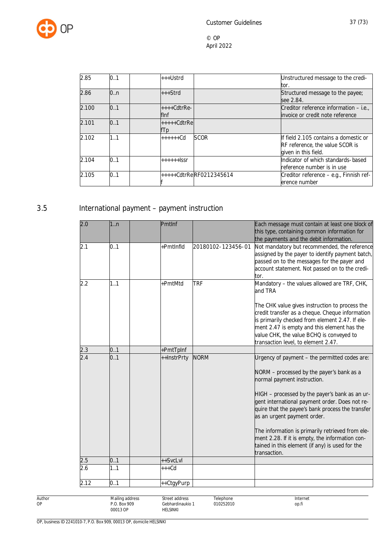

| 2.85  | 0.1 | +++Ustrd                 | Unstructured message to the credi-      |
|-------|-----|--------------------------|-----------------------------------------|
|       |     |                          | tor.                                    |
| 2.86  | 0.n | $++$ Strd                | Structured message to the payee;        |
|       |     |                          | see 2.84.                               |
| 2.100 | 0.1 | $***Cdt$ rRe-            | Creditor reference information – i.e.,  |
|       |     | flnf                     | invoice or credit note reference        |
| 2.101 | 0.1 | +++++CdtrRe              |                                         |
|       |     | fTp                      |                                         |
| 2.102 | 1.1 | <b>SCOR</b><br>$+++++Cd$ | If field 2.105 contains a domestic or   |
|       |     |                          | <b>RF</b> reference, the value SCOR is  |
|       |     |                          | given in this field.                    |
| 2.104 | 0.1 | $+++++$                  | Indicator of which standards-based      |
|       |     |                          | reference number is in use              |
| 2.105 | 0.1 | +++++CdtrReRF0212345614  | Creditor reference - e.g., Finnish ref- |
|       |     |                          | erence number                           |

## 3.5 International payment – payment instruction

| 2.0  | 1n  | Pmtlnf      |                    | Each message must contain at least one block of<br>this type, containing common information for<br>the payments and the debit information.                                                                                                                                                                                                                                                                                                                                                 |
|------|-----|-------------|--------------------|--------------------------------------------------------------------------------------------------------------------------------------------------------------------------------------------------------------------------------------------------------------------------------------------------------------------------------------------------------------------------------------------------------------------------------------------------------------------------------------------|
| 2.1  | 0.1 | +PmtInfld   | 20180102-123456-01 | Not mandatory but recommended, the reference<br>assigned by the payer to identify payment batch,<br>passed on to the messages for the payer and<br>account statement. Not passed on to the credi-<br>tor.                                                                                                                                                                                                                                                                                  |
| 2.2  | 1.1 | +PmtMtd     | <b>TRF</b>         | Mandatory - the values allowed are TRF, CHK,<br>and TRA<br>The CHK value gives instruction to process the<br>credit transfer as a cheque. Cheque information<br>is primarily checked from element 2.47. If ele-<br>ment 2.47 is empty and this element has the<br>value CHK, the value BCHQ is conveyed to<br>transaction level, to element 2.47.                                                                                                                                          |
| 2.3  | 0.1 | +PmtTpInf   |                    |                                                                                                                                                                                                                                                                                                                                                                                                                                                                                            |
| 2.4  | 0.1 | ++InstrPrty | <b>NORM</b>        | Urgency of payment - the permitted codes are:<br>NORM - processed by the payer's bank as a<br>normal payment instruction.<br>HIGH - processed by the payer's bank as an ur-<br>gent international payment order. Does not re-<br>quire that the payee's bank process the transfer<br>as an urgent payment order.<br>The information is primarily retrieved from ele-<br>ment 2.28. If it is empty, the information con-<br>tained in this element (if any) is used for the<br>transaction. |
| 2.5  | 0.1 | ++SvcLvl    |                    |                                                                                                                                                                                                                                                                                                                                                                                                                                                                                            |
| 2.6  | 1.1 | $+++Cd$     |                    |                                                                                                                                                                                                                                                                                                                                                                                                                                                                                            |
| 2.12 | 0.1 | ++CtgyPurp  |                    |                                                                                                                                                                                                                                                                                                                                                                                                                                                                                            |

Author OP

Telephone 010252010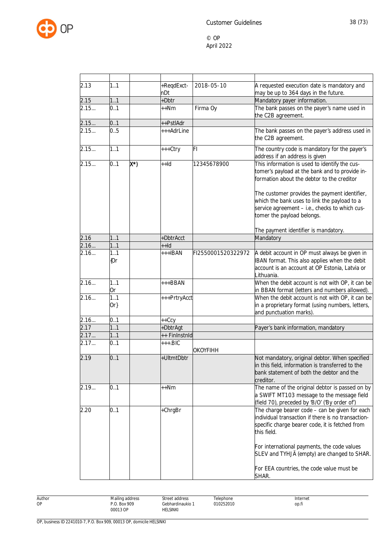

| 2.13 | 1.1           |     | +ReqdExct-    | 2018-05-10         | A requested execution date is mandatory and                                                                                                                                                                                                                                                                                    |
|------|---------------|-----|---------------|--------------------|--------------------------------------------------------------------------------------------------------------------------------------------------------------------------------------------------------------------------------------------------------------------------------------------------------------------------------|
|      |               |     | nDt           |                    | may be up to 364 days in the future.                                                                                                                                                                                                                                                                                           |
| 2.15 | 11            |     | +Dbtr         |                    | Mandatory payer information.                                                                                                                                                                                                                                                                                                   |
| 2.15 | 0.1           |     | $++Nm$        | Firma Oy           | The bank passes on the payer's name used in<br>the C2B agreement.                                                                                                                                                                                                                                                              |
| 2.15 | 0.1           |     | ++PstlAdr     |                    |                                                                                                                                                                                                                                                                                                                                |
| 2.15 | 0.5           |     | +++AdrLine    |                    | The bank passes on the payer's address used in<br>the C2B agreement.                                                                                                                                                                                                                                                           |
| 2.15 | 1.1           |     | +++Ctry       | FI                 | The country code is mandatory for the payer's<br>address if an address is given                                                                                                                                                                                                                                                |
| 2.15 | 0.1           | X*) | $++Id$        | 12345678900        | This information is used to identify the cus-<br>tomer's payload at the bank and to provide in-<br>formation about the debtor to the creditor<br>The customer provides the payment identifier,<br>which the bank uses to link the payload to a<br>service agreement - i.e., checks to which cus-<br>tomer the payload belongs. |
|      |               |     |               |                    |                                                                                                                                                                                                                                                                                                                                |
|      |               |     |               |                    | The payment identifier is mandatory.                                                                                                                                                                                                                                                                                           |
| 2.16 | 11            |     | +DbtrAcct     |                    | Mandatory                                                                                                                                                                                                                                                                                                                      |
| 2.16 | 11            |     | $++Id$        |                    |                                                                                                                                                                                                                                                                                                                                |
| 2.16 | 1.1<br>{Or    |     | $++IBAN$      | FI2550001520322972 | A debit account in OP must always be given in<br>IBAN format. This also applies when the debit<br>account is an account at OP Estonia, Latvia or<br>Lithuania.                                                                                                                                                                 |
| 2.16 | 1.1<br>0r     |     | $++BBAN$      |                    | When the debit account is not with OP, it can be<br>in BBAN format (letters and numbers allowed).                                                                                                                                                                                                                              |
| 2.16 | 1.1<br>$Or\}$ |     | +++PrtryAcct  |                    | When the debit account is not with OP, it can be<br>in a proprietary format (using numbers, letters,<br>and punctuation marks).                                                                                                                                                                                                |
| 2.16 | 0.1           |     | ++Ccy         |                    |                                                                                                                                                                                                                                                                                                                                |
| 2.17 | 11            |     | +DbtrAgt      |                    | Payer's bank information, mandatory                                                                                                                                                                                                                                                                                            |
| 2.17 | 11            |     | ++ FinInstnId |                    |                                                                                                                                                                                                                                                                                                                                |
| 2.17 | 0.1           |     | $+++$ .BIC    |                    |                                                                                                                                                                                                                                                                                                                                |
|      |               |     |               | OKOYFIHH           |                                                                                                                                                                                                                                                                                                                                |
| 2.19 | 0.1           |     | +UltmtDbtr    |                    | Not mandatory, original debtor. When specified<br>in this field, information is transferred to the<br>bank statement of both the debtor and the<br>creditor.                                                                                                                                                                   |
| 2.19 | 0.1           |     | ++Nm          |                    | The name of the original debtor is passed on by<br>a SWIFT MT103 message to the message field<br>(field 70), preceded by 'B/O' ('By order of')                                                                                                                                                                                 |
| 2.20 | 0.1           |     | +ChrgBr       |                    | The charge bearer code - can be given for each<br>individual transaction if there is no transaction-<br>specific charge bearer code, it is fetched from<br>this field.                                                                                                                                                         |
|      |               |     |               |                    | For international payments, the code values<br>SLEV and TYHJÄ (empty) are changed to SHAR.<br>For EEA countries, the code value must be                                                                                                                                                                                        |
|      |               |     |               |                    | SHAR.                                                                                                                                                                                                                                                                                                                          |

Author OP Mailing address P.O. Box 909 00013 OP Street address Gebhardinaukio 1 HELSINKI Telephone 010252010 Internet op.fi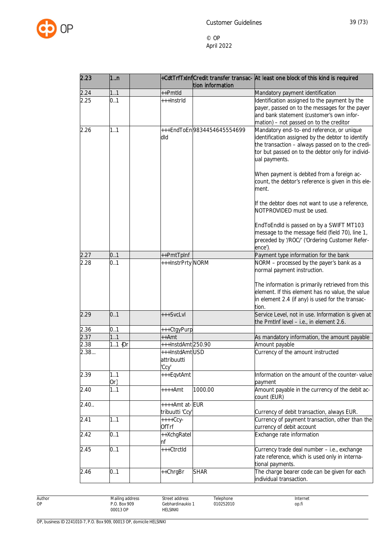

| 2.23  | 1n            |                                        | tion information           | +CdtTrfTxInfCredit transfer transac- At least one block of this kind is required                                                                                                                                         |
|-------|---------------|----------------------------------------|----------------------------|--------------------------------------------------------------------------------------------------------------------------------------------------------------------------------------------------------------------------|
| 2.24  | 1.1           | ++Pmtld                                |                            | Mandatory payment identification                                                                                                                                                                                         |
| 2.25  | 0.1           | +++InstrId                             |                            | Identification assigned to the payment by the<br>payer, passed on to the messages for the payer<br>and bank statement (customer's own infor-<br>mation) - not passed on to the creditor                                  |
| 2.26  | 1.1           | dld                                    | +++EndToEn9834454645554699 | Mandatory end-to-end reference, or unique<br>identification assigned by the debtor to identify<br>the transaction - always passed on to the credi-<br>tor but passed on to the debtor only for individ-<br>ual payments. |
|       |               |                                        |                            | When payment is debited from a foreign ac-<br>count, the debtor's reference is given in this ele-<br>ment.                                                                                                               |
|       |               |                                        |                            | If the debtor does not want to use a reference,<br>NOTPROVIDED must be used.                                                                                                                                             |
|       |               |                                        |                            | EndToEndId is passed on by a SWIFT MT103<br>message to the message field (field 70), line 1,<br>preceded by '/ROC/' ('Ordering Customer Refer-<br>ence').                                                                |
| 2.27  | 0.1           | ++PmtTpInf                             |                            | Payment type information for the bank                                                                                                                                                                                    |
| 2.28  | 0.1           | +++InstrPrty NORM                      |                            | NORM - processed by the payer's bank as a<br>normal payment instruction.                                                                                                                                                 |
|       |               |                                        |                            | The information is primarily retrieved from this<br>element. If this element has no value, the value<br>in element 2.4 (if any) is used for the transac-<br>tion.                                                        |
| 2.29  | 0.1           | +++SvcLvl                              |                            | Service Level, not in use. Information is given at<br>the PmtInf level - i.e., in element 2.6.                                                                                                                           |
| 2.36  | 0.1           | +++CtgyPurp                            |                            |                                                                                                                                                                                                                          |
| 2.37  | 1.1           | ++Amt                                  |                            | As mandatory information, the amount payable                                                                                                                                                                             |
| 2.38  | 11 $[0r]$     | +++InstdAmt250.90                      |                            | Amount payable                                                                                                                                                                                                           |
| 2.38  |               | +++InstdAmtUSD<br>attribuutti<br>'Ccy' |                            | Currency of the amount instructed                                                                                                                                                                                        |
| 2.39  | 1.1<br>$Or\}$ | +++EqvtAmt                             |                            | Information on the amount of the counter-value<br>payment                                                                                                                                                                |
| 2.40  | 1.1           | ++++Amt                                | 1000.00                    | Amount payable in the currency of the debit ac-<br>count (EUR)                                                                                                                                                           |
| 2.40. |               | ++++Amt at-EUR<br>tribuutti 'Ccy'      |                            | Currency of debit transaction, always EUR.                                                                                                                                                                               |
| 2.41  | 1.1           | $++++Ccy-$<br><b>OfTrf</b>             |                            | Currency of payment transaction, other than the<br>currency of debit account                                                                                                                                             |
| 2.42  | 0.1           | ++XchgRatel<br>nf                      |                            | Exchange rate information                                                                                                                                                                                                |
| 2.45  | 0.1           | +++CtrctId                             |                            | Currency trade deal number - i.e., exchange<br>rate reference, which is used only in interna-<br>tional payments.                                                                                                        |
| 2.46  | 0.1           | ++ChrgBr                               | <b>SHAR</b>                | The charge bearer code can be given for each<br>individual transaction.                                                                                                                                                  |

Author OP

Street address Gebhardinaukio 1 HELSINKI

Telephone 010252010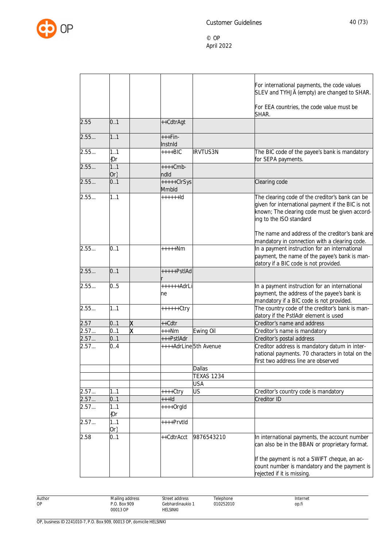

|      |               |   |                                     |                   | For international payments, the code values<br>SLEV and TYHJÄ (empty) are changed to SHAR.                                                                                        |
|------|---------------|---|-------------------------------------|-------------------|-----------------------------------------------------------------------------------------------------------------------------------------------------------------------------------|
|      |               |   |                                     |                   | For EEA countries, the code value must be<br>SHAR.                                                                                                                                |
| 2.55 | 0.1           |   | ++CdtrAgt                           |                   |                                                                                                                                                                                   |
| 2.55 | 1.1           |   | $***Fin-$<br>Instnid                |                   |                                                                                                                                                                                   |
| 2.55 | 1.1<br>(Or    |   | $+++BIC$                            | <b>IRVTUS3N</b>   | The BIC code of the payee's bank is mandatory<br>for SEPA payments.                                                                                                               |
| 2.55 | 1.1<br>$Or\}$ |   | $++++Cmb-$<br>ndId                  |                   |                                                                                                                                                                                   |
| 2.55 | 0.1           |   | $++++-ClrSys$<br>Mmbld              |                   | Clearing code                                                                                                                                                                     |
| 2.55 | 1.1           |   | $++++1d$                            |                   | The clearing code of the creditor's bank can be<br>given for international payment if the BIC is not<br>known; The clearing code must be given accord-<br>ing to the ISO standard |
|      |               |   |                                     |                   | The name and address of the creditor's bank are<br>mandatory in connection with a clearing code.                                                                                  |
| 2.55 | 0.1           |   | $***+Nm$                            |                   | In a payment instruction for an international<br>payment, the name of the payee's bank is man-<br>datory if a BIC code is not provided.                                           |
| 2.55 | 0.1           |   | $++++PstIAd$                        |                   |                                                                                                                                                                                   |
| 2.55 | 0.5           |   | ++++++AdrLi<br>ne                   |                   | In a payment instruction for an international<br>payment, the address of the payee's bank is<br>mandatory if a BIC code is not provided.                                          |
| 2.55 | 1.1           |   | $+++++Ctry$                         |                   | The country code of the creditor's bank is man-<br>datory if the PstlAdr element is used                                                                                          |
| 2.57 | 0.1           | X | ++Cdtr                              |                   | Creditor's name and address                                                                                                                                                       |
| 2.57 | 0.1           | X | $***Nm$                             | Ewing Oil         | Creditor's name is mandatory                                                                                                                                                      |
| 2.57 | 0.1           |   |                                     |                   | Creditor's postal address                                                                                                                                                         |
| 2.57 | 0.4           |   | +++PstlAdr<br>++++AdrLine5th Avenue |                   | Creditor address is mandatory datum in inter-<br>national payments. 70 characters in total on the<br>first two address line are observed                                          |
|      |               |   |                                     | <b>Dallas</b>     |                                                                                                                                                                                   |
|      |               |   |                                     | <b>TEXAS 1234</b> |                                                                                                                                                                                   |
|      |               |   |                                     | <b>USA</b>        |                                                                                                                                                                                   |
| 2.57 | 1.1           |   | ++++Ctry                            | US                | Creditor's country code is mandatory                                                                                                                                              |
| 2.57 | 0.1           |   | $++$ -Id                            |                   | Creditor ID                                                                                                                                                                       |
| 2.57 | 1.1<br>{Or    |   | $++++$ Orgld                        |                   |                                                                                                                                                                                   |
| 2.57 | 1.1<br>$Or\}$ |   | ++++PrvtId                          |                   |                                                                                                                                                                                   |
| 2.58 | 0.1           |   | ++CdtrAcct                          | 9876543210        | In international payments, the account number<br>can also be in the BBAN or proprietary format.                                                                                   |
|      |               |   |                                     |                   | If the payment is not a SWIFT cheque, an ac-<br>count number is mandatory and the payment is<br>rejected if it is missing.                                                        |

Author OP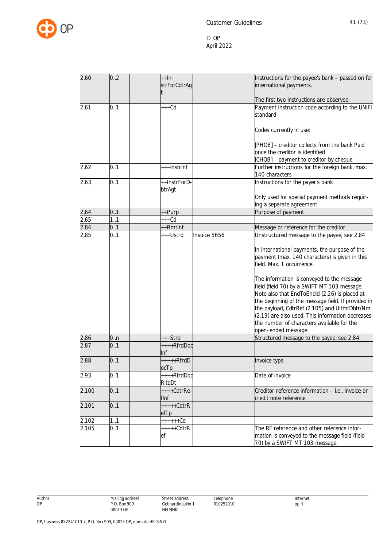

| 2.60  | 0.2 | $++In-$                  | Instructions for the payee's bank - passed on for                                                                                                                                                                                                                                                                                                                          |
|-------|-----|--------------------------|----------------------------------------------------------------------------------------------------------------------------------------------------------------------------------------------------------------------------------------------------------------------------------------------------------------------------------------------------------------------------|
|       |     | strForCdtrAg             | international payments.                                                                                                                                                                                                                                                                                                                                                    |
|       |     |                          | The first two instructions are observed.                                                                                                                                                                                                                                                                                                                                   |
| 2.61  | 0.1 | $+++Cd$                  | Payment instruction code according to the UNIFI<br>standard                                                                                                                                                                                                                                                                                                                |
|       |     |                          | Codes currently in use:                                                                                                                                                                                                                                                                                                                                                    |
|       |     |                          | [PHOB] - creditor collects from the bank Paid<br>once the creditor is identified                                                                                                                                                                                                                                                                                           |
|       |     |                          | [CHQB] - payment to creditor by cheque                                                                                                                                                                                                                                                                                                                                     |
| 2.62  | 0.1 | +++InstrInf              | Further instructions for the foreign bank, max.<br>140 characters                                                                                                                                                                                                                                                                                                          |
| 2.63  | 0.1 | ++InstrForD-<br>btrAgt   | Instructions for the payer's bank                                                                                                                                                                                                                                                                                                                                          |
|       |     |                          | Only used for special payment methods requir-<br>ing a separate agreement.                                                                                                                                                                                                                                                                                                 |
| 2.64  | 0.1 | ++Purp                   | Purpose of payment                                                                                                                                                                                                                                                                                                                                                         |
| 2.65  | 1.1 | $+++Cd$                  |                                                                                                                                                                                                                                                                                                                                                                            |
| 2.84  | 0.1 | ++Rmtlnf                 | Message or reference for the creditor                                                                                                                                                                                                                                                                                                                                      |
| 2.85  | 0.1 | Invoice 5656<br>+++Ustrd | Unstructured message to the payee; see 2.84                                                                                                                                                                                                                                                                                                                                |
|       |     |                          | In international payments, the purpose of the<br>payment (max. 140 characters) is given in this<br>field. Max. 1 occurrence.                                                                                                                                                                                                                                               |
|       |     |                          | The information is conveyed to the message<br>field (field 70) by a SWIFT MT 103 message.<br>Note also that EndToEndld (2.26) is placed at<br>the beginning of the message field. If provided in<br>the payload, CdtrRef (2.105) and UltmtDbtr/Nm<br>(2.19) are also used. This information decreases<br>the number of characters available for the<br>open-ended message. |
| 2.86  | 0n  | +++Strd                  | Structured message to the payee; see 2.84.                                                                                                                                                                                                                                                                                                                                 |
| 2.87  | 0.1 | ++++RfrdDoc<br>Inf       |                                                                                                                                                                                                                                                                                                                                                                            |
| 2.88  | 0.1 | $+++++RfrdD$<br>ocTp     | Invoice type                                                                                                                                                                                                                                                                                                                                                               |
| 2.93  | 0.1 | ++++RfrdDoc<br>RItdDt    | Date of invoice                                                                                                                                                                                                                                                                                                                                                            |
| 2.100 | 0.1 | ++++CdtrRe-<br>flnf      | Creditor reference information - i.e., invoice or<br>credit note reference                                                                                                                                                                                                                                                                                                 |
| 2.101 | 0.1 | $***+CdtrR$<br>efTp      |                                                                                                                                                                                                                                                                                                                                                                            |
| 2.102 | 1.1 | $+++++Cd$                |                                                                                                                                                                                                                                                                                                                                                                            |
| 2.105 | 0.1 | $***+CdtrR$<br>ef        | The RF reference and other reference infor-<br>mation is conveyed to the message field (field<br>70) by a SWIFT MT 103 message.                                                                                                                                                                                                                                            |

Author OP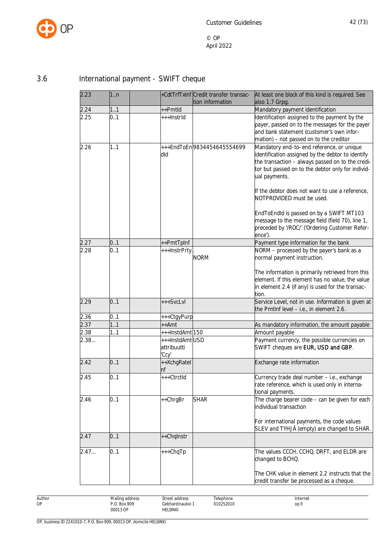

# 3.6 International payment - SWIFT cheque

| 2.23 | 1. n |                                        | +CdtTrfTxInf Credit transfer transac-<br>tion information | At least one block of this kind is required. See<br>also 1.7 Grpg.                                                                                                                                                                                                                                                                                                                                       |
|------|------|----------------------------------------|-----------------------------------------------------------|----------------------------------------------------------------------------------------------------------------------------------------------------------------------------------------------------------------------------------------------------------------------------------------------------------------------------------------------------------------------------------------------------------|
| 2.24 | 1.1  | ++Pmtld                                |                                                           | Mandatory payment identification                                                                                                                                                                                                                                                                                                                                                                         |
| 2.25 | 0.1  | +++InstrId                             |                                                           | Identification assigned to the payment by the<br>payer, passed on to the messages for the payer<br>and bank statement (customer's own infor-<br>mation) - not passed on to the creditor                                                                                                                                                                                                                  |
| 2.26 | 1.1  | dld                                    | +++EndToEn9834454645554699                                | Mandatory end-to-end reference, or unique<br>identification assigned by the debtor to identify<br>the transaction - always passed on to the credi-<br>tor but passed on to the debtor only for individ-<br>ual payments.<br>If the debtor does not want to use a reference,<br>NOTPROVIDED must be used.<br>EndToEndId is passed on by a SWIFT MT103<br>message to the message field (field 70), line 1, |
|      |      |                                        |                                                           | preceded by '/ROC/' ('Ordering Customer Refer-<br>ence').                                                                                                                                                                                                                                                                                                                                                |
| 2.27 | 0.1  | ++PmtTpInf                             |                                                           | Payment type information for the bank                                                                                                                                                                                                                                                                                                                                                                    |
| 2.28 | 0.1  | +++InstrPrty                           | <b>NORM</b>                                               | NORM - processed by the payer's bank as a<br>normal payment instruction.                                                                                                                                                                                                                                                                                                                                 |
|      |      |                                        |                                                           | The information is primarily retrieved from this<br>element. If this element has no value, the value<br>in element 2.4 (if any) is used for the transac-<br>tion.                                                                                                                                                                                                                                        |
| 2.29 | 0.1  | +++SvcLvl                              |                                                           | Service Level, not in use. Information is given at<br>the PmtInf level - i.e., in element 2.6.                                                                                                                                                                                                                                                                                                           |
| 2.36 | 0.1  | +++CtgyPurp                            |                                                           |                                                                                                                                                                                                                                                                                                                                                                                                          |
| 2.37 | 1.1  | ++Amt                                  |                                                           | As mandatory information, the amount payable                                                                                                                                                                                                                                                                                                                                                             |
| 2.38 | 11   | +++InstdAmt150                         |                                                           | Amount payable                                                                                                                                                                                                                                                                                                                                                                                           |
| 2.38 |      | +++InstdAmtUSD<br>attribuutti<br>'Ccy' |                                                           | Payment currency, the possible currencies on<br>SWIFT cheques are EUR, USD and GBP.                                                                                                                                                                                                                                                                                                                      |
| 2.42 | 0.1  | ++XchgRatel<br>nf                      |                                                           | Exchange rate information                                                                                                                                                                                                                                                                                                                                                                                |
| 2.45 | 0.1  | +++CtrctId                             |                                                           | Currency trade deal number - i.e., exchange<br>rate reference, which is used only in interna-<br>tional payments.                                                                                                                                                                                                                                                                                        |
| 2.46 | 0.1  | ++ChrgBr                               | <b>SHAR</b>                                               | The charge bearer code - can be given for each<br>individual transaction<br>For international payments, the code values<br>SLEV and TYHJÄ (empty) are changed to SHAR.                                                                                                                                                                                                                                   |
| 2.47 | 0.1  | ++ChqInstr                             |                                                           |                                                                                                                                                                                                                                                                                                                                                                                                          |
| 2.47 | 0.1  | +++ChqTp                               |                                                           | The values CCCH, CCHQ, DRFT, and ELDR are<br>changed to BCHQ.<br>The CHK value in element 2.2 instructs that the                                                                                                                                                                                                                                                                                         |
|      |      |                                        |                                                           | credit transfer be processed as a cheque.                                                                                                                                                                                                                                                                                                                                                                |

Mailing address P.O. Box 909 00013 OP Street address Gebhardinaukio 1 HELSINKI Telephone 010252010 Internet op.fi

Author OP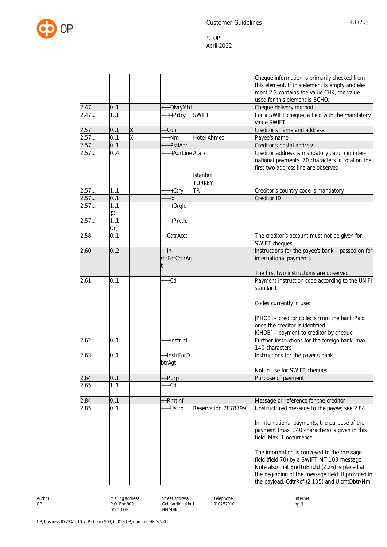

|              |               |                         |                          |                     | Cheque information is primarily checked from                                                                                             |
|--------------|---------------|-------------------------|--------------------------|---------------------|------------------------------------------------------------------------------------------------------------------------------------------|
|              |               |                         |                          |                     | this element. If this element is empty and ele-                                                                                          |
|              |               |                         |                          |                     | ment 2.2 contains the value CHK, the value                                                                                               |
|              | 0.1           |                         |                          |                     | used for this element is BCHQ.                                                                                                           |
| 2.47<br>2.47 | 1.1           |                         | +++DlvryMtd<br>++++Prtry | <b>SWIFT</b>        | Cheque delivery method<br>For a SWIFT cheque, a field with the mandatory                                                                 |
|              |               |                         |                          |                     | value SWIFT                                                                                                                              |
| 2.57         | 0.1           | X                       | ++Cdtr                   |                     | Creditor's name and address                                                                                                              |
| 2.57         | 0.1           | $\overline{\mathsf{x}}$ | $***Nm$                  | <b>Hotel Ahmed</b>  | Payee's name                                                                                                                             |
| 2.57         | 0.1           |                         | +++PstlAdr               |                     | Creditor's postal address                                                                                                                |
| 2.57         | 0.4           |                         | ++++AdrLineAta 7         |                     | Creditor address is mandatory datum in inter-<br>national payments. 70 characters in total on the<br>first two address line are observed |
|              |               |                         |                          | Istanbul            |                                                                                                                                          |
|              |               |                         |                          | <b>TURKEY</b>       |                                                                                                                                          |
| 2.57         | 1.1           |                         | ++++Ctry                 | <b>TR</b>           | Creditor's country code is mandatory                                                                                                     |
| 2.57         | 0.1           |                         | $++$ -Id                 |                     | Creditor ID                                                                                                                              |
| 2.57         | 1.1<br>${0r}$ |                         | $++++$ Orgld             |                     |                                                                                                                                          |
| 2.57         | 1.1           |                         | $***$ PrvtId             |                     |                                                                                                                                          |
|              | $Or\}$        |                         |                          |                     |                                                                                                                                          |
| 2.58         | 0.1           |                         | ++CdtrAcct               |                     | The creditor's account must not be given for<br><b>SWIFT cheques</b>                                                                     |
| 2.60         | 0.2           |                         | $++In-$                  |                     | Instructions for the payee's bank - passed on for                                                                                        |
|              |               |                         | strForCdtrAg             |                     | international payments.                                                                                                                  |
|              |               |                         |                          |                     | The first two instructions are observed.                                                                                                 |
| 2.61         | 0.1           |                         | $+++Cd$                  |                     | Payment instruction code according to the UNIFI<br>standard                                                                              |
|              |               |                         |                          |                     | Codes currently in use:                                                                                                                  |
|              |               |                         |                          |                     | [PHOB] - creditor collects from the bank Paid                                                                                            |
|              |               |                         |                          |                     | once the creditor is identified                                                                                                          |
|              |               |                         |                          |                     | [CHQB] - payment to creditor by cheque                                                                                                   |
| 2.62         | 0.1           |                         | +++InstrInf              |                     | Further instructions for the foreign bank, max.<br>140 characters                                                                        |
| 2.63         | 0.1           |                         | ++InstrForD-             |                     | Instructions for the payer's bank                                                                                                        |
|              |               |                         | btrAgt                   |                     |                                                                                                                                          |
|              |               |                         |                          |                     | Not in use for SWIFT cheques.                                                                                                            |
| 2.64         | 0.1           |                         | ++Purp                   |                     | Purpose of payment                                                                                                                       |
| 2.65         | 1.1           |                         | +++Cd                    |                     |                                                                                                                                          |
| 2.84         | 0.1           |                         | ++Rmtlnf                 |                     | Message or reference for the creditor                                                                                                    |
| 2.85         | 0.1           |                         | +++Ustrd                 | Reservation 7878799 | Unstructured message to the payee; see 2.84                                                                                              |
|              |               |                         |                          |                     |                                                                                                                                          |
|              |               |                         |                          |                     | In international payments, the purpose of the                                                                                            |
|              |               |                         |                          |                     | payment (max. 140 characters) is given in this                                                                                           |
|              |               |                         |                          |                     | field. Max. 1 occurrence.                                                                                                                |
|              |               |                         |                          |                     |                                                                                                                                          |
|              |               |                         |                          |                     | The information is conveyed to the message                                                                                               |
|              |               |                         |                          |                     | field (field 70) by a SWIFT MT 103 message.                                                                                              |
|              |               |                         |                          |                     | Note also that EndToEndld (2.26) is placed at                                                                                            |
|              |               |                         |                          |                     | the beginning of the message field. If provided in                                                                                       |
|              |               |                         |                          |                     | the payload, CdtrRef (2.105) and UltmtDbtr/Nm                                                                                            |

Author OP

Street address Gebhardinaukio 1 HELSINKI

Telephone 010252010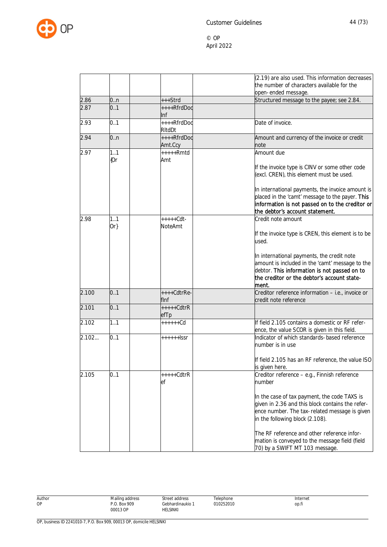

|       |               |                        | (2.19) are also used. This information decreases                                   |
|-------|---------------|------------------------|------------------------------------------------------------------------------------|
|       |               |                        | the number of characters available for the                                         |
|       |               |                        | open-ended message.                                                                |
| 2.86  | 0.n           | +++Strd                | Structured message to the payee; see 2.84.                                         |
| 2.87  | 0.1           | ++++RfrdDoc            |                                                                                    |
|       |               | Inf                    |                                                                                    |
| 2.93  | 0.1           | ++++RfrdDoc<br>RItdDt  | Date of invoice.                                                                   |
| 2.94  | 0.n           | ++++RfrdDoc            | Amount and currency of the invoice or credit                                       |
|       |               | Amt.Ccy                | note                                                                               |
| 2.97  | 1.1<br>{Or    | $***+Rmtd$<br>Amt      | Amount due                                                                         |
|       |               |                        | If the invoice type is CINV or some other code                                     |
|       |               |                        | (excl. CREN), this element must be used.                                           |
|       |               |                        | In international payments, the invoice amount is                                   |
|       |               |                        | placed in the 'camt' message to the payer. This                                    |
|       |               |                        | information is not passed on to the creditor or<br>the debtor's account statement. |
| 2.98  | 1.1<br>$Or\}$ | $++++-Cdt-$<br>NoteAmt | Credit note amount                                                                 |
|       |               |                        | If the invoice type is CREN, this element is to be                                 |
|       |               |                        | used.                                                                              |
|       |               |                        | In international payments, the credit note                                         |
|       |               |                        | amount is included in the 'camt' message to the                                    |
|       |               |                        | debtor. This information is not passed on to                                       |
|       |               |                        | the creditor or the debtor's account state-                                        |
|       |               |                        | lment.                                                                             |
| 2.100 | 0.1           | ++++CdtrRe-<br>flnf    | Creditor reference information - i.e., invoice or<br>credit note reference         |
| 2.101 | 0.1           | $+++++CdtrR$           |                                                                                    |
|       |               | efTp                   |                                                                                    |
| 2.102 | 1.1           | $+++++Cd$              | If field 2.105 contains a domestic or RF refer-                                    |
|       |               |                        | ence, the value SCOR is given in this field.                                       |
| 2.102 | 0.1           | $++++$ +ssr            | Indicator of which standards-based reference<br>number is in use                   |
|       |               |                        | If field 2.105 has an RF reference, the value ISO                                  |
|       |               |                        | is given here.                                                                     |
| 2.105 | 0.1           | $***+CdtrR$            | Creditor reference - e.g., Finnish reference                                       |
|       |               | ef                     | number                                                                             |
|       |               |                        | In the case of tax payment, the code TAXS is                                       |
|       |               |                        | given in 2.36 and this block contains the refer-                                   |
|       |               |                        | ence number. The tax-related message is given                                      |
|       |               |                        | in the following block (2.108).                                                    |
|       |               |                        | The RF reference and other reference infor-                                        |
|       |               |                        | mation is conveyed to the message field (field                                     |
|       |               |                        | 70) by a SWIFT MT 103 message.                                                     |

Author OP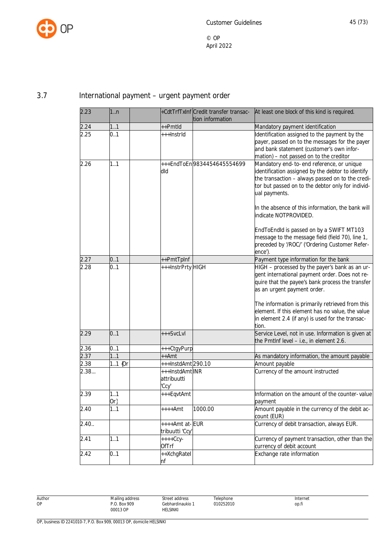

## 3.7 International payment – urgent payment order

| 2.23  | 1 <sub>n</sub> |                              | +CdtTrfTxInf Credit transfer transac- | At least one block of this kind is required.               |
|-------|----------------|------------------------------|---------------------------------------|------------------------------------------------------------|
|       |                |                              | tion information                      |                                                            |
| 2.24  | 11             | ++Pmtld                      |                                       | Mandatory payment identification                           |
| 2.25  | 0.1            | +++InstrId                   |                                       | Identification assigned to the payment by the              |
|       |                |                              |                                       | payer, passed on to the messages for the payer             |
|       |                |                              |                                       | and bank statement (customer's own infor-                  |
|       |                |                              |                                       | mation) - not passed on to the creditor                    |
| 2.26  | 1.1            |                              | +++EndToEn9834454645554699            | Mandatory end-to-end reference, or unique                  |
|       |                | dld                          |                                       | identification assigned by the debtor to identify          |
|       |                |                              |                                       | the transaction - always passed on to the credi-           |
|       |                |                              |                                       | tor but passed on to the debtor only for individ-          |
|       |                |                              |                                       | ual payments.                                              |
|       |                |                              |                                       | In the absence of this information, the bank will          |
|       |                |                              |                                       | indicate NOTPROVIDED.                                      |
|       |                |                              |                                       | EndToEndId is passed on by a SWIFT MT103                   |
|       |                |                              |                                       | message to the message field (field 70), line 1,           |
|       |                |                              |                                       | preceded by '/ROC/' ('Ordering Customer Refer-             |
|       |                |                              |                                       | ence').                                                    |
| 2.27  | 0.1            | ++PmtTpInf                   |                                       | Payment type information for the bank                      |
| 2.28  | 0.1            | +++InstrPrty HIGH            |                                       | HIGH - processed by the payer's bank as an ur-             |
|       |                |                              |                                       | gent international payment order. Does not re-             |
|       |                |                              |                                       | quire that the payee's bank process the transfer           |
|       |                |                              |                                       | as an urgent payment order.                                |
|       |                |                              |                                       | The information is primarily retrieved from this           |
|       |                |                              |                                       | element. If this element has no value, the value           |
|       |                |                              |                                       | in element 2.4 (if any) is used for the transac-           |
|       |                |                              |                                       | tion.                                                      |
| 2.29  | 0.1            | +++SvcLvl                    |                                       | Service Level, not in use. Information is given at         |
|       |                |                              |                                       | the PmtInf level - i.e., in element 2.6.                   |
| 2.36  | 0.1            | +++CtgyPurp                  |                                       |                                                            |
| 2.37  | 1.1            | ++Amt                        |                                       | As mandatory information, the amount payable               |
| 2.38  | 11 ${Or}$      | +++InstdAmt290.10            |                                       | Amount payable                                             |
| 2.38  |                | +++InstdAmt INR              |                                       | Currency of the amount instructed                          |
|       |                | attribuutti                  |                                       |                                                            |
|       |                | 'Ccy'                        |                                       |                                                            |
| 2.39  | 1.1            | +++EqvtAmt                   |                                       | Information on the amount of the counter-value             |
|       |                |                              |                                       |                                                            |
| 2.40  | Or}<br>1.1     |                              | 1000.00                               | payment<br>Amount payable in the currency of the debit ac- |
|       |                | ++++Amt                      |                                       | count (EUR)                                                |
| 2.40. |                | ++++Amt at-EUR               |                                       | Currency of debit transaction, always EUR.                 |
|       |                |                              |                                       |                                                            |
| 2.41  | 1.1            | tribuutti 'Ccy'<br>$+++Ccy-$ |                                       | Currency of payment transaction, other than the            |
|       |                |                              |                                       |                                                            |
|       |                | <b>OfTrf</b>                 |                                       | currency of debit account                                  |
| 2.42  | 0.1            | ++XchgRatel                  |                                       | Exchange rate information                                  |
|       |                | nf                           |                                       |                                                            |

Author OP

Telephone 010252010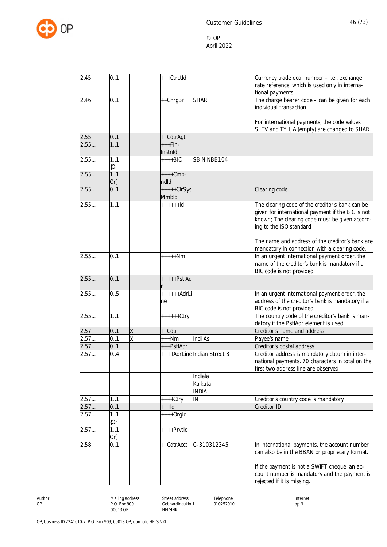

| 2.45 | 0.1           | +++CtrctId             |                             | Currency trade deal number - i.e., exchange                                                                                                                                       |
|------|---------------|------------------------|-----------------------------|-----------------------------------------------------------------------------------------------------------------------------------------------------------------------------------|
|      |               |                        |                             | rate reference, which is used only in interna-<br>tional payments.                                                                                                                |
| 2.46 | 0.1           | ++ChrgBr               | <b>SHAR</b>                 | The charge bearer code - can be given for each<br>individual transaction                                                                                                          |
|      |               |                        |                             | For international payments, the code values<br>SLEV and TYHJÄ (empty) are changed to SHAR.                                                                                        |
| 2.55 | 0.1           | ++CdtrAgt              |                             |                                                                                                                                                                                   |
| 2.55 | 11            | +++Fin-<br>Instnid     |                             |                                                                                                                                                                                   |
| 2.55 | 1.1<br>${0r}$ | $+++BIC$               | SBININBB104                 |                                                                                                                                                                                   |
| 2.55 | 1.1           | $++++Cmb-$             |                             |                                                                                                                                                                                   |
|      | $Or\}$        | ndld                   |                             |                                                                                                                                                                                   |
| 2.55 | 0.1           | $++++-ClrSys$<br>Mmbld |                             | Clearing code                                                                                                                                                                     |
| 2.55 | 1.1           | $+ + + + + +  d$       |                             | The clearing code of the creditor's bank can be<br>given for international payment if the BIC is not<br>known; The clearing code must be given accord-<br>ing to the ISO standard |
|      |               |                        |                             | The name and address of the creditor's bank are<br>mandatory in connection with a clearing code.                                                                                  |
| 2.55 | 0.1           | $***+Nm$               |                             | In an urgent international payment order, the<br>name of the creditor's bank is mandatory if a<br>BIC code is not provided                                                        |
| 2.55 | 0.1           | $++++PstIAd$           |                             |                                                                                                                                                                                   |
| 2.55 | 0.5           | ++++++AdrLi<br>ne      |                             | In an urgent international payment order, the<br>address of the creditor's bank is mandatory if a<br>BIC code is not provided                                                     |
| 2.55 | 1.1           | $+++++Ctry$            |                             | The country code of the creditor's bank is man-<br>datory if the PstlAdr element is used                                                                                          |
| 2.57 | 0.1           | X<br>++Cdtr            |                             | Creditor's name and address                                                                                                                                                       |
| 2.57 | 0.1           | X<br>$***Nm$           | Indi As                     | Payee's name                                                                                                                                                                      |
| 2.57 | 0.1           | +++PstlAdr             |                             | Creditor's postal address                                                                                                                                                         |
| 2.57 | 0.4           |                        | ++++AdrLine Indian Street 3 | Creditor address is mandatory datum in inter-<br>national payments. 70 characters in total on the<br>first two address line are observed                                          |
|      |               |                        | Indiala                     |                                                                                                                                                                                   |
|      |               |                        | Kalkuta                     |                                                                                                                                                                                   |
|      |               |                        | <b>INDIA</b>                |                                                                                                                                                                                   |
| 2.57 | 11            | ++++Ctry               | IN                          | Creditor's country code is mandatory                                                                                                                                              |
| 2.57 | 0.1           | $++$ ld                |                             | Creditor ID                                                                                                                                                                       |
| 2.57 | 11<br>(Or     | $***+Orgld$            |                             |                                                                                                                                                                                   |
| 2.57 | 1.1<br>Or}    | ++++PrvtId             |                             |                                                                                                                                                                                   |
| 2.58 | 0.1           | ++CdtrAcct             | C-310312345                 | In international payments, the account number<br>can also be in the BBAN or proprietary format.                                                                                   |
|      |               |                        |                             | If the payment is not a SWIFT cheque, an ac-<br>count number is mandatory and the payment is<br>rejected if it is missing.                                                        |

Author OP

Street address Gebhardinaukio 1 HELSINKI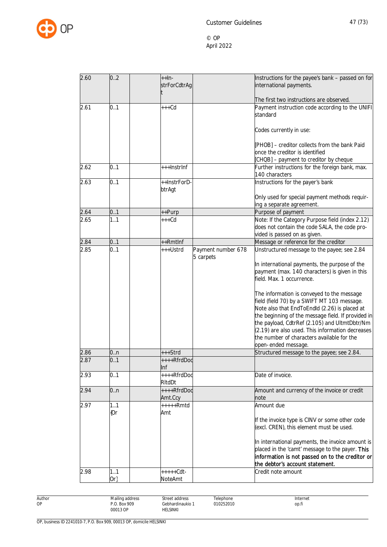

| 2.60 | 0.2    | $+$ $+$ $ln$ -<br>strForCdtrAg |                    | Instructions for the payee's bank - passed on for<br>international payments.                        |
|------|--------|--------------------------------|--------------------|-----------------------------------------------------------------------------------------------------|
|      |        |                                |                    |                                                                                                     |
|      |        |                                |                    | The first two instructions are observed.                                                            |
| 2.61 | 0.1    | $+++Cd$                        |                    | Payment instruction code according to the UNIFI                                                     |
|      |        |                                |                    | standard                                                                                            |
|      |        |                                |                    | Codes currently in use:                                                                             |
|      |        |                                |                    | [PHOB] - creditor collects from the bank Paid                                                       |
|      |        |                                |                    | once the creditor is identified                                                                     |
|      |        |                                |                    | [CHQB] - payment to creditor by cheque                                                              |
| 2.62 | 0.1    | +++InstrInf                    |                    | Further instructions for the foreign bank, max.<br>140 characters                                   |
| 2.63 | 0.1    | ++InstrForD-                   |                    | Instructions for the payer's bank                                                                   |
|      |        | btrAgt                         |                    |                                                                                                     |
|      |        |                                |                    | Only used for special payment methods requir-                                                       |
|      |        |                                |                    | ing a separate agreement.                                                                           |
| 2.64 | 0.1    | ++Purp                         |                    | Purpose of payment                                                                                  |
| 2.65 | 1.1    | $+++Cd$                        |                    | Note: If the Category Purpose field (index 2.12)                                                    |
|      |        |                                |                    | does not contain the code SALA, the code pro-                                                       |
| 2.84 | 0.1    | ++Rmtlnf                       |                    | vided is passed on as given.<br>Message or reference for the creditor                               |
| 2.85 | 0.1    | +++Ustrd                       | Payment number 678 | Unstructured message to the payee; see 2.84                                                         |
|      |        |                                | 5 carpets          |                                                                                                     |
|      |        |                                |                    | In international payments, the purpose of the                                                       |
|      |        |                                |                    | payment (max. 140 characters) is given in this                                                      |
|      |        |                                |                    | field. Max. 1 occurrence.                                                                           |
|      |        |                                |                    |                                                                                                     |
|      |        |                                |                    | The information is conveyed to the message                                                          |
|      |        |                                |                    | field (field 70) by a SWIFT MT 103 message.                                                         |
|      |        |                                |                    | Note also that EndToEndId (2.26) is placed at                                                       |
|      |        |                                |                    | the beginning of the message field. If provided in<br>the payload, CdtrRef (2.105) and UltmtDbtr/Nm |
|      |        |                                |                    | (2.19) are also used. This information decreases                                                    |
|      |        |                                |                    | the number of characters available for the                                                          |
|      |        |                                |                    | open-ended message.                                                                                 |
| 2.86 | 0.n    | +++Strd                        |                    | Structured message to the payee; see 2.84.                                                          |
| 2.87 | 0.1    | ++++RfrdDoc                    |                    |                                                                                                     |
|      |        | Inf                            |                    |                                                                                                     |
| 2.93 | 0.1    | ++++RfrdDoc<br>RItdDt          |                    | Date of invoice.                                                                                    |
| 2.94 | 0n     | ++++RfrdDoc                    |                    | Amount and currency of the invoice or credit                                                        |
|      |        | Amt.Ccy                        |                    | note                                                                                                |
| 2.97 | 1.1    | $***+Rmtd$                     |                    | Amount due                                                                                          |
|      | ${0r}$ | Amt                            |                    |                                                                                                     |
|      |        |                                |                    | If the invoice type is CINV or some other code                                                      |
|      |        |                                |                    | (excl. CREN), this element must be used.                                                            |
|      |        |                                |                    | In international payments, the invoice amount is                                                    |
|      |        |                                |                    | placed in the 'camt' message to the payer. This                                                     |
|      |        |                                |                    | information is not passed on to the creditor or                                                     |
|      |        |                                |                    | the debtor's account statement.                                                                     |
| 2.98 | 1.1    | $++++-Cdt-$                    |                    | Credit note amount                                                                                  |
|      | $Or\}$ | NoteAmt                        |                    |                                                                                                     |

Author OP

Street address Gebhardinaukio 1 HELSINKI

Telephone 010252010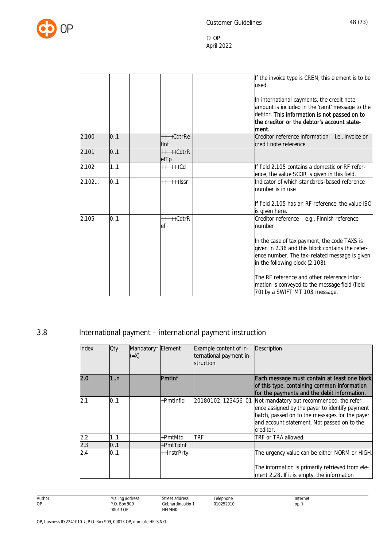

|       |     |                       | If the invoice type is CREN, this element is to be<br>used.<br>In international payments, the credit note<br>amount is included in the 'camt' message to the<br>debtor. This information is not passed on to |
|-------|-----|-----------------------|--------------------------------------------------------------------------------------------------------------------------------------------------------------------------------------------------------------|
|       |     |                       | the creditor or the debtor's account state-<br>lment.                                                                                                                                                        |
| 2.100 | 0.1 | $***Cdt$ rRe-<br>flnf | Creditor reference information - i.e., invoice or<br>credit note reference                                                                                                                                   |
| 2.101 | 0.1 | $***+CdtrR$<br>efTp   |                                                                                                                                                                                                              |
| 2.102 | 1.1 | $+++++Cd$             | If field 2.105 contains a domestic or RF refer-<br>ence, the value SCOR is given in this field.                                                                                                              |
| 2.102 | 0.1 | $++++$ SSr            | Indicator of which standards-based reference<br>number is in use                                                                                                                                             |
|       |     |                       | If field 2.105 has an RF reference, the value ISO<br>is given here.                                                                                                                                          |
| 2.105 | 0.1 | $***+CdtrR$<br>ef     | Creditor reference – e.g., Finnish reference<br>number                                                                                                                                                       |
|       |     |                       | In the case of tax payment, the code TAXS is<br>given in 2.36 and this block contains the refer-<br>ence number. The tax-related message is given<br>in the following block (2.108).                         |
|       |     |                       | The RF reference and other reference infor-<br>mation is conveyed to the message field (field<br>70) by a SWIFT MT 103 message.                                                                              |

# 3.8 International payment – international payment instruction

| Index | Qty | Mandatory* Element<br>$(=X)$ |               | Example content of in-<br>ternational payment in-<br>struction | Description                                                                                                                                                                                               |
|-------|-----|------------------------------|---------------|----------------------------------------------------------------|-----------------------------------------------------------------------------------------------------------------------------------------------------------------------------------------------------------|
| 2.0   | 1n  |                              | <b>Pmtinf</b> |                                                                | Each message must contain at least one block<br>of this type, containing common information<br>for the payments and the debit information.                                                                |
| 2.1   | 0.1 |                              | +PmtInfld     | 20180102-123456-01                                             | Not mandatory but recommended, the refer-<br>ence assigned by the payer to identify payment<br>batch, passed on to the messages for the payer<br>and account statement. Not passed on to the<br>creditor. |
| 2.2   | 1.1 |                              | +PmtMtd       | trf                                                            | TRF or TRA allowed.                                                                                                                                                                                       |
| 2.3   | 0.1 |                              | $+PmtTplnf$   |                                                                |                                                                                                                                                                                                           |
| 2.4   | 0.1 |                              | ++InstrPrty   |                                                                | The urgency value can be either NORM or HIGH.<br>The information is primarily retrieved from ele-<br>ment 2.28. If it is empty, the information                                                           |

Author OP Mailing address P.O. Box 909 00013 OP Street address Gebhardinaukio 1 HELSINKI Telephone 010252010 Internet op.fi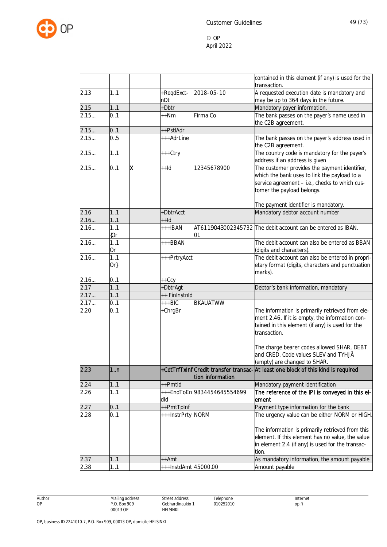

| 2.13<br>1.1<br>+ReqdExct-<br>2018-05-10<br>A requested execution date is mandatory and<br>nDt<br>may be up to 364 days in the future.<br>2.15<br>+Dbtr<br>Mandatory payer information.<br>1.1<br>2.15<br>Firma Co<br>The bank passes on the payer's name used in<br>0.1<br>$++Nm$<br>the C2B agreement.<br>2.15<br>0.1<br>++PstlAdr<br>2.15<br>0.5<br>+++AdrLine<br>The bank passes on the payer's address used in<br>the C2B agreement.<br>The country code is mandatory for the payer's<br>2.15<br>1.1<br>+++Ctry<br>address if an address is given<br>0.1<br>x<br>The customer provides the payment identifier,<br>2.15<br>$++Id$<br>12345678900<br>which the bank uses to link the payload to a<br>service agreement - i.e., checks to which cus-<br>tomer the payload belongs.<br>The payment identifier is mandatory.<br>Mandatory debtor account number<br>2.16<br>1.1<br>+DbtrAcct<br>2.16<br>11<br>++ld<br>2.16<br>AT6119043002345732 The debit account can be entered as IBAN.<br>1.1<br>$+++IBAN$<br>{Or<br>01<br>2.16<br>1.1<br>The debit account can also be entered as BBAN<br>$++BBAN$<br>(digits and characters).<br>0r<br>1.1<br>The debit account can also be entered in propri-<br>2.16<br>+++PrtryAcct<br>etary format (digits, characters and punctuation<br>$Or\}$<br>marks).<br>0.1<br>2.16<br>$++Ccy$<br>2.17<br>11<br>+DbtrAgt<br>Debtor's bank information, mandatory<br>11<br>2.17<br>++ FinInstnId<br>$+++BIC$<br><b>BKAUATWW</b><br>0.1<br>2.17<br>The information is primarily retrieved from ele-<br>0.1<br>2.20<br>+ChrgBr<br>ment 2.46. If it is empty, the information con-<br>tained in this element (if any) is used for the<br>transaction.<br>The charge bearer codes allowed SHAR, DEBT<br>and CRED. Code values SLEV and TYHJÄ<br>(empty) are changed to SHAR.<br>1n<br>+CdtTrfTxInf Credit transfer transac-At least one block of this kind is required<br>2.23<br>tion information<br>++Pmtld<br>2.24<br>1.1<br>Mandatory payment identification<br>The reference of the IPI is conveyed in this el-<br>2.26<br>1.1<br>+++EndToEn 9834454645554699<br>dld<br>ement<br>++PmtTpInf<br>2.27<br>Payment type information for the bank<br>0.1<br>2.28<br>+++InstrPrty<br><b>NORM</b><br>The urgency value can be either NORM or HIGH.<br>0.1<br>The information is primarily retrieved from this<br>element. If this element has no value, the value<br>in element 2.4 (if any) is used for the transac-<br>tion.<br>2.37<br>11<br>As mandatory information, the amount payable<br>++Amt<br>1.1<br>2.38<br>+++InstdAmt 45000.00<br>Amount payable |  |  | contained in this element (if any) is used for the<br>transaction. |
|----------------------------------------------------------------------------------------------------------------------------------------------------------------------------------------------------------------------------------------------------------------------------------------------------------------------------------------------------------------------------------------------------------------------------------------------------------------------------------------------------------------------------------------------------------------------------------------------------------------------------------------------------------------------------------------------------------------------------------------------------------------------------------------------------------------------------------------------------------------------------------------------------------------------------------------------------------------------------------------------------------------------------------------------------------------------------------------------------------------------------------------------------------------------------------------------------------------------------------------------------------------------------------------------------------------------------------------------------------------------------------------------------------------------------------------------------------------------------------------------------------------------------------------------------------------------------------------------------------------------------------------------------------------------------------------------------------------------------------------------------------------------------------------------------------------------------------------------------------------------------------------------------------------------------------------------------------------------------------------------------------------------------------------------------------------------------------------------------------------------------------------------------------------------------------------------------------------------------------------------------------------------------------------------------------------------------------------------------------------------------------------------------------------------------------------------------------------------------------------------------------------------------------------------------------------------------------------|--|--|--------------------------------------------------------------------|
|                                                                                                                                                                                                                                                                                                                                                                                                                                                                                                                                                                                                                                                                                                                                                                                                                                                                                                                                                                                                                                                                                                                                                                                                                                                                                                                                                                                                                                                                                                                                                                                                                                                                                                                                                                                                                                                                                                                                                                                                                                                                                                                                                                                                                                                                                                                                                                                                                                                                                                                                                                                        |  |  |                                                                    |
|                                                                                                                                                                                                                                                                                                                                                                                                                                                                                                                                                                                                                                                                                                                                                                                                                                                                                                                                                                                                                                                                                                                                                                                                                                                                                                                                                                                                                                                                                                                                                                                                                                                                                                                                                                                                                                                                                                                                                                                                                                                                                                                                                                                                                                                                                                                                                                                                                                                                                                                                                                                        |  |  |                                                                    |
|                                                                                                                                                                                                                                                                                                                                                                                                                                                                                                                                                                                                                                                                                                                                                                                                                                                                                                                                                                                                                                                                                                                                                                                                                                                                                                                                                                                                                                                                                                                                                                                                                                                                                                                                                                                                                                                                                                                                                                                                                                                                                                                                                                                                                                                                                                                                                                                                                                                                                                                                                                                        |  |  |                                                                    |
|                                                                                                                                                                                                                                                                                                                                                                                                                                                                                                                                                                                                                                                                                                                                                                                                                                                                                                                                                                                                                                                                                                                                                                                                                                                                                                                                                                                                                                                                                                                                                                                                                                                                                                                                                                                                                                                                                                                                                                                                                                                                                                                                                                                                                                                                                                                                                                                                                                                                                                                                                                                        |  |  |                                                                    |
|                                                                                                                                                                                                                                                                                                                                                                                                                                                                                                                                                                                                                                                                                                                                                                                                                                                                                                                                                                                                                                                                                                                                                                                                                                                                                                                                                                                                                                                                                                                                                                                                                                                                                                                                                                                                                                                                                                                                                                                                                                                                                                                                                                                                                                                                                                                                                                                                                                                                                                                                                                                        |  |  |                                                                    |
|                                                                                                                                                                                                                                                                                                                                                                                                                                                                                                                                                                                                                                                                                                                                                                                                                                                                                                                                                                                                                                                                                                                                                                                                                                                                                                                                                                                                                                                                                                                                                                                                                                                                                                                                                                                                                                                                                                                                                                                                                                                                                                                                                                                                                                                                                                                                                                                                                                                                                                                                                                                        |  |  |                                                                    |
|                                                                                                                                                                                                                                                                                                                                                                                                                                                                                                                                                                                                                                                                                                                                                                                                                                                                                                                                                                                                                                                                                                                                                                                                                                                                                                                                                                                                                                                                                                                                                                                                                                                                                                                                                                                                                                                                                                                                                                                                                                                                                                                                                                                                                                                                                                                                                                                                                                                                                                                                                                                        |  |  |                                                                    |
|                                                                                                                                                                                                                                                                                                                                                                                                                                                                                                                                                                                                                                                                                                                                                                                                                                                                                                                                                                                                                                                                                                                                                                                                                                                                                                                                                                                                                                                                                                                                                                                                                                                                                                                                                                                                                                                                                                                                                                                                                                                                                                                                                                                                                                                                                                                                                                                                                                                                                                                                                                                        |  |  |                                                                    |
|                                                                                                                                                                                                                                                                                                                                                                                                                                                                                                                                                                                                                                                                                                                                                                                                                                                                                                                                                                                                                                                                                                                                                                                                                                                                                                                                                                                                                                                                                                                                                                                                                                                                                                                                                                                                                                                                                                                                                                                                                                                                                                                                                                                                                                                                                                                                                                                                                                                                                                                                                                                        |  |  |                                                                    |
|                                                                                                                                                                                                                                                                                                                                                                                                                                                                                                                                                                                                                                                                                                                                                                                                                                                                                                                                                                                                                                                                                                                                                                                                                                                                                                                                                                                                                                                                                                                                                                                                                                                                                                                                                                                                                                                                                                                                                                                                                                                                                                                                                                                                                                                                                                                                                                                                                                                                                                                                                                                        |  |  |                                                                    |
|                                                                                                                                                                                                                                                                                                                                                                                                                                                                                                                                                                                                                                                                                                                                                                                                                                                                                                                                                                                                                                                                                                                                                                                                                                                                                                                                                                                                                                                                                                                                                                                                                                                                                                                                                                                                                                                                                                                                                                                                                                                                                                                                                                                                                                                                                                                                                                                                                                                                                                                                                                                        |  |  |                                                                    |
|                                                                                                                                                                                                                                                                                                                                                                                                                                                                                                                                                                                                                                                                                                                                                                                                                                                                                                                                                                                                                                                                                                                                                                                                                                                                                                                                                                                                                                                                                                                                                                                                                                                                                                                                                                                                                                                                                                                                                                                                                                                                                                                                                                                                                                                                                                                                                                                                                                                                                                                                                                                        |  |  |                                                                    |
|                                                                                                                                                                                                                                                                                                                                                                                                                                                                                                                                                                                                                                                                                                                                                                                                                                                                                                                                                                                                                                                                                                                                                                                                                                                                                                                                                                                                                                                                                                                                                                                                                                                                                                                                                                                                                                                                                                                                                                                                                                                                                                                                                                                                                                                                                                                                                                                                                                                                                                                                                                                        |  |  |                                                                    |
|                                                                                                                                                                                                                                                                                                                                                                                                                                                                                                                                                                                                                                                                                                                                                                                                                                                                                                                                                                                                                                                                                                                                                                                                                                                                                                                                                                                                                                                                                                                                                                                                                                                                                                                                                                                                                                                                                                                                                                                                                                                                                                                                                                                                                                                                                                                                                                                                                                                                                                                                                                                        |  |  |                                                                    |
|                                                                                                                                                                                                                                                                                                                                                                                                                                                                                                                                                                                                                                                                                                                                                                                                                                                                                                                                                                                                                                                                                                                                                                                                                                                                                                                                                                                                                                                                                                                                                                                                                                                                                                                                                                                                                                                                                                                                                                                                                                                                                                                                                                                                                                                                                                                                                                                                                                                                                                                                                                                        |  |  |                                                                    |
|                                                                                                                                                                                                                                                                                                                                                                                                                                                                                                                                                                                                                                                                                                                                                                                                                                                                                                                                                                                                                                                                                                                                                                                                                                                                                                                                                                                                                                                                                                                                                                                                                                                                                                                                                                                                                                                                                                                                                                                                                                                                                                                                                                                                                                                                                                                                                                                                                                                                                                                                                                                        |  |  |                                                                    |
|                                                                                                                                                                                                                                                                                                                                                                                                                                                                                                                                                                                                                                                                                                                                                                                                                                                                                                                                                                                                                                                                                                                                                                                                                                                                                                                                                                                                                                                                                                                                                                                                                                                                                                                                                                                                                                                                                                                                                                                                                                                                                                                                                                                                                                                                                                                                                                                                                                                                                                                                                                                        |  |  |                                                                    |
|                                                                                                                                                                                                                                                                                                                                                                                                                                                                                                                                                                                                                                                                                                                                                                                                                                                                                                                                                                                                                                                                                                                                                                                                                                                                                                                                                                                                                                                                                                                                                                                                                                                                                                                                                                                                                                                                                                                                                                                                                                                                                                                                                                                                                                                                                                                                                                                                                                                                                                                                                                                        |  |  |                                                                    |
|                                                                                                                                                                                                                                                                                                                                                                                                                                                                                                                                                                                                                                                                                                                                                                                                                                                                                                                                                                                                                                                                                                                                                                                                                                                                                                                                                                                                                                                                                                                                                                                                                                                                                                                                                                                                                                                                                                                                                                                                                                                                                                                                                                                                                                                                                                                                                                                                                                                                                                                                                                                        |  |  |                                                                    |
|                                                                                                                                                                                                                                                                                                                                                                                                                                                                                                                                                                                                                                                                                                                                                                                                                                                                                                                                                                                                                                                                                                                                                                                                                                                                                                                                                                                                                                                                                                                                                                                                                                                                                                                                                                                                                                                                                                                                                                                                                                                                                                                                                                                                                                                                                                                                                                                                                                                                                                                                                                                        |  |  |                                                                    |
|                                                                                                                                                                                                                                                                                                                                                                                                                                                                                                                                                                                                                                                                                                                                                                                                                                                                                                                                                                                                                                                                                                                                                                                                                                                                                                                                                                                                                                                                                                                                                                                                                                                                                                                                                                                                                                                                                                                                                                                                                                                                                                                                                                                                                                                                                                                                                                                                                                                                                                                                                                                        |  |  |                                                                    |
|                                                                                                                                                                                                                                                                                                                                                                                                                                                                                                                                                                                                                                                                                                                                                                                                                                                                                                                                                                                                                                                                                                                                                                                                                                                                                                                                                                                                                                                                                                                                                                                                                                                                                                                                                                                                                                                                                                                                                                                                                                                                                                                                                                                                                                                                                                                                                                                                                                                                                                                                                                                        |  |  |                                                                    |
|                                                                                                                                                                                                                                                                                                                                                                                                                                                                                                                                                                                                                                                                                                                                                                                                                                                                                                                                                                                                                                                                                                                                                                                                                                                                                                                                                                                                                                                                                                                                                                                                                                                                                                                                                                                                                                                                                                                                                                                                                                                                                                                                                                                                                                                                                                                                                                                                                                                                                                                                                                                        |  |  |                                                                    |
|                                                                                                                                                                                                                                                                                                                                                                                                                                                                                                                                                                                                                                                                                                                                                                                                                                                                                                                                                                                                                                                                                                                                                                                                                                                                                                                                                                                                                                                                                                                                                                                                                                                                                                                                                                                                                                                                                                                                                                                                                                                                                                                                                                                                                                                                                                                                                                                                                                                                                                                                                                                        |  |  |                                                                    |
|                                                                                                                                                                                                                                                                                                                                                                                                                                                                                                                                                                                                                                                                                                                                                                                                                                                                                                                                                                                                                                                                                                                                                                                                                                                                                                                                                                                                                                                                                                                                                                                                                                                                                                                                                                                                                                                                                                                                                                                                                                                                                                                                                                                                                                                                                                                                                                                                                                                                                                                                                                                        |  |  |                                                                    |
|                                                                                                                                                                                                                                                                                                                                                                                                                                                                                                                                                                                                                                                                                                                                                                                                                                                                                                                                                                                                                                                                                                                                                                                                                                                                                                                                                                                                                                                                                                                                                                                                                                                                                                                                                                                                                                                                                                                                                                                                                                                                                                                                                                                                                                                                                                                                                                                                                                                                                                                                                                                        |  |  |                                                                    |
|                                                                                                                                                                                                                                                                                                                                                                                                                                                                                                                                                                                                                                                                                                                                                                                                                                                                                                                                                                                                                                                                                                                                                                                                                                                                                                                                                                                                                                                                                                                                                                                                                                                                                                                                                                                                                                                                                                                                                                                                                                                                                                                                                                                                                                                                                                                                                                                                                                                                                                                                                                                        |  |  |                                                                    |
|                                                                                                                                                                                                                                                                                                                                                                                                                                                                                                                                                                                                                                                                                                                                                                                                                                                                                                                                                                                                                                                                                                                                                                                                                                                                                                                                                                                                                                                                                                                                                                                                                                                                                                                                                                                                                                                                                                                                                                                                                                                                                                                                                                                                                                                                                                                                                                                                                                                                                                                                                                                        |  |  |                                                                    |
|                                                                                                                                                                                                                                                                                                                                                                                                                                                                                                                                                                                                                                                                                                                                                                                                                                                                                                                                                                                                                                                                                                                                                                                                                                                                                                                                                                                                                                                                                                                                                                                                                                                                                                                                                                                                                                                                                                                                                                                                                                                                                                                                                                                                                                                                                                                                                                                                                                                                                                                                                                                        |  |  |                                                                    |
|                                                                                                                                                                                                                                                                                                                                                                                                                                                                                                                                                                                                                                                                                                                                                                                                                                                                                                                                                                                                                                                                                                                                                                                                                                                                                                                                                                                                                                                                                                                                                                                                                                                                                                                                                                                                                                                                                                                                                                                                                                                                                                                                                                                                                                                                                                                                                                                                                                                                                                                                                                                        |  |  |                                                                    |
|                                                                                                                                                                                                                                                                                                                                                                                                                                                                                                                                                                                                                                                                                                                                                                                                                                                                                                                                                                                                                                                                                                                                                                                                                                                                                                                                                                                                                                                                                                                                                                                                                                                                                                                                                                                                                                                                                                                                                                                                                                                                                                                                                                                                                                                                                                                                                                                                                                                                                                                                                                                        |  |  |                                                                    |
|                                                                                                                                                                                                                                                                                                                                                                                                                                                                                                                                                                                                                                                                                                                                                                                                                                                                                                                                                                                                                                                                                                                                                                                                                                                                                                                                                                                                                                                                                                                                                                                                                                                                                                                                                                                                                                                                                                                                                                                                                                                                                                                                                                                                                                                                                                                                                                                                                                                                                                                                                                                        |  |  |                                                                    |
|                                                                                                                                                                                                                                                                                                                                                                                                                                                                                                                                                                                                                                                                                                                                                                                                                                                                                                                                                                                                                                                                                                                                                                                                                                                                                                                                                                                                                                                                                                                                                                                                                                                                                                                                                                                                                                                                                                                                                                                                                                                                                                                                                                                                                                                                                                                                                                                                                                                                                                                                                                                        |  |  |                                                                    |
|                                                                                                                                                                                                                                                                                                                                                                                                                                                                                                                                                                                                                                                                                                                                                                                                                                                                                                                                                                                                                                                                                                                                                                                                                                                                                                                                                                                                                                                                                                                                                                                                                                                                                                                                                                                                                                                                                                                                                                                                                                                                                                                                                                                                                                                                                                                                                                                                                                                                                                                                                                                        |  |  |                                                                    |
|                                                                                                                                                                                                                                                                                                                                                                                                                                                                                                                                                                                                                                                                                                                                                                                                                                                                                                                                                                                                                                                                                                                                                                                                                                                                                                                                                                                                                                                                                                                                                                                                                                                                                                                                                                                                                                                                                                                                                                                                                                                                                                                                                                                                                                                                                                                                                                                                                                                                                                                                                                                        |  |  |                                                                    |
|                                                                                                                                                                                                                                                                                                                                                                                                                                                                                                                                                                                                                                                                                                                                                                                                                                                                                                                                                                                                                                                                                                                                                                                                                                                                                                                                                                                                                                                                                                                                                                                                                                                                                                                                                                                                                                                                                                                                                                                                                                                                                                                                                                                                                                                                                                                                                                                                                                                                                                                                                                                        |  |  |                                                                    |
|                                                                                                                                                                                                                                                                                                                                                                                                                                                                                                                                                                                                                                                                                                                                                                                                                                                                                                                                                                                                                                                                                                                                                                                                                                                                                                                                                                                                                                                                                                                                                                                                                                                                                                                                                                                                                                                                                                                                                                                                                                                                                                                                                                                                                                                                                                                                                                                                                                                                                                                                                                                        |  |  |                                                                    |
|                                                                                                                                                                                                                                                                                                                                                                                                                                                                                                                                                                                                                                                                                                                                                                                                                                                                                                                                                                                                                                                                                                                                                                                                                                                                                                                                                                                                                                                                                                                                                                                                                                                                                                                                                                                                                                                                                                                                                                                                                                                                                                                                                                                                                                                                                                                                                                                                                                                                                                                                                                                        |  |  |                                                                    |
|                                                                                                                                                                                                                                                                                                                                                                                                                                                                                                                                                                                                                                                                                                                                                                                                                                                                                                                                                                                                                                                                                                                                                                                                                                                                                                                                                                                                                                                                                                                                                                                                                                                                                                                                                                                                                                                                                                                                                                                                                                                                                                                                                                                                                                                                                                                                                                                                                                                                                                                                                                                        |  |  |                                                                    |
|                                                                                                                                                                                                                                                                                                                                                                                                                                                                                                                                                                                                                                                                                                                                                                                                                                                                                                                                                                                                                                                                                                                                                                                                                                                                                                                                                                                                                                                                                                                                                                                                                                                                                                                                                                                                                                                                                                                                                                                                                                                                                                                                                                                                                                                                                                                                                                                                                                                                                                                                                                                        |  |  |                                                                    |
|                                                                                                                                                                                                                                                                                                                                                                                                                                                                                                                                                                                                                                                                                                                                                                                                                                                                                                                                                                                                                                                                                                                                                                                                                                                                                                                                                                                                                                                                                                                                                                                                                                                                                                                                                                                                                                                                                                                                                                                                                                                                                                                                                                                                                                                                                                                                                                                                                                                                                                                                                                                        |  |  |                                                                    |
|                                                                                                                                                                                                                                                                                                                                                                                                                                                                                                                                                                                                                                                                                                                                                                                                                                                                                                                                                                                                                                                                                                                                                                                                                                                                                                                                                                                                                                                                                                                                                                                                                                                                                                                                                                                                                                                                                                                                                                                                                                                                                                                                                                                                                                                                                                                                                                                                                                                                                                                                                                                        |  |  |                                                                    |
|                                                                                                                                                                                                                                                                                                                                                                                                                                                                                                                                                                                                                                                                                                                                                                                                                                                                                                                                                                                                                                                                                                                                                                                                                                                                                                                                                                                                                                                                                                                                                                                                                                                                                                                                                                                                                                                                                                                                                                                                                                                                                                                                                                                                                                                                                                                                                                                                                                                                                                                                                                                        |  |  |                                                                    |
|                                                                                                                                                                                                                                                                                                                                                                                                                                                                                                                                                                                                                                                                                                                                                                                                                                                                                                                                                                                                                                                                                                                                                                                                                                                                                                                                                                                                                                                                                                                                                                                                                                                                                                                                                                                                                                                                                                                                                                                                                                                                                                                                                                                                                                                                                                                                                                                                                                                                                                                                                                                        |  |  |                                                                    |
|                                                                                                                                                                                                                                                                                                                                                                                                                                                                                                                                                                                                                                                                                                                                                                                                                                                                                                                                                                                                                                                                                                                                                                                                                                                                                                                                                                                                                                                                                                                                                                                                                                                                                                                                                                                                                                                                                                                                                                                                                                                                                                                                                                                                                                                                                                                                                                                                                                                                                                                                                                                        |  |  |                                                                    |
|                                                                                                                                                                                                                                                                                                                                                                                                                                                                                                                                                                                                                                                                                                                                                                                                                                                                                                                                                                                                                                                                                                                                                                                                                                                                                                                                                                                                                                                                                                                                                                                                                                                                                                                                                                                                                                                                                                                                                                                                                                                                                                                                                                                                                                                                                                                                                                                                                                                                                                                                                                                        |  |  |                                                                    |
|                                                                                                                                                                                                                                                                                                                                                                                                                                                                                                                                                                                                                                                                                                                                                                                                                                                                                                                                                                                                                                                                                                                                                                                                                                                                                                                                                                                                                                                                                                                                                                                                                                                                                                                                                                                                                                                                                                                                                                                                                                                                                                                                                                                                                                                                                                                                                                                                                                                                                                                                                                                        |  |  |                                                                    |

Author OP

Street address Gebhardinaukio 1 HELSINKI

Telephone 010252010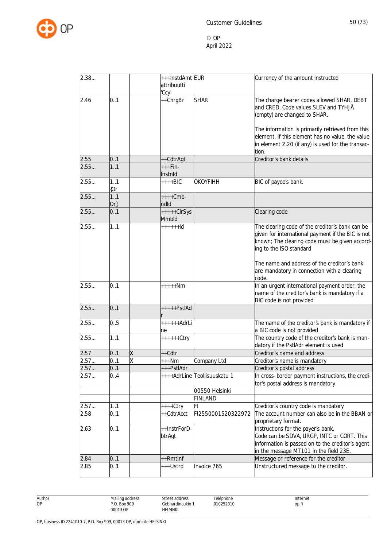

| 2.38  |        |   | +++InstdAmt EUR |                              | Currency of the amount instructed                 |
|-------|--------|---|-----------------|------------------------------|---------------------------------------------------|
|       |        |   | attribuutti     |                              |                                                   |
|       |        |   | 'Ccy'           |                              |                                                   |
| 2.46  | 0.1    |   | ++ChrgBr        | <b>SHAR</b>                  | The charge bearer codes allowed SHAR, DEBT        |
|       |        |   |                 |                              | and CRED. Code values SLEV and TYHJÄ              |
|       |        |   |                 |                              | (empty) are changed to SHAR.                      |
|       |        |   |                 |                              |                                                   |
|       |        |   |                 |                              |                                                   |
|       |        |   |                 |                              | The information is primarily retrieved from this  |
|       |        |   |                 |                              | element. If this element has no value, the value  |
|       |        |   |                 |                              | in element 2.20 (if any) is used for the transac- |
|       |        |   |                 |                              | tion.                                             |
| 2.55  | 0.1    |   | ++CdtrAgt       |                              | Creditor's bank details                           |
| 2.55  | 1.1    |   | $+++Fin-$       |                              |                                                   |
|       |        |   | Instnid         |                              |                                                   |
| 2.55  | 1.1    |   | $***BIC$        | OKOYFIHH                     | BIC of payee's bank.                              |
|       | {Or    |   |                 |                              |                                                   |
| 2.55  | 1.1    |   | $+++Cmb-$       |                              |                                                   |
|       | $Or\}$ |   | ndld            |                              |                                                   |
| 2.55  | 0.1    |   | +++++ClrSys     |                              | Clearing code                                     |
|       |        |   | Mmbld           |                              |                                                   |
| 2.55  | 1.1    |   | $++++$          |                              | The clearing code of the creditor's bank can be   |
|       |        |   |                 |                              | given for international payment if the BIC is not |
|       |        |   |                 |                              |                                                   |
|       |        |   |                 |                              | known; The clearing code must be given accord-    |
|       |        |   |                 |                              | ing to the ISO standard                           |
|       |        |   |                 |                              |                                                   |
|       |        |   |                 |                              | The name and address of the creditor's bank       |
|       |        |   |                 |                              | are mandatory in connection with a clearing       |
|       |        |   |                 |                              | code.                                             |
| 2.55  | 0.1    |   | +++++Nm         |                              | In an urgent international payment order, the     |
|       |        |   |                 |                              | name of the creditor's bank is mandatory if a     |
|       |        |   |                 |                              | BIC code is not provided                          |
| 2.55  | 0.1    |   | +++++PstlAd     |                              |                                                   |
|       |        |   |                 |                              |                                                   |
| 2.55  | 0.5    |   | $+++++AdrLi$    |                              | The name of the creditor's bank is mandatory if   |
|       |        |   | ne              |                              | a BIC code is not provided                        |
| 2.55  | 1.1    |   | ++++++Ctry      |                              | The country code of the creditor's bank is man-   |
|       |        |   |                 |                              | datory if the PstlAdr element is used             |
| 2.57  | 0.1    | χ | ++Cdtr          |                              | Creditor's name and address                       |
| 2.57. | 0.1    | X | +++Nm           | Company Ltd                  | Creditor's name is mandatory                      |
| 2.57  | 0.1    |   | +++PstlAdr      |                              | Creditor's postal address                         |
|       |        |   |                 |                              |                                                   |
| 2.57  | 0.4    |   |                 | ++++AdrLine Teollisuuskatu 1 | In cross-border payment instructions, the credi-  |
|       |        |   |                 |                              | tor's postal address is mandatory                 |
|       |        |   |                 | 00550 Helsinki               |                                                   |
|       |        |   |                 | <b>FINLAND</b>               |                                                   |
| 2.57  | 11     |   | ++++Ctry        | FI                           | Creditor's country code is mandatory              |
| 2.58  | 0.1    |   | ++CdtrAcct      | FI2550001520322972           | The account number can also be in the BBAN or     |
|       |        |   |                 |                              | proprietary format.                               |
| 2.63  | 0.1    |   | ++InstrForD-    |                              | Instructions for the payer's bank.                |
|       |        |   | btrAgt          |                              | Code can be SDVA, URGP, INTC or CORT. This        |
|       |        |   |                 |                              | information is passed on to the creditor's agent  |
|       |        |   |                 |                              | in the message MT101 in the field 23E.            |
| 2.84  | 0.1    |   | ++RmtInf        |                              | Message or reference for the creditor             |
| 2.85  | 0.1    |   |                 | Invoice 765                  |                                                   |
|       |        |   | +++Ustrd        |                              | Unstructured message to the creditor.             |
|       |        |   |                 |                              |                                                   |

Author OP

Gebhardinaukio 1 Telephone 010252010

Street address

HELSINKI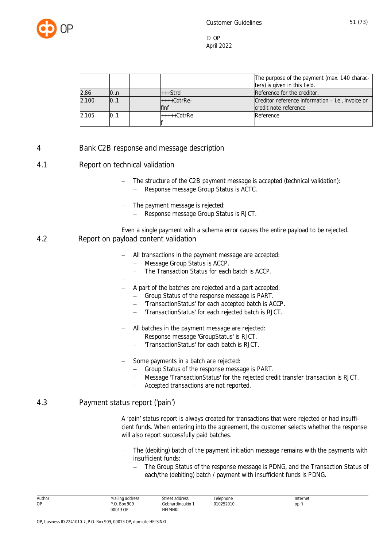

|       |     |                       | The purpose of the payment (max. 140 charac-<br>ters) is given in this field. |
|-------|-----|-----------------------|-------------------------------------------------------------------------------|
| 2.86  | 0.n | $+++Strd$             | Reference for the creditor.                                                   |
| 2.100 | 0.1 | $+++Cdt$ rRe-<br>flnf | Creditor reference information – i.e., invoice or<br>credit note reference    |
| 2.105 | 0.1 | l+++++CdtrRel         | Reference                                                                     |

### 4 Bank C2B response and message description

### 4.1 Report on technical validation

- The structure of the C2B payment message is accepted (technical validation):
- Response message Group Status is ACTC.
- The payment message is rejected:
	- Response message Group Status is RJCT.
- Even a single payment with a schema error causes the entire payload to be rejected. 4.2 Report on payload content validation
	- All transactions in the payment message are accepted:
		- Message Group Status is ACCP.
		- The Transaction Status for each batch is ACCP.
	- $\overline{a}$  A part of the batches are rejected and a part accepted:
		- Group Status of the response message is PART.
		- 'TransactionStatus' for each accepted batch is ACCP.
		- 'TransactionStatus' for each rejected batch is RJCT.
	- All batches in the payment message are rejected:
		- Response message 'GroupStatus' is RJCT.
		- 'TransactionStatus' for each batch is RJCT.
	- Some payments in a batch are rejected:
		- Group Status of the response message is PART.
		- Message 'TransactionStatus' for the rejected credit transfer transaction is RJCT.
		- Accepted transactions are not reported.

#### 4.3 Payment status report ('pain')

A 'pain' status report is always created for transactions that were rejected or had insufficient funds. When entering into the agreement, the customer selects whether the response will also report successfully paid batches.

- The (debiting) batch of the payment initiation message remains with the payments with insufficient funds:
	- The Group Status of the response message is PDNG, and the Transaction Status of each/the (debiting) batch / payment with insufficient funds is PDNG.

| Author | Mailing address | Street address   | Telephone | Internet |
|--------|-----------------|------------------|-----------|----------|
| ОP     | P.O. Box 909    | Gebhardinaukio 1 | 010252010 | op.fi    |
|        | 00013 OP        | <b>HELSINKI</b>  |           |          |
|        |                 |                  |           |          |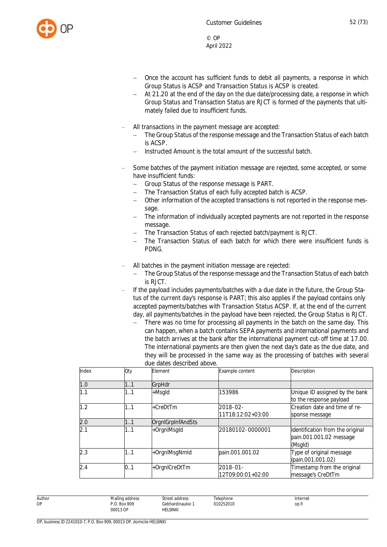

- Once the account has sufficient funds to debit all payments, a response in which Group Status is ACSP and Transaction Status is ACSP is created.
- At 21.20 at the end of the day on the due date/processing date, a response in which Group Status and Transaction Status are RJCT is formed of the payments that ultimately failed due to insufficient funds.
- All transactions in the payment message are accepted:
	- The Group Status of the response message and the Transaction Status of each batch is ACSP.
	- Instructed Amount is the total amount of the successful batch.
- Some batches of the payment initiation message are rejected, some accepted, or some have insufficient funds:
	- Group Status of the response message is PART.
	- The Transaction Status of each fully accepted batch is ACSP.
	- Other information of the accepted transactions is not reported in the response message.
	- The information of individually accepted payments are not reported in the response message.
	- The Transaction Status of each rejected batch/payment is RJCT.
	- The Transaction Status of each batch for which there were insufficient funds is PDNG.
- All batches in the payment initiation message are rejected:
	- The Group Status of the response message and the Transaction Status of each batch is RJCT.
- If the payload includes payments/batches with a due date in the future, the Group Status of the current day's response is PART; this also applies if the payload contains only accepted payments/batches with Transaction Status ACSP. If, at the end of the current day, all payments/batches in the payload have been rejected, the Group Status is RJCT.
	- There was no time for processing all payments in the batch on the same day. This can happen, when a batch contains SEPA payments and international payments and the batch arrives at the bank after the international payment cut-off time at 17.00. The international payments are then given the next day's date as the due date, and they will be processed in the same way as the processing of batches with several due dates described above.

| Index | Qty | Element           | Example content               | Description                                                            |
|-------|-----|-------------------|-------------------------------|------------------------------------------------------------------------|
| 1.0   | 1.1 | GrpHdr            |                               |                                                                        |
| 1.1   | 11  | +Msgld            | 153986                        | Unique ID assigned by the bank<br>to the response payload              |
| 1.2   | 1.1 | +CreDtTm          | 2018-02-<br>11T18:12:02+03:00 | Creation date and time of re-<br>sponse message                        |
| 2.0   | 1.1 | OrgnlGrpInfAndSts |                               |                                                                        |
| 2.1   | 11  | +OrgnlMsgld       | 20180102-0000001              | Identification from the original<br>pain.001.001.02 message<br>(Msgld) |
| 2.3   | 11  | +OrgnlMsgNmld     | pain.001.001.02               | Type of original message<br>(pain.001.001.02)                          |
| 2.4   | 0.1 | +OrgnlCreDtTm     | 2018-01-<br>12T09:00:01+02:00 | Timestamp from the original<br>message's CreDtTm                       |

Mailing address P.O. Box 909 00013 OP Street address Gebhardinaukio 1 HELSINKI **Telephone** 010252010 Internet op.fi

Author OP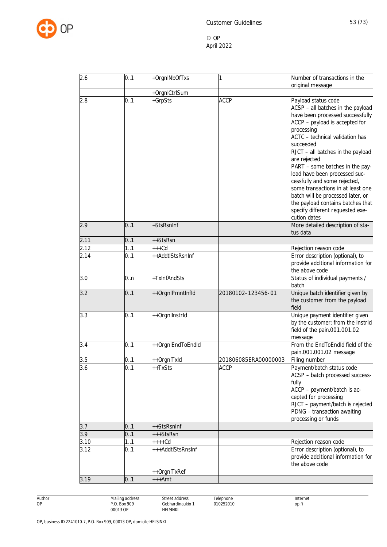

| 2.6  | 0.1 | +OrgnINbOfTxs            | 1                    | Number of transactions in the<br>original message                                                                                                                                                                                                                                                                                                                                                                                                                                                                        |
|------|-----|--------------------------|----------------------|--------------------------------------------------------------------------------------------------------------------------------------------------------------------------------------------------------------------------------------------------------------------------------------------------------------------------------------------------------------------------------------------------------------------------------------------------------------------------------------------------------------------------|
|      |     |                          |                      |                                                                                                                                                                                                                                                                                                                                                                                                                                                                                                                          |
| 2.8  | 0.1 | +OrgnlCtrlSum<br>+GrpSts | <b>ACCP</b>          | Payload status code<br>ACSP - all batches in the payload<br>have been processed successfully<br>ACCP - payload is accepted for<br>processing<br>ACTC - technical validation has<br>succeeded<br>RJCT - all batches in the payload<br>are rejected<br>PART - some batches in the pay-<br>load have been processed suc-<br>cessfully and some rejected,<br>some transactions in at least one<br>batch will be processed later, or<br>the payload contains batches that<br>specify different requested exe-<br>cution dates |
| 2.9  | 0.1 | +StsRsnInf               |                      | More detailed description of sta-<br>tus data                                                                                                                                                                                                                                                                                                                                                                                                                                                                            |
| 2.11 | 0.1 | ++StsRsn                 |                      |                                                                                                                                                                                                                                                                                                                                                                                                                                                                                                                          |
| 2.12 | 11  | $***$ Cd                 |                      | Rejection reason code                                                                                                                                                                                                                                                                                                                                                                                                                                                                                                    |
| 2.14 | 0.1 | ++AddtlStsRsnInf         |                      | Error description (optional), to<br>provide additional information for<br>the above code                                                                                                                                                                                                                                                                                                                                                                                                                                 |
| 3.0  | 0.n | +TxInfAndSts             |                      | Status of individual payments /<br>batch                                                                                                                                                                                                                                                                                                                                                                                                                                                                                 |
| 3.2  | 0.1 | ++OrgnlPmntInfld         | 20180102-123456-01   | Unique batch identifier given by<br>the customer from the payload<br>field                                                                                                                                                                                                                                                                                                                                                                                                                                               |
| 3.3  | 0.1 | ++Orgnllnstrld           |                      | Unique payment identifier given<br>by the customer: from the Instrid<br>field of the pain.001.001.02<br>message                                                                                                                                                                                                                                                                                                                                                                                                          |
| 3.4  | 0.1 | ++OrgnlEndToEndId        |                      | From the EndToEndId field of the<br>pain.001.001.02 message                                                                                                                                                                                                                                                                                                                                                                                                                                                              |
| 3.5  | 0.1 | ++OrgnlTxld              | 201806085ERA00000003 | Filing number                                                                                                                                                                                                                                                                                                                                                                                                                                                                                                            |
| 3.6  | 0.1 | ++TxSts                  | <b>ACCP</b>          | Payment/batch status code<br>ACSP - batch processed success-<br>fully<br>ACCP - payment/batch is ac-<br>cepted for processing<br>RJCT - payment/batch is rejected<br>PDNG - transaction awaiting<br>processing or funds                                                                                                                                                                                                                                                                                                  |
| 3.7  | 0.1 | ++StsRsnInf              |                      |                                                                                                                                                                                                                                                                                                                                                                                                                                                                                                                          |
| 3.9  | 0.1 | +++StsRsn                |                      |                                                                                                                                                                                                                                                                                                                                                                                                                                                                                                                          |
| 3.10 | 1.1 | $***Cd$                  |                      | Rejection reason code                                                                                                                                                                                                                                                                                                                                                                                                                                                                                                    |
| 3.12 | 0.1 | +++AddtlStsRnsInf        |                      | Error description (optional), to<br>provide additional information for<br>the above code                                                                                                                                                                                                                                                                                                                                                                                                                                 |
|      |     | ++OrgnITxRef             |                      |                                                                                                                                                                                                                                                                                                                                                                                                                                                                                                                          |
| 3.19 | 0.1 | $***Amt$                 |                      |                                                                                                                                                                                                                                                                                                                                                                                                                                                                                                                          |

Author OP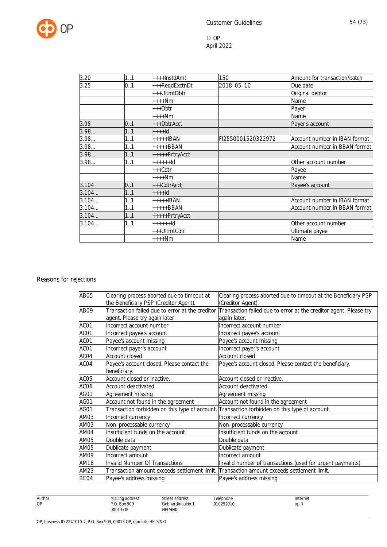

| 3.20  | 1.1 | ++++InstdAmt   | 150                | Amount for transaction/batch  |
|-------|-----|----------------|--------------------|-------------------------------|
| 3.25  | 0.1 | +++ReqdExctnDt | 2018-05-10         | Due date                      |
|       |     | +++UltmtDbtr   |                    | Original debtor               |
|       |     | ++++Nm         |                    | Name                          |
|       |     | +++Dbtr        |                    | Payer                         |
|       |     | $***Nm$        |                    | Name                          |
| 3.98  | 0.1 | +++DbtrAcct    |                    | Payer's account               |
| 3.98  | 1.1 | $+++Id$        |                    |                               |
| 3.98  | 11  | +++++IBAN      | FI2550001520322972 | Account number in IBAN format |
| 3.98  | 1.1 | $***+BBAN$     |                    | Account number in BBAN format |
| 3.98  | 1.1 | +++++PrtryAcct |                    |                               |
| 3.98  | 1.1 | $++++1d$       |                    | Other account number          |
|       |     | +++Cdtr        |                    | Payee                         |
|       |     | $***Nm$        |                    | Name                          |
| 3.104 | 0.1 | +++CdtrAcct    |                    | Payee's account               |
| 3.104 | 1.1 | $+++$ ld       |                    |                               |
| 3.104 | 1.1 | $++++IBAN$     |                    | Account number in IBAN format |
| 3.104 | 1.1 | +++++BBAN      |                    | Account number in BBAN format |
| 3.104 | 1.1 | +++++PrtryAcct |                    |                               |
| 3.104 | 11  | $+ + + + + +$  |                    | Other account number          |
|       |     | +++UltmtCdtr   |                    | Ultimate payee                |
|       |     | $***Nm$        |                    | Name                          |

## Reasons for rejections

| <b>AB05</b>      | Clearing process aborted due to timeout at   | Clearing process aborted due to timeout at the Beneficiary PSP                                                    |
|------------------|----------------------------------------------|-------------------------------------------------------------------------------------------------------------------|
|                  | the Beneficiary PSP (Creditor Agent).        | (Creditor Agent).                                                                                                 |
| AB09             |                                              | Transaction failed due to error at the creditor Transaction failed due to error at the creditor agent. Please try |
|                  | agent. Please try again later.               | again later.                                                                                                      |
| ACO1             | Incorrect account number                     | Incorrect account number                                                                                          |
| ACO1             | Incorrect payee's account                    | Incorrect payee's account                                                                                         |
| ACO1             | Payee's account missing                      | Payee's account missing                                                                                           |
| ACO1             | Incorrect payer's account                    | Incorrect payer's account                                                                                         |
| ACO4             | <b>Account closed</b>                        | Account closed                                                                                                    |
| ACO4             | Payee's account closed. Please contact the   | Payee's account closed. Please contact the beneficiary.                                                           |
|                  | beneficiary.                                 |                                                                                                                   |
| ACO <sub>5</sub> | Account closed or inactive.                  | Account closed or inactive.                                                                                       |
| ACO6             | Account deactivated                          | <b>Account deactivated</b>                                                                                        |
| AG01             | Agreement missing                            | Agreement missing                                                                                                 |
| AG01             | Account not found in the agreement           | Account not found in the agreement                                                                                |
| AG01             |                                              | Transaction forbidden on this type of account. Transaction forbidden on this type of account.                     |
| AM03             | Incorrect currency                           | Incorrect currency                                                                                                |
| AM03             | Non-processable currency                     | Non-processable currency                                                                                          |
| AM04             | Insufficient funds on the account            | Insufficient funds on the account                                                                                 |
| AM05             | Double data                                  | Double data                                                                                                       |
| AM05             | Dublicate payment                            | Dublicate payment                                                                                                 |
| AM09             | Incorrect amount                             | Incorrect amount                                                                                                  |
| AM18             | <b>Invalid Number Of Transactions</b>        | Invalid number of transactions (used for urgent payments)                                                         |
| AM23             | Transaction amount exceeds settlement limit. | Transaction amount exceeds settlement limit.                                                                      |
| BE04             | Payee's address missing                      | Payee's address missing                                                                                           |

Author Mailing address P.O. Box 909 00013 OP Street address Gebhardinaukio 1 HELSINKI Telephone 010252010 Internet op.fi

OP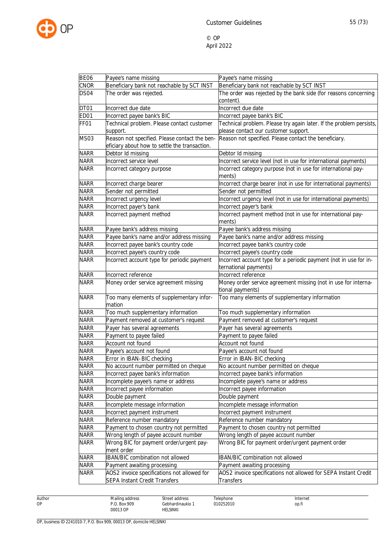

| <b>BE06</b> | Payee's name missing                                | Payee's name missing                                                               |
|-------------|-----------------------------------------------------|------------------------------------------------------------------------------------|
| <b>CNOR</b> | Beneficiary bank not reachable by SCT INST          | Beneficiary bank not reachable by SCT INST                                         |
| DS04        | The order was rejected.                             | The order was rejected by the bank side (for reasons concerning                    |
|             |                                                     | content).                                                                          |
| DT01        | Incorrect due date                                  | Incorrect due date                                                                 |
| ED01        | Incorrect payee bank's BIC                          | Incorrect payee bank's BIC                                                         |
| FF01        | Technical problem. Please contact customer          | Technical problem. Please try again later. If the problem persists,                |
|             | support.                                            | please contact our customer support.                                               |
| <b>MS03</b> | Reason not specified. Please contact the ben-       | Reason not specified. Please contact the beneficiary.                              |
|             | eficiary about how to settle the transaction.       |                                                                                    |
| <b>NARR</b> | Debtor Id missing                                   | Debtor Id missing                                                                  |
| <b>NARR</b> | Incorrect service level                             | Incorrect service level (not in use for international payments)                    |
| <b>NARR</b> | Incorrect category purpose                          | Incorrect category purpose (not in use for international pay-<br>ments)            |
| <b>NARR</b> | Incorrect charge bearer                             | Incorrect charge bearer (not in use for international payments)                    |
| <b>NARR</b> | Sender not permitted                                | Sender not permitted                                                               |
| <b>NARR</b> | Incorrect urgency level                             | Incorrect urgency level (not in use for international payments)                    |
| <b>NARR</b> | Incorrect payer's bank                              | Incorrect payer's bank                                                             |
| <b>NARR</b> | Incorrect payment method                            | Incorrect payment method (not in use for international pay-<br>ments)              |
| <b>NARR</b> | Payee bank's address missing                        | Payee bank's address missing                                                       |
| <b>NARR</b> | Payee bank's name and/or address missing            | Payee bank's name and/or address missing                                           |
| <b>NARR</b> | Incorrect payee bank's country code                 | Incorrect payee bank's country code                                                |
| <b>NARR</b> | Incorrect payee's country code                      | Incorrect payee's country code                                                     |
| <b>NARR</b> | Incorrect account type for periodic payment         | Incorrect account type for a periodic payment (not in use for in-                  |
|             |                                                     | ternational payments)                                                              |
| <b>NARR</b> | Incorrect reference                                 | Incorrect reference                                                                |
| <b>NARR</b> | Money order service agreement missing               | Money order service agreement missing (not in use for interna-<br>tional payments) |
| <b>NARR</b> | Too many elements of supplementary infor-<br>mation | Too many elements of supplementary information                                     |
| <b>NARR</b> | Too much supplementary information                  | Too much supplementary information                                                 |
| <b>NARR</b> | Payment removed at customer's request               | Payment removed at customer's request                                              |
| <b>NARR</b> | Payer has several agreements                        | Payer has several agreements                                                       |
| <b>NARR</b> | Payment to payee failed                             | Payment to payee failed                                                            |
| <b>NARR</b> | Account not found                                   | Account not found                                                                  |
| <b>NARR</b> | Payee's account not found                           | Payee's account not found                                                          |
| <b>NARR</b> | Error in IBAN-BIC checking                          | Error in IBAN-BIC checking                                                         |
| <b>NARR</b> | No account number permitted on cheque               | No account number permitted on cheque                                              |
| <b>NARR</b> | Incorrect payee bank's information                  | Incorrect payee bank's information                                                 |
| <b>NARR</b> | Incomplete payee's name or address                  | Incomplete payee's name or address                                                 |
| <b>NARR</b> | Incorrect payee information                         | Incorrect payee information                                                        |
| <b>NARR</b> | Double payment                                      | Double payment                                                                     |
| <b>NARR</b> | Incomplete message information                      | Incomplete message information                                                     |
| <b>NARR</b> | Incorrect payment instrument                        | Incorrect payment instrument                                                       |
| <b>NARR</b> | Reference number mandatory                          | Reference number mandatory                                                         |
| NARR        | Payment to chosen country not permitted             | Payment to chosen country not permitted                                            |
| <b>NARR</b> | Wrong length of payee account number                | Wrong length of payee account number                                               |
| <b>NARR</b> | Wrong BIC for payment order/urgent pay-             | Wrong BIC for payment order/urgent payment order                                   |
|             | ment order                                          |                                                                                    |
| <b>NARR</b> | <b>IBAN/BIC combination not allowed</b>             | IBAN/BIC combination not allowed                                                   |
| <b>NARR</b> | Payment awaiting processing                         | Payment awaiting processing                                                        |
| <b>NARR</b> | AOS2 invoice specifications not allowed for         | AOS2 invoice specifications not allowed for SEPA Instant Credit                    |
|             | <b>SEPA Instant Credit Transfers</b>                | <b>Transfers</b>                                                                   |

Author OP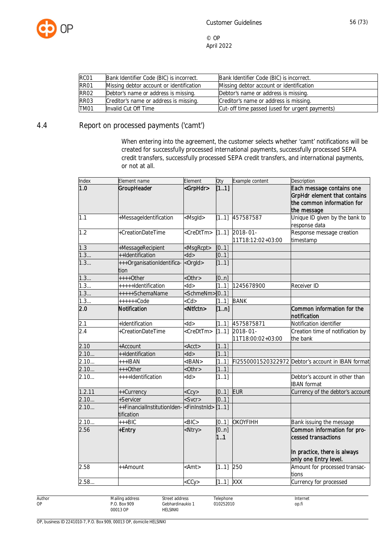

| RC01             | Bank Identifier Code (BIC) is incorrect. | Bank Identifier Code (BIC) is incorrect.       |
|------------------|------------------------------------------|------------------------------------------------|
| RR01             | Missing debtor account or identification | Missing debtor account or identification       |
| <b>RR02</b>      | Debtor's name or address is missing.     | Debtor's name or address is missing.           |
| RR <sub>03</sub> | Creditor's name or address is missing.   | Creditor's name or address is missing.         |
| TM01             | Invalid Cut Off Time                     | Cut-off time passed (used for urgent payments) |

## 4.4 Report on processed payments ('camt')

When entering into the agreement, the customer selects whether 'camt' notifications will be created for successfully processed international payments, successfully processed SEPA credit transfers, successfully processed SEPA credit transfers, and international payments, or not at all.

| Index  | Element name                                      | Element                   | Oty         | Example content                    | Description                                                                                                 |
|--------|---------------------------------------------------|---------------------------|-------------|------------------------------------|-------------------------------------------------------------------------------------------------------------|
| 1.0    | GroupHeader                                       | <grphdr></grphdr>         | [11]        |                                    | Each message contains one<br>GrpHdr element that contains<br>the common information for<br>the message      |
| 1.1    | +MessageIdentification                            | <msgld></msgld>           | [11]        | 457587587                          | Unique ID given by the bank to<br>response data                                                             |
| 1.2    | +CreationDateTime                                 | <credttm></credttm>       | [11]        | 2018-01-<br>11T18:12:02+03:00      | Response message creation<br>timestamp                                                                      |
| 1.3    | +MessageRecipient                                 | <msgrcpt></msgrcpt>       | [01]        |                                    |                                                                                                             |
| 1.3    | ++Identification                                  | $<$ ld>                   | [0.1]       |                                    |                                                                                                             |
| 1.3    | +++OrganisationIdentifica-<br><br>corgld><br>tion |                           | [11]        |                                    |                                                                                                             |
| 1.3    | $***+Other$                                       | $<$ Othr $>$              | [0n]        |                                    |                                                                                                             |
| 1.3    | +++++Identification                               | $<$ ld>                   | [11]        | 1245678900                         | Receiver ID                                                                                                 |
| 1.3    | +++++SchemaName                                   | <schmenm>[01]</schmenm>   |             |                                    |                                                                                                             |
| 1.3    | $+++++Code$                                       | $<$ Cd $>$                | 1.1         | <b>BANK</b>                        |                                                                                                             |
| 2.0    | Notification                                      | <ntfctn></ntfctn>         | [1n]        |                                    | Common information for the<br>notification                                                                  |
| 2.1    | +Identification                                   | $<$ ld>                   | [11]        | 4575875871                         | Notification identifier                                                                                     |
| 2.4    | +CreationDateTime                                 | <credttm></credttm>       | [11]        | $2018 - 01 -$<br>11T18:00:02+03:00 | Creation time of notification by<br>the bank                                                                |
| 2.10   | +Account                                          | <acct></acct>             | [11]        |                                    |                                                                                                             |
| 2.10   | ++Identification                                  | $<$ ld $>$                | [11]        |                                    |                                                                                                             |
| 2.10   | +++IBAN                                           | $<$ IBAN $>$              | 1.1         |                                    | FI2550001520322972 Debtor's account in IBAN format                                                          |
| 2.10   | +++0ther                                          | $<$ Othr $>$              | [11]        |                                    |                                                                                                             |
| 2.10   | ++++Identification                                | <ld></ld>                 | [11]        |                                    | Debtor's account in other than<br><b>IBAN</b> format                                                        |
| 1.2.11 | ++Currency                                        | $<$ Ccy $>$               | [0.1]       | <b>EUR</b>                         | Currency of the debtor's account                                                                            |
| 2.10   | +Servicer                                         | $<$ Svcr $>$              | [0.1]       |                                    |                                                                                                             |
| 2.10   | ++FinancialInstitutionIden-<br>tification         | <fininstnid></fininstnid> | [11]        |                                    |                                                                                                             |
| 2.10   | $***BIC$                                          | $\overline{\text{BIC}}$   | [0.1]       | <b>OKOYFIHH</b>                    | Bank issuing the message                                                                                    |
| 2.56   | +Entry                                            | <ntry></ntry>             | [0n]<br>1.1 |                                    | Common information for pro-<br>cessed transactions<br>In practice, there is always<br>only one Entry level. |
| 2.58   | ++Amount                                          | <amt></amt>               | [11]        | 250                                | Amount for processed transac-<br>tions                                                                      |
| 2.58   |                                                   | $<$ CCy $>$               | $[11]$ XXX  |                                    | Currency for processed                                                                                      |

Author OP

Street address Gebhardinaukio 1 Telephone 010252010

**HELSINKI**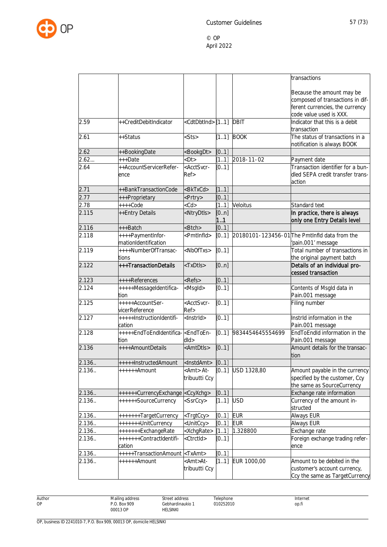

|        |                                                          |                                      |            |                     | transactions                                                                                                                |
|--------|----------------------------------------------------------|--------------------------------------|------------|---------------------|-----------------------------------------------------------------------------------------------------------------------------|
|        |                                                          |                                      |            |                     | Because the amount may be<br>composed of transactions in dif-<br>ferent currencies, the currency<br>code value used is XXX. |
| 2.59   | ++CreditDebitIndicator                                   | <cdtdbtind>[11]</cdtdbtind>          |            | <b>DBIT</b>         | Indicator that this is a debit<br>transaction                                                                               |
| 2.61   | ++Status                                                 | $<$ Sts>                             | [11]       | <b>BOOK</b>         | The status of transactions in a<br>notification is always BOOK                                                              |
| 2.62   | ++BookingDate                                            | <bookgdt></bookgdt>                  | [01]       |                     |                                                                                                                             |
| 2.62   | +++Date                                                  | <dt></dt>                            | [11]       | 2018-11-02          | Payment date                                                                                                                |
| 2.64   | ++AccountServicerRefer-<br>ence                          | <acctsvcr-<br>Ref</acctsvcr-<br>     | [0.1]      |                     | Transaction identifier for a bun-<br>dled SEPA credit transfer trans-<br>action                                             |
| 2.71   | ++BankTransactionCode                                    | <bktxcd></bktxcd>                    | [11]       |                     |                                                                                                                             |
| 2.77   | +++Proprietary                                           | <prtry></prtry>                      | [0.1]      |                     |                                                                                                                             |
| 2.78   | $***$ Code                                               | $<$ Cd $>$                           | 1.1        | Veloitus            | Standard text                                                                                                               |
| 2.115  | ++Entry Details                                          | <ntrydtls></ntrydtls>                | [0n]<br>11 |                     | In practice, there is always<br>only one Entry Details level                                                                |
| 2.116  | +++Batch                                                 | <btch></btch>                        | [0.1]      |                     |                                                                                                                             |
| 2.118  | ++++PaymentInfor-<br>mationIdentification                | <pmtlnfld></pmtlnfld>                | [0.1]      |                     | 20180101-123456-01 The PmtInfld data from the<br>pain.001' message                                                          |
| 2.119  | ++++NumberOfTransac-<br>tions                            | <nboftxs></nboftxs>                  | [0.1]      |                     | Total number of transactions in<br>the original payment batch                                                               |
| 2.122  | +++TransactionDetails                                    | <txdtls></txdtls>                    | [0n]       |                     | Details of an individual pro-<br>cessed transaction                                                                         |
| 2.123  | ++++References                                           | <refs></refs>                        | [0.1]      |                     |                                                                                                                             |
| 2.124  | +++++MessageIdentifica-<br>tion                          | <msgld></msgld>                      | [0.1]      |                     | Contents of Msgld data in<br>Pain.001 message                                                                               |
| 2.125  | +++++AccountSer-<br>vicerReference                       | <acctsvcr-<br>Ref&gt;</acctsvcr-<br> | [01]       |                     | Filing number                                                                                                               |
| 2.127  | +++++InstructionIdentifi-<br>cation                      | <lnstrld></lnstrld>                  | [01]       |                     | InstrId information in the<br>Pain.001 message                                                                              |
| 2.128  | +++++EndToEndIdentifica- <endtoen-<br>tion</endtoen-<br> | $d$ ld $>$                           | [0.1]      | 9834454645554699    | EndToEndId information in the<br>Pain.001 message                                                                           |
| 2.136  | ++++AmountDetails                                        | <amtdtls></amtdtls>                  | [0.1]      |                     | Amount details for the transac-<br>tion                                                                                     |
| 2.136. | +++++InstructedAmount                                    | <instdamt></instdamt>                | [01]       |                     |                                                                                                                             |
| 2.136  | ++++++Amount                                             | <amt> At-<br/>tribuutti Ccy</amt>    |            | $[0.1]$ USD 1328,80 | Amount payable in the currency<br>specified by the customer, Ccy<br>the same as SourceCurrency                              |
| 2.136  | ++++++CurrencyExchange <ccyxchg></ccyxchg>               |                                      | [01]       |                     | Exchange rate information                                                                                                   |
| 2.136. | ++++++SourceCurrency                                     | <ssrccy></ssrccy>                    | [11]       | <b>USD</b>          | Currency of the amount in-<br>structed                                                                                      |
| 2.136. | +++++++TargetCurrency                                    | <trgtccy></trgtccy>                  | [01]       | <b>EUR</b>          | Always EUR                                                                                                                  |
| 2.136. | +++++++UnitCurrency                                      | <unitccy></unitccy>                  | [0.1]      | <b>EUR</b>          | Always EUR                                                                                                                  |
| 2.136. | +++++++ExchangeRate                                      | <xchgrate></xchgrate>                | [11]       | 1.328800            | Exchange rate                                                                                                               |
| 2.136. | +++++++ContractIdentifi-<br>cation                       | <ctrctid></ctrctid>                  | [0.1]      |                     | Foreign exchange trading refer-<br>ence                                                                                     |
| 2.136  | +++++TransactionAmount <txamt></txamt>                   |                                      | [0.1]      |                     |                                                                                                                             |
| 2.136. | ++++++Amount                                             | <amt>At-<br/>tribuutti Ccy</amt>     | [11]       | EUR 1000,00         | Amount to be debited in the<br>customer's account currency,<br>Ccy the same as TargetCurrency                               |

Author OP

Street address

HELSINKI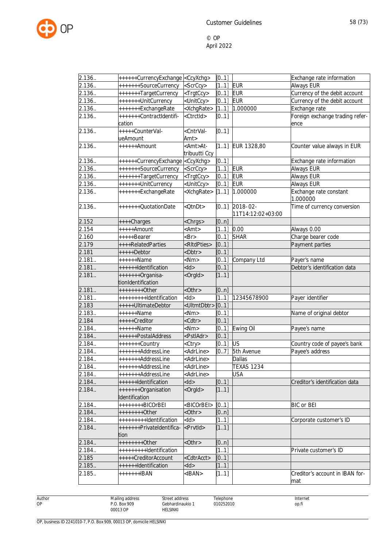

| 2.136  | ++++++CurrencyExchange <ccyxchg></ccyxchg> |                                                               | [0.1] |                   | Exchange rate information              |
|--------|--------------------------------------------|---------------------------------------------------------------|-------|-------------------|----------------------------------------|
| 2.136. | +++++++SourceCurrency                      | <scrccy></scrccy>                                             | [11]  | <b>EUR</b>        | Always EUR                             |
| 2.136  | +++++++TargetCurrency                      | <trgtccy></trgtccy>                                           | [0.1] | <b>EUR</b>        | Currency of the debit account          |
| 2.136. | +++++++UnitCurrency                        | <unitccy></unitccy>                                           | [0.1] | <b>EUR</b>        | Currency of the debit account          |
| 2.136. | +++++++ExchangeRate                        | <xchgrate></xchgrate>                                         | [11]  | 1.000000          | Exchange rate                          |
| 2.136. | +++++++ContractIdentifi-                   | <ctrctid></ctrctid>                                           | [0.1] |                   | Foreign exchange trading refer-        |
|        | cation                                     |                                                               |       |                   | ence                                   |
| 2.136. | +++++CounterVal-                           | <cntrval-< td=""><td>[0.1]</td><td></td><td></td></cntrval-<> | [0.1] |                   |                                        |
|        | ueAmount                                   | Amt                                                           |       |                   |                                        |
| 2.136  | ++++++Amount                               | <amt>At-<br/>tribuutti Ccy</amt>                              | [11]  | EUR 1328,80       | Counter value always in EUR            |
| 2.136. | ++++++CurrencyExchange <ccyxchg></ccyxchg> |                                                               | [01]  |                   | Exchange rate information              |
| 2.136. | +++++++SourceCurrency                      | $\overline{\le}$ ScrCcy>                                      | [11]  | <b>EUR</b>        | Always EUR                             |
| 2.136. | +++++++TargetCurrency                      | <trgtccy></trgtccy>                                           | [0.1] | <b>EUR</b>        | Always EUR                             |
| 2.136. | +++++++UnitCurrency                        | <unitccy></unitccy>                                           | [0.1] | <b>EUR</b>        | <b>Always EUR</b>                      |
| 2.136. | +++++++ExchangeRate                        | <xchgrate></xchgrate>                                         | [11]  | 1.000000          | Exchange rate constant<br>1.000000     |
| 2.136. | +++++++QuotationDate                       | <qtndt></qtndt>                                               | [0.1] | 2018-02-          | Time of currency conversion            |
|        |                                            |                                                               |       | 11T14:12:02+03:00 |                                        |
| 2.152  | ++++Charges                                | <chrgs></chrgs>                                               | [0n]  |                   |                                        |
| 2.154  | $+\cdots$ +++Amount                        | $<$ Amt $>$                                                   | 1.1   | 0.00              | Always 0.00                            |
| 2.160  | +++++Bearer                                | $\langle$ Br $>$                                              | [0.1] | <b>SHAR</b>       | Charge bearer code                     |
| 2.179  | ++++RelatedParties                         | <ritdpties></ritdpties>                                       | [01]  |                   | Payment parties                        |
| 2.181  | $++++-Dektor$                              | <dbtr></dbtr>                                                 | [0.1] |                   |                                        |
| 2.181. | ++++++Name                                 | $<$ Nm $>$                                                    | 0.1   | Company Ltd       | Payer's name                           |
| 2.181. | ++++++Identification                       | $<$ ld $>$                                                    | [0.1] |                   | Debtor's identification data           |
| 2.181. | +++++++Organisa-                           | <orgld></orgld>                                               | [11]  |                   |                                        |
|        | tionIdentification                         |                                                               |       |                   |                                        |
| 2.181. | ++++++++0ther                              | $<$ Othr $>$                                                  | [0n]  |                   |                                        |
| 2.181. | ++++++++++dentification                    | $<$ ld>                                                       | [11]  | 12345678900       | Payer identifier                       |
| 2.183  | +++++UltimateDebtor                        | <ultmtdbtr></ultmtdbtr>                                       | [01]  |                   |                                        |
| 2.183. | ++++++Name                                 | $<$ Nm $>$                                                    | [01]  |                   | Name of original debtor                |
| 2.184  | +++++Creditor                              | <cdtr></cdtr>                                                 | [01]  |                   |                                        |
| 2.184. | ++++++Name                                 | $<$ Nm $>$                                                    | [0.1] | Ewing Oil         | Payee's name                           |
| 2.184. | ++++++PostalAddress                        | <pstladr></pstladr>                                           | [01]  |                   |                                        |
| 2.184. | +++++++Country                             | <ctry></ctry>                                                 | [0.1] | <b>US</b>         | Country code of payee's bank           |
| 2.184. | +++++++AddressLine                         | <adrline></adrline>                                           | [07]  | 5th Avenue        | Payee's address                        |
| 2.184. | +++++++AddressLine                         | <adrline></adrline>                                           |       | <b>Dallas</b>     |                                        |
| 2.184. | +++++++AddressLine                         | <adrline></adrline>                                           |       | <b>TEXAS 1234</b> |                                        |
| 2.184  | +++++++AddressLine                         | <adrline></adrline>                                           |       | USA               |                                        |
| 2.184. | ++++++Identification                       | $<$ ld $>$                                                    | [0.1] |                   | Creditor's identification data         |
| 2.184. | +++++++Organisation                        | <orgld></orgld>                                               | [11]  |                   |                                        |
|        | Identification<br>++++++++BICOrBEI         |                                                               |       |                   |                                        |
| 2.184. |                                            | <bicorbei></bicorbei>                                         | [0.1] |                   | <b>BIC or BEI</b>                      |
| 2.184. | $++++++Other$                              | $<$ Othr $>$                                                  | [0n]  |                   |                                        |
| 2.184. | ++++++++++dentification                    | $<$ ld>                                                       | [11]  |                   | Corporate customer's ID                |
| 2.184. | +++++++PrivateIdentifica-<br>tion          | <prvtid></prvtid>                                             | [11]  |                   |                                        |
| 2.184. | $+++++0$ ther                              | $<$ Othr $>$                                                  | [0n]  |                   |                                        |
| 2.184. | ++++++++++dentification                    |                                                               | [11]  |                   | Private customer's ID                  |
| 2.185  | +++++CreditorAccount                       | <cdtracct></cdtracct>                                         | [0.1] |                   |                                        |
| 2.185. | ++++++Identification                       | $<$ ld>                                                       | [11]  |                   |                                        |
| 2.185. | +++++++IBAN                                | <iban></iban>                                                 | [11]  |                   | Creditor's account in IBAN for-<br>mat |
|        |                                            |                                                               |       |                   |                                        |

Author OP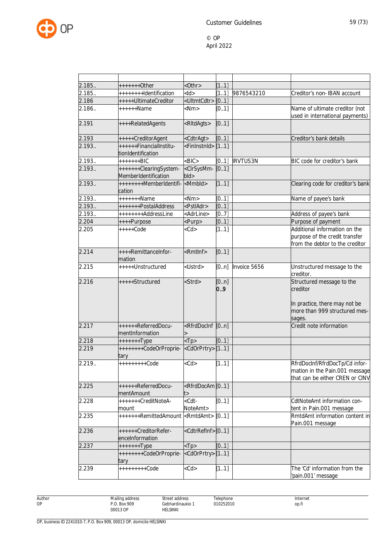

| 2.185  | $***+++O$ ther                                 | $<$ Othr $>$                                                                               | [11]        |                 |                                                                                                                   |
|--------|------------------------------------------------|--------------------------------------------------------------------------------------------|-------------|-----------------|-------------------------------------------------------------------------------------------------------------------|
| 2.185. | ++++++++Identification                         | $<$ ld>                                                                                    | [11]        | 9876543210      | Creditor's non-IBAN account                                                                                       |
| 2.186  | +++++UltimateCreditor                          | <ultmtcdtr>[01]</ultmtcdtr>                                                                |             |                 |                                                                                                                   |
| 2.186. | $++++$ -Mame                                   | $<$ Nm $>$                                                                                 | [01]        |                 | Name of ultimate creditor (not<br>used in international payments)                                                 |
| 2.191  | ++++RelatedAgents                              | <ritdagts></ritdagts>                                                                      | [01]        |                 |                                                                                                                   |
| 2.193  | +++++CreditorAgent                             | <cdtragt></cdtragt>                                                                        | [0.1]       |                 | Creditor's bank details                                                                                           |
| 2.193. | ++++++FinancialInstitu-<br>tionIdentification  | <fininstnid></fininstnid>                                                                  | [11]        |                 |                                                                                                                   |
| 2.193  | $+++++BIC$                                     | $<$ BIC $>$                                                                                | [01]        | <b>IRVTUS3N</b> | BIC code for creditor's bank                                                                                      |
| 2.193. | +++++++ClearingSystem-<br>MemberIdentification | <clrsysmm-<br><math>b</math>ld<math>&gt;</math></clrsysmm-<br>                             | [0.1]       |                 |                                                                                                                   |
| 2.193. | ++++++++MemberIdentifi-<br>cation              | <mmbld></mmbld>                                                                            | [11]        |                 | Clearing code for creditor's bank                                                                                 |
| 2.193  | +++++++Name                                    | $<$ Nm $>$                                                                                 | [0.1]       |                 | Name of payee's bank                                                                                              |
| 2.193  | +++++++PostalAddress                           | <pstladr></pstladr>                                                                        | [0.1]       |                 |                                                                                                                   |
| 2.193. | ++++++++AddressLine                            | <adrline></adrline>                                                                        | [07]        |                 | Address of payee's bank                                                                                           |
| 2.204  | ++++Purpose                                    | <purp></purp>                                                                              | [0.1]       |                 | Purpose of payment                                                                                                |
| 2.205  | $***+Code$                                     | $<$ Cd $>$                                                                                 | [11]        |                 | Additional information on the<br>purpose of the credit transfer<br>from the debtor to the creditor                |
| 2.214  | ++++RemittanceInfor-<br>mation                 | <rmtlnf></rmtlnf>                                                                          | [01]        |                 |                                                                                                                   |
| 2.215  | +++++Unstructured                              | <ustrd></ustrd>                                                                            | [0n]        | Invoice 5656    | Unstructured message to the<br>creditor.                                                                          |
| 2.216  | +++++Structured                                | <strd></strd>                                                                              | [0n]<br>0.9 |                 | Structured message to the<br>creditor<br>In practice, there may not be<br>more than 999 structured mes-<br>sages. |
| 2.217  | ++++++ReferredDocu-<br>mentInformation         | <rfrddocinf [0n]<="" td=""><td></td><td></td><td>Credit note information</td></rfrddocinf> |             |                 | Credit note information                                                                                           |
| 2.218  | $+++++Type$                                    | $<$ Tp $>$                                                                                 | [0.1]       |                 |                                                                                                                   |
| 2.219  | ++++++++CodeOrProprie-<br>tary                 | <cdorprtry>[11]</cdorprtry>                                                                |             |                 |                                                                                                                   |
| 2.219  | +++++++++Code                                  | $<$ Cd $>$                                                                                 | [11]        |                 | RfrdDocInf/RfrdDocTp/Cd infor-<br>mation in the Pain.001 message<br>that can be either CREN or CINV               |
| 2.225  | ++++++ReferredDocu-<br>mentAmount              | <rfrddocam [01]<br="">t&gt;</rfrddocam>                                                    |             |                 |                                                                                                                   |
| 2.228  | +++++++CreditNoteA-<br>mount                   | <cdt-<br>NoteAmt&gt;</cdt-<br>                                                             | [0.1]       |                 | CdtNoteAmt information con-<br>tent in Pain.001 message                                                           |
| 2.235  | +++++++RemittedAmount                          | <rmtdamt></rmtdamt>                                                                        | [0.1]       |                 | RmtdAmt information content in<br>Pain.001 message                                                                |
| 2.236  | ++++++CreditorRefer-<br>enceInformation        | <cdtrrefinf>[01]</cdtrrefinf>                                                              |             |                 |                                                                                                                   |
| 2.237  | $+++++T$ ype                                   | $<$ Tp>                                                                                    | [0.1]       |                 |                                                                                                                   |
|        | ++++++++CodeOrProprie-<br>tary                 | <cdorprtry>[11]</cdorprtry>                                                                |             |                 |                                                                                                                   |
| 2.239  | +++++++++Code                                  | $<$ Cd $>$                                                                                 | [11]        |                 | The 'Cd' information from the<br>'pain.001' message                                                               |

Author OP

Street address Gebhardinaukio 1 HELSINKI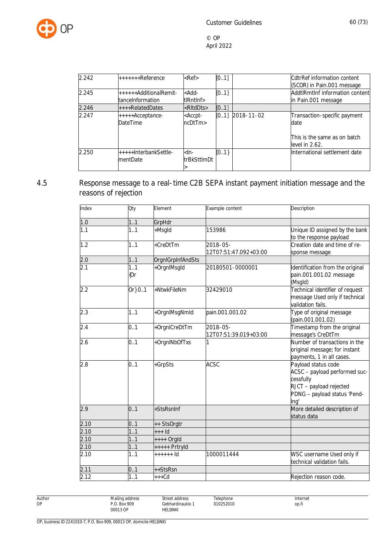

| 2.242 | +++++++Reference                           | $<$ Ref $>$                   | [0.1] |                    | <b>CdtrRef information content</b><br>(SCOR) in Pain.001 message                       |
|-------|--------------------------------------------|-------------------------------|-------|--------------------|----------------------------------------------------------------------------------------|
| 2.245 | ++++++AdditionalRemit-<br>tanceInformation | -Add-<br>tlRntlnf>            | [0.1] |                    | AddtlRmtInf information content<br>in Pain.001 message                                 |
| 2.246 | $+++$ RelatedDates                         | <ritddts></ritddts>           | [0.1] |                    |                                                                                        |
| 2.247 | $++++$ Acceptance-<br><b>DateTime</b>      | <accpt-<br>ncDtTm</accpt-<br> |       | $[0.1]$ 2018-11-02 | Transaction-specific payment<br>date<br>This is the same as on batch<br>level in 2.62. |
| 2.250 | +++++InterbankSettle-<br>mentDate          | -ln-<br>ltrBkSttImDt          | [01]  |                    | International settlement date                                                          |

# 4.5 Response message to a real-time C2B SEPA instant payment initiation message and the reasons of rejection

| Index | Oty        | Element           | Example content                   | Description                                                                                                                          |
|-------|------------|-------------------|-----------------------------------|--------------------------------------------------------------------------------------------------------------------------------------|
| 1.0   | 1.1        | GrpHdr            |                                   |                                                                                                                                      |
| 1.1   | 1.1        | +Msgld            | 153986                            | Unique ID assigned by the bank<br>to the response payload                                                                            |
| 1.2   | 1.1        | +CreDtTm          | 2018-05-<br>12T07:51:47.092+03:00 | Creation date and time of re-<br>sponse message                                                                                      |
| 2.0   | 1.1        | OrgnlGrpInfAndSts |                                   |                                                                                                                                      |
| 2.1   | 1.1<br>{Or | +OrgnlMsgld       | 20180501-0000001                  | Identification from the original<br>pain.001.001.02 message<br>(Msgld)                                                               |
| 2.2   | Or} 01     | +NtwkFileNm       | 32429010                          | Technical identifier of request<br>message Used only if technical<br>validation fails.                                               |
| 2.3   | 1.1        | +OrgnlMsgNmld     | pain.001.001.02                   | Type of original message<br>(pain.001.001.02)                                                                                        |
| 2.4   | 0.1        | +OrgnlCreDtTm     | 2018-05-<br>12T07:51:39.019+03:00 | Timestamp from the original<br>message's CreDtTm                                                                                     |
| 2.6   | 0.1        | +OrgnINbOfTxs     |                                   | Number of transactions in the<br>original message; for instant<br>payments, 1 in all cases.                                          |
| 2.8   | 0.1        | +GrpSts           | <b>ACSC</b>                       | Payload status code<br>ACSC - payload performed suc-<br>cessfully<br>RJCT - payload rejected<br>PDNG - payload status 'Pend-<br>ing' |
| 2.9   | 0.1        | +StsRsnInf        |                                   | More detailed description of<br>status data                                                                                          |
| 2.10  | 0.1        | ++ StsOrgtr       |                                   |                                                                                                                                      |
| 2.10  | 1.1        | $++$ Id           |                                   |                                                                                                                                      |
| 2.10  | 1.1        | ++++ Orgld        |                                   |                                                                                                                                      |
| 2.10  | 1.1        | +++++ Prtryld     |                                   |                                                                                                                                      |
| 2.10  | 1.1        | $++++$ 1d         | 1000011444                        | WSC username Used only if<br>technical validation fails.                                                                             |
| 2.11  | 0.1        | ++StsRsn          |                                   |                                                                                                                                      |
| 2.12  | 11         | $***$ Cd          |                                   | Rejection reason code.                                                                                                               |

Author OP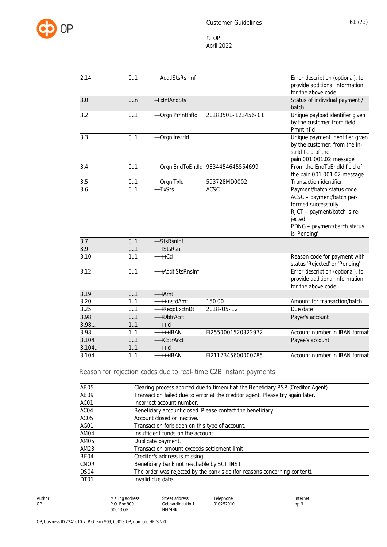

| 2.14  | 0.1 | ++AddtlStsRsnInf  |                                    | Error description (optional), to |
|-------|-----|-------------------|------------------------------------|----------------------------------|
|       |     |                   |                                    | provide additional information   |
|       |     |                   |                                    | for the above code               |
| 3.0   | 0.n | +TxInfAndSts      |                                    | Status of individual payment /   |
|       |     |                   |                                    | batch                            |
| 3.2   | 0.1 | ++OrgnlPmntInfld  | 20180501-123456-01                 | Unique payload identifier given  |
|       |     |                   |                                    | by the customer from field       |
|       |     |                   |                                    | PmntInfld                        |
| 3.3   | 0.1 | ++Orgnllnstrld    |                                    | Unique payment identifier given  |
|       |     |                   |                                    | by the customer: from the In-    |
|       |     |                   |                                    | strid field of the               |
|       |     |                   |                                    | pain.001.001.02 message          |
| 3.4   | 0.1 |                   | ++OrgnlEndToEndId 9834454645554699 | From the EndToEndId field of     |
|       |     |                   |                                    | the pain.001.001.02 message      |
| 3.5   | 0.1 | ++OrgnlTxld       | 593728MD0002                       | Transaction identifier           |
| 3.6   | 0.1 | ++TxSts           | <b>ACSC</b>                        | Payment/batch status code        |
|       |     |                   |                                    | ACSC - payment/batch per-        |
|       |     |                   |                                    | formed successfully              |
|       |     |                   |                                    | RJCT - payment/batch is re-      |
|       |     |                   |                                    | jected                           |
|       |     |                   |                                    | PDNG - payment/batch status      |
| 3.7   | 0.1 | ++StsRsnInf       |                                    | is 'Pending'                     |
| 3.9   | 0.1 | +++StsRsn         |                                    |                                  |
| 3.10  | 1.1 | $***+Cd$          |                                    | Reason code for payment with     |
|       |     |                   |                                    | status 'Rejected' or 'Pending'   |
| 3.12  | 0.1 | +++AddtlStsRnsInf |                                    | Error description (optional), to |
|       |     |                   |                                    | provide additional information   |
|       |     |                   |                                    | for the above code               |
| 3.19  | 0.1 | $***Amt$          |                                    |                                  |
| 3.20  | 1.1 | ++++InstdAmt      | 150.00                             | Amount for transaction/batch     |
| 3.25  | 0.1 | +++RegdExctnDt    | 2018-05-12                         | Due date                         |
| 3.98  | 0.1 | +++DbtrAcct       |                                    | Payer's account                  |
| 3.98  | 1.1 | $++++$            |                                    |                                  |
| 3.98  | 1.1 | +++++IBAN         | FI2550001520322972                 | Account number in IBAN format    |
| 3.104 | 0.1 | +++CdtrAcct       |                                    | Payee's account                  |
| 3.104 | 1.1 | $+++Id$           |                                    |                                  |
| 3.104 | 1.1 | +++++IBAN         | FI2112345600000785                 | Account number in IBAN format    |

Reason for rejection codes due to real-time C2B instant payments

Street address Gebhardinaukio 1 HELSINKI

| AB05             | Clearing process aborted due to timeout at the Beneficiary PSP (Creditor Agent). |
|------------------|----------------------------------------------------------------------------------|
| AB09             | Transaction failed due to error at the creditor agent. Please try again later.   |
| ACO1             | Incorrect account number.                                                        |
| ACO4             | Beneficiary account closed. Please contact the beneficiary.                      |
| AC <sub>05</sub> | Account closed or inactive.                                                      |
| AGO1             | Transaction forbidden on this type of account.                                   |
| AM04             | Insufficient funds on the account.                                               |
| AM05             | Duplicate payment.                                                               |
| AM23             | Transaction amount exceeds settlement limit.                                     |
| BE04             | Creditor's address is missing.                                                   |
| <b>CNOR</b>      | Beneficiary bank not reachable by SCT INST                                       |
| DS <sub>04</sub> | The order was rejected by the bank side (for reasons concerning content).        |
| DT <sub>01</sub> | Invalid due date.                                                                |

Author OP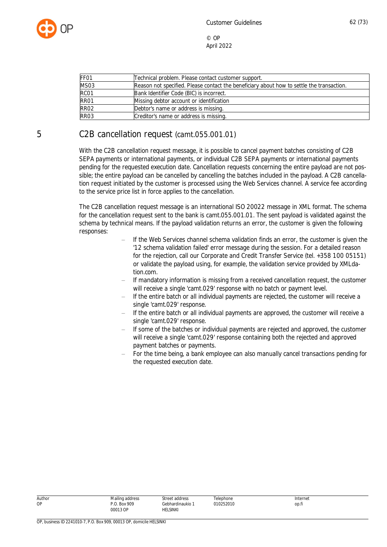

| FF <sub>01</sub> | Technical problem. Please contact customer support.                                       |
|------------------|-------------------------------------------------------------------------------------------|
| <b>MS03</b>      | Reason not specified. Please contact the beneficiary about how to settle the transaction. |
| RC01             | Bank Identifier Code (BIC) is incorrect.                                                  |
| RR01             | Missing debtor account or identification                                                  |
| RR <sub>02</sub> | Debtor's name or address is missing.                                                      |
| <b>RR03</b>      | Creditor's name or address is missing.                                                    |

# 5 C2B cancellation request (camt.055.001.01)

With the C2B cancellation request message, it is possible to cancel payment batches consisting of C2B SEPA payments or international payments, or individual C2B SEPA payments or international payments pending for the requested execution date. Cancellation requests concerning the entire payload are not possible; the entire payload can be cancelled by cancelling the batches included in the payload. A C2B cancellation request initiated by the customer is processed using the Web Services channel. A service fee according to the service price list in force applies to the cancellation.

The C2B cancellation request message is an international ISO 20022 message in XML format. The schema for the cancellation request sent to the bank is camt.055.001.01. The sent payload is validated against the schema by technical means. If the payload validation returns an error, the customer is given the following responses:

- If the Web Services channel schema validation finds an error, the customer is given the '12 schema validation failed' error message during the session. For a detailed reason for the rejection, call our Corporate and Credit Transfer Service (tel. +358 100 05151) or validate the payload using, for example, the validation service provided by XMLdation.com.
- If mandatory information is missing from a received cancellation request, the customer will receive a single 'camt.029' response with no batch or payment level.
- If the entire batch or all individual payments are rejected, the customer will receive a single 'camt.029' response.
- If the entire batch or all individual payments are approved, the customer will receive a single 'camt.029' response.
- $-$  If some of the batches or individual payments are rejected and approved, the customer will receive a single 'camt.029' response containing both the rejected and approved payment batches or payments.
- For the time being, a bank employee can also manually cancel transactions pending for the requested execution date.

| Author | Mailing address          | Street address               | Telephone | Internet |
|--------|--------------------------|------------------------------|-----------|----------|
| OP     | P.O. Box 909<br>00013 OP | Gebhardinaukio 1<br>HELSINKI | 010252010 | op.fi    |
|        |                          |                              |           |          |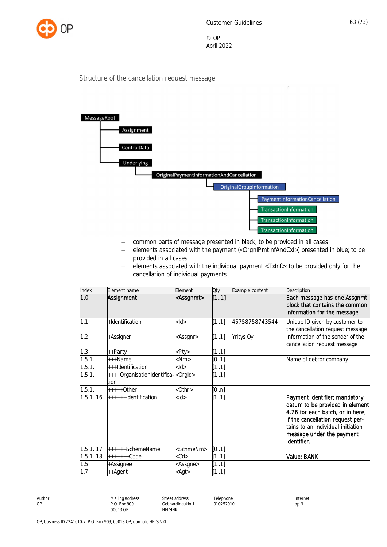

 $\overline{3}$ 

© OP April 2022

#### Structure of the cancellation request message



- common parts of message presented in black; to be provided in all cases
- elements associated with the payment (<OrgnlPmtInfAndCxl>) presented in blue; to be provided in all cases
- $-$  elements associated with the individual payment <TxInf>; to be provided only for the cancellation of individual payments

| Index    | Element name                                         | Element             | Qty   | Example content | Description                                                                                                                                                                                                               |
|----------|------------------------------------------------------|---------------------|-------|-----------------|---------------------------------------------------------------------------------------------------------------------------------------------------------------------------------------------------------------------------|
| 1.0      | Assignment                                           | <assgnmt></assgnmt> | [11]  |                 | Each message has one Assgnmt<br>block that contains the common<br>information for the message                                                                                                                             |
| 1.1      | +Identification                                      | <ld></ld>           | [11]  | 45758758743544  | Unique ID given by customer to<br>the cancellation request message                                                                                                                                                        |
| 1.2      | +Assigner                                            | <assgnr></assgnr>   | [11]  | Yritys Oy       | Information of the sender of the<br>cancellation request message                                                                                                                                                          |
| 1.3      | ++Party                                              | <pty></pty>         | [11]  |                 |                                                                                                                                                                                                                           |
| 1.5.1.   | +++Name                                              | $<$ Nm $>$          | [0.1] |                 | Name of debtor company                                                                                                                                                                                                    |
| 1.5.1.   | +++Identification                                    | <ld></ld>           | [11]  |                 |                                                                                                                                                                                                                           |
| 1.5.1.   | ++++OrganisationIdentifica- <orgid><br/>tion</orgid> |                     | [11]  |                 |                                                                                                                                                                                                                           |
| 1.5.1.   | $***+O$ ther                                         | $<$ Othr $>$        | [0n]  |                 |                                                                                                                                                                                                                           |
| 1.5.1.16 | ++++++Identification                                 | $<$ ld $>$          | [11]  |                 | Payment identifier; mandatory<br>datum to be provided in element<br>4.26 for each batch, or in here,<br>if the cancellation request per-<br>tains to an individual initiation<br>message under the payment<br>identifier. |
| 1.5.1.17 | ++++++SchemeName                                     | <schmenm></schmenm> | [0.1] |                 |                                                                                                                                                                                                                           |
| 1.5.1.18 | $+++++Code$                                          | <cd></cd>           | [11]  |                 | Value: BANK                                                                                                                                                                                                               |
| 1.5      | +Assignee                                            | <assgne></assgne>   | [11]  |                 |                                                                                                                                                                                                                           |
| 1.7      | ++Agent                                              | <agt></agt>         | [11]  |                 |                                                                                                                                                                                                                           |

Author Mailing address P.O. Box 909 00013 OP Street address Gebhardinaukio 1 **HELSINKI** Telephone 010252010 Internet op.fi

OP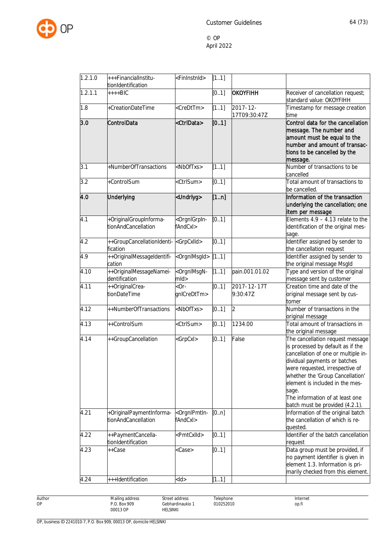

| 1.2.1.0 | +++FinancialInstitu-<br>tionIdentification      | <fininstnid></fininstnid>                                        | [11]  |                               |                                                                                                                                                                                                                                                                                                                                       |
|---------|-------------------------------------------------|------------------------------------------------------------------|-------|-------------------------------|---------------------------------------------------------------------------------------------------------------------------------------------------------------------------------------------------------------------------------------------------------------------------------------------------------------------------------------|
| 1.2.1.1 | $***BIC$                                        |                                                                  | [0.1] | OKOYFIHH                      | Receiver of cancellation request;<br>standard value: OKOYFIHH                                                                                                                                                                                                                                                                         |
| 1.8     | +CreationDateTime                               | <credttm></credttm>                                              | [11]  | $2017 - 12 -$<br>17T09:30:47Z | Timestamp for message creation<br>time                                                                                                                                                                                                                                                                                                |
| 3.0     | ControlData                                     | <ctrldata></ctrldata>                                            | [0.1] |                               | Control data for the cancellation<br>message. The number and<br>amount must be equal to the<br>number and amount of transac-<br>tions to be cancelled by the<br>message.                                                                                                                                                              |
| 3.1     | +NumberOfTransactions                           | <nboftxs></nboftxs>                                              | [11]  |                               | Number of transactions to be<br>cancelled                                                                                                                                                                                                                                                                                             |
| 3.2     | +ControlSum                                     | <ctrlsum></ctrlsum>                                              | [0.1] |                               | Total amount of transactions to<br>be cancelled.                                                                                                                                                                                                                                                                                      |
| 4.0     | Underlying                                      | <undrlyg></undrlyg>                                              | [1n]  |                               | Information of the transaction<br>underlying the cancellation; one<br>item per message                                                                                                                                                                                                                                                |
| 4.1     | +OriginalGroupInforma-<br>tionAndCancellation   | <orgnigrpin-<br>fAndCxl&gt;</orgnigrpin-<br>                     | [0.1] |                               | Elements $4.9 - 4.13$ relate to the<br>identification of the original mes-<br>sage.                                                                                                                                                                                                                                                   |
| 4.2     | fication                                        |                                                                  | [01]  |                               | Identifier assigned by sender to<br>the cancellation request                                                                                                                                                                                                                                                                          |
| 4.9     | ++OriginalMessageIdentifi-<br>cation            | <orgnlmsgld></orgnlmsgld>                                        | [11]  |                               | Identifier assigned by sender to<br>the original message Msgld                                                                                                                                                                                                                                                                        |
| 4.10    | ++OriginalMessageNamei-<br>dentification        | <orgnimsgn-<br><math>m</math>ld<math>&gt;</math></orgnimsgn-<br> | [11]  | pain.001.01.02                | Type and version of the original<br>message sent by customer                                                                                                                                                                                                                                                                          |
| 4.11    | ++OriginalCrea-<br>tionDateTime                 | $-0r-$<br>gnlCreDtTm>                                            | [01]  | 2017-12-17T<br>9:30:47Z       | Creation time and date of the<br>original message sent by cus-<br>tomer                                                                                                                                                                                                                                                               |
| 4.12    | ++NumberOfTransactions                          | <nboftxs></nboftxs>                                              | [0.1] | $\overline{2}$                | Number of transactions in the<br>original message                                                                                                                                                                                                                                                                                     |
| 4.13    | ++ControlSum                                    | <ctrlsum></ctrlsum>                                              | [01]  | 1234.00                       | Total amount of transactions in<br>the original message                                                                                                                                                                                                                                                                               |
| 4.14    | ++GroupCancellation                             | <grpcxl></grpcxl>                                                | [0.1] | False                         | The cancellation request message<br>is processed by default as if the<br>cancellation of one or multiple in-<br>dividual payments or batches<br>were requested, irrespective of<br>whether the 'Group Cancellation'<br>element is included in the mes-<br>sage.<br>The information of at least one<br>batch must be provided (4.2.1). |
| 4.21    | +OriginalPaymentInforma-<br>tionAndCancellation | <orgnipmtin-<br>fAndCxl&gt;</orgnipmtin-<br>                     | [0n]  |                               | Information of the original batch<br>the cancellation of which is re-<br>quested.                                                                                                                                                                                                                                                     |
| 4.22    | ++PaymentCancella-<br>tionIdentification        | <pmtcxlld></pmtcxlld>                                            | [0.1] |                               | Identifier of the batch cancellation<br>request                                                                                                                                                                                                                                                                                       |
| 4.23    | ++Case                                          | <case></case>                                                    | [0.1] |                               | Data group must be provided, if<br>no payment identifier is given in<br>element 1.3. Information is pri-<br>marily checked from this element.                                                                                                                                                                                         |
| 4.24    | +++Identification                               | $<$ ld $>$                                                       | [11]  |                               |                                                                                                                                                                                                                                                                                                                                       |
|         |                                                 |                                                                  |       |                               |                                                                                                                                                                                                                                                                                                                                       |

Author OP

Gebhardinaukio 1 Telephone 010252010

Street address

HELSINKI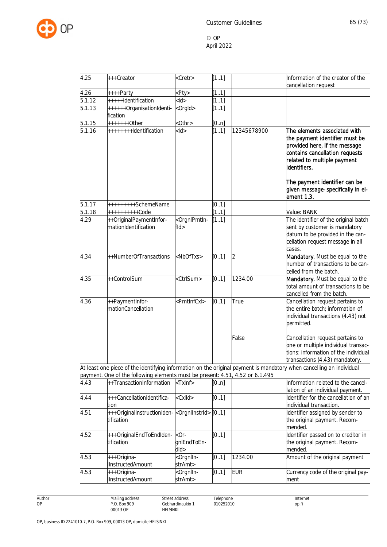

| 4.25   | +++Creator                                                                                                | <cretr></cretr>                          | [11]    |             | Information of the creator of the<br>cancellation request                                                                                                                        |
|--------|-----------------------------------------------------------------------------------------------------------|------------------------------------------|---------|-------------|----------------------------------------------------------------------------------------------------------------------------------------------------------------------------------|
| 4.26   | ++++Party                                                                                                 | <pty></pty>                              | $1.1$ ] |             |                                                                                                                                                                                  |
| 5.1.12 | +++++Identification                                                                                       | $<$ ld $>$                               | [11]    |             |                                                                                                                                                                                  |
| 5.1.13 | ++++++OrganisationIdenti-<br>fication                                                                     | <orgld></orgld>                          | [11]    |             |                                                                                                                                                                                  |
| 5.1.15 | +++++++0ther                                                                                              | <0thr>                                   | [0n]    |             |                                                                                                                                                                                  |
| 5.1.16 | ++++++++Identification                                                                                    | $<$ ld $>$                               | [11]    | 12345678900 | The elements associated with<br>the payment identifier must be<br>provided here, if the message<br>contains cancellation requests<br>related to multiple payment<br>identifiers. |
|        |                                                                                                           |                                          |         |             | The payment identifier can be<br>given message-specifically in el-<br>ement 1.3.                                                                                                 |
| 5.1.17 | +++++++++SchemeName                                                                                       |                                          | [01]    |             |                                                                                                                                                                                  |
| 5.1.18 | ++++++++++Code                                                                                            |                                          | [11]    |             | Value: BANK                                                                                                                                                                      |
| 4.29   | ++OriginalPaymentInfor-<br>mationIdentification                                                           | <orgnlpmtln-<br>fld&gt;</orgnlpmtln-<br> | [11]    |             | The identifier of the original batch<br>sent by customer is mandatory<br>datum to be provided in the can-<br>cellation request message in all<br>cases.                          |
| 4.34   | ++NumberOfTransactions                                                                                    | <nboftxs></nboftxs>                      | [0.1]   | 2           | Mandatory. Must be equal to the<br>number of transactions to be can-<br>celled from the batch.                                                                                   |
| 4.35   | ++ControlSum                                                                                              | <ctrlsum></ctrlsum>                      | [01]    | 1234.00     | Mandatory. Must be equal to the<br>total amount of transactions to be<br>cancelled from the batch.                                                                               |
| 4.36   | ++PaymentInfor-<br>mationCancellation                                                                     | <pmtlnfcxl></pmtlnfcxl>                  | [0.1]   | True        | Cancellation request pertains to<br>the entire batch; information of<br>individual transactions (4.43) not<br>permitted.                                                         |
|        |                                                                                                           |                                          |         | False       | Cancellation request pertains to<br>one or multiple individual transac-<br>tions: information of the individual<br>transactions (4.43) mandatory.                                |
|        |                                                                                                           |                                          |         |             | At least one piece of the identifying information on the original payment is mandatory when cancelling an individual                                                             |
| 4.43   | payment. One of the following elements must be present: 4.51, 4.52 or 6.1.495<br>++TransactionInformation | <txinf></txinf>                          | [0n]    |             | Information related to the cancel-<br>lation of an individual payment.                                                                                                           |
| 4.44   | +++CancellationIdentifica-<br>tion                                                                        | <cxlld></cxlld>                          | [01]    |             | Identifier for the cancellation of an<br>individual transaction.                                                                                                                 |
| 4.51   | +++OriginalInstructionIden-<br><br>corgnllnstrld<br>tification                                            |                                          | [01]    |             | Identifier assigned by sender to<br>the original payment. Recom-<br>mended.                                                                                                      |
| 4.52   | +++OriginalEndToEndIden-<br>tification                                                                    | $<$ Or $-$<br>gnlEndToEn-<br>dld>        | [01]    |             | Identifier passed on to creditor in<br>the original payment. Recom-<br>mended.                                                                                                   |
| 4.53   | +++Origina-<br><b>InstructedAmount</b>                                                                    | <orgnlln-<br>strAmt&gt;</orgnlln-<br>    | [0.1]   | 1234.00     | Amount of the original payment                                                                                                                                                   |
| 4.53   | +++Origina-<br><b>IInstructedAmount</b>                                                                   | <orgnlln-<br>strAmt&gt;</orgnlln-<br>    | [0.1]   | <b>EUR</b>  | Currency code of the original pay-<br>ment                                                                                                                                       |

Author OP

Street address Gebhardinaukio 1 HELSINKI

Telephone 010252010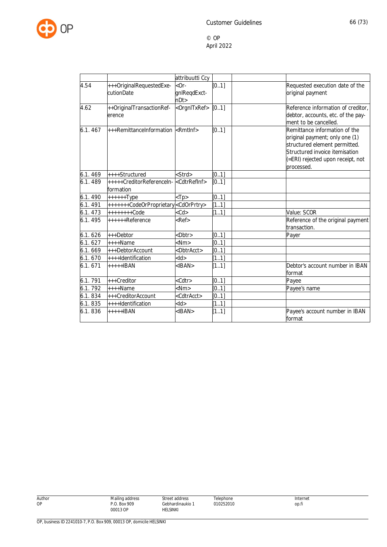

|         |                                                                   | attribuutti Ccy               |                   |                                                                                                                                                                                       |
|---------|-------------------------------------------------------------------|-------------------------------|-------------------|---------------------------------------------------------------------------------------------------------------------------------------------------------------------------------------|
| 4.54    | +++OriginalRequestedExe-<br>cutionDate                            | $-0r-$<br>gnlReqdExct-<br>nDt | $\overline{[01]}$ | Requested execution date of the<br>original payment                                                                                                                                   |
| 4.62    | ++OriginalTransactionRef-<br>erence                               | <orgnitxref></orgnitxref>     | [0.1]             | Reference information of creditor,<br>debtor, accounts, etc. of the pay-<br>ment to be cancelled.                                                                                     |
| 6.1.467 | +++RemittanceInformation <rmtinf></rmtinf>                        |                               | [0.1]             | Remittance information of the<br>original payment; only one (1)<br>structured element permitted.<br>Structured invoice itemisation<br>(=ERI) rejected upon receipt, not<br>processed. |
| 6.1.469 | ++++Structured                                                    | <strd></strd>                 | [0.1]             |                                                                                                                                                                                       |
| 6.1.489 | +++++CreditorReferenceIn- <cdtrrefinf><br/>formation</cdtrrefinf> |                               | [0.1]             |                                                                                                                                                                                       |
| 6.1.490 | $+++++Type$                                                       | $<$ Tp $>$                    | [0.1]             |                                                                                                                                                                                       |
| 6.1.491 | +++++++CodeOrProprietary <cdorprtry></cdorprtry>                  |                               | $\overline{[11]}$ |                                                                                                                                                                                       |
| 6.1.473 | $+++++Code$                                                       | $<$ Cd $>$                    | [11]              | Value: SCOR                                                                                                                                                                           |
| 6.1.495 | ++++++Reference                                                   | $Ref$                         |                   | Reference of the original payment<br>transaction.                                                                                                                                     |
| 6.1.626 | +++Debtor                                                         | <dbtr></dbtr>                 | [0.1]             | Payer                                                                                                                                                                                 |
| 6.1.627 | $***$ Name                                                        | $<$ Nm $>$                    | [0.1]             |                                                                                                                                                                                       |
| 6.1.669 | +++DebtorAccount                                                  | <dbtracct></dbtracct>         | [0.1]             |                                                                                                                                                                                       |
| 6.1.670 | ++++Identification                                                | $<$ ld $>$                    | [11]              |                                                                                                                                                                                       |
| 6.1.671 | $***+IBAN$                                                        | $<$ IBAN $>$                  | [11]              | Debtor's account number in IBAN<br>format                                                                                                                                             |
| 6.1.791 | +++Creditor                                                       | $<$ Cdtr $>$                  | [0.1]             | Payee                                                                                                                                                                                 |
| 6.1.792 | ++++Name                                                          | $<$ Nm $>$                    | [0.1]             | Payee's name                                                                                                                                                                          |
| 6.1.834 | +++CreditorAccount                                                | <cdtracct></cdtracct>         | [0.1]             |                                                                                                                                                                                       |
| 6.1.835 | ++++Identification                                                | $<$ ld $>$                    | [11]              |                                                                                                                                                                                       |
| 6.1.836 | $***+IBAN$                                                        | $<$ IBAN $>$                  | [11]              | Payee's account number in IBAN<br>format                                                                                                                                              |

| Author |
|--------|
| טו     |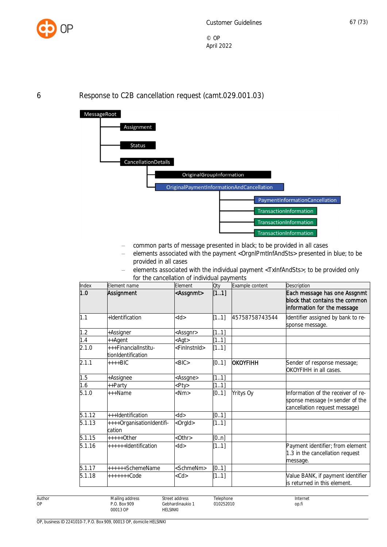

6 Response to C2B cancellation request (camt.029.001.03)



- common parts of message presented in black; to be provided in all cases
- elements associated with the payment <OrgnlPmtInfAndSts> presented in blue; to be provided in all cases
- elements associated with the individual payment <TxInfAndSts>; to be provided only for the cancellation of individual payments

| Index  | Element name                               | Element                   | Qty   | Example content  | Description                                                                                            |
|--------|--------------------------------------------|---------------------------|-------|------------------|--------------------------------------------------------------------------------------------------------|
| 1.0    | Assignment                                 | <assgnmt></assgnmt>       | [11]  |                  | Each message has one Assgnmt<br>block that contains the common<br>information for the message          |
| 1.1    | +Identification                            | $<$ ld $>$                | [11]  | 45758758743544   | Identifier assigned by bank to re-<br>sponse message.                                                  |
| 1.2    | +Assigner                                  | <assgnr></assgnr>         | [11]  |                  |                                                                                                        |
| 1.4    | ++Agent                                    | $<$ Agt $>$               | [11]  |                  |                                                                                                        |
| 2.1.0  | +++FinancialInstitu-<br>tionIdentification | <fininstnid></fininstnid> | [11]  |                  |                                                                                                        |
| 2.1.1  | ++++BIC                                    | $<$ BIC $>$               | [0.1] | OKOYFIHH         | Sender of response message;<br>OKOYFIHH in all cases.                                                  |
| 1.5    | +Assignee                                  | <assgne></assgne>         | [11]  |                  |                                                                                                        |
| 1.6    | ++Partv                                    | <pty></pty>               | [11]  |                  |                                                                                                        |
| 5.1.0  | +++Name                                    | <nm></nm>                 | [0.1] | <b>Yritys Oy</b> | Information of the receiver of re-<br>sponse message (= sender of the<br>cancellation request message) |
| 5.1.12 | +++Identification                          | $<$ ld $>$                | [01]  |                  |                                                                                                        |
| 5.1.13 | ++++OrganisationIdentifi-<br>cation        | <orgld></orgld>           | [11]  |                  |                                                                                                        |
| 5.1.15 | $***+O$ ther                               | $<$ Othr $>$              | [0n]  |                  |                                                                                                        |
| 5.1.16 | ++++++Identification                       | $<$ ld>                   | [11]  |                  | Payment identifier; from element<br>1.3 in the cancellation request<br>message.                        |
| 5.1.17 | ++++++SchemeName                           | <schmenm></schmenm>       | [0.1] |                  |                                                                                                        |
| 5.1.18 | $++++++Code$                               | $<$ Cd $>$                | [11]  |                  | Value BANK, if payment identifier<br>is returned in this element.                                      |

Author OP

Street address

**HELSINKI**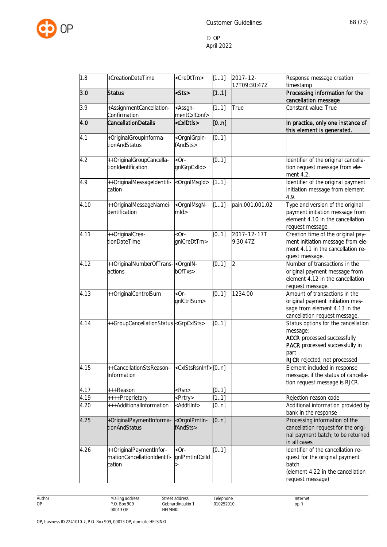

| 1.8  | +CreationDateTime                                                | <credttm></credttm>                                              | [11]  | $2017 - 12 -$<br>17T09:30:47Z | Response message creation<br>timestamp                                                                                                                                 |
|------|------------------------------------------------------------------|------------------------------------------------------------------|-------|-------------------------------|------------------------------------------------------------------------------------------------------------------------------------------------------------------------|
| 3.0  | <b>Status</b>                                                    | <sts></sts>                                                      | [11]  |                               | Processing information for the<br>cancellation message                                                                                                                 |
| 3.9  | +AssignmentCancellation-<br>Confirmation                         | <assgn-<br>mentCxIConf&gt;</assgn-<br>                           | [11]  | True                          | Constant value: True                                                                                                                                                   |
| 4.0  | <b>CancellationDetails</b>                                       | <cxidtis></cxidtis>                                              | [0n]  |                               | In practice, only one instance of<br>this element is generated.                                                                                                        |
| 4.1  | +OriginalGroupInforma-<br>tionAndStatus                          | <orgnigrpin-<br>fAndSts&gt;</orgnigrpin-<br>                     | [0.1] |                               |                                                                                                                                                                        |
| 4.2  | ++OriginalGroupCancella-<br>tionIdentification                   | $-$ or $-$<br>gnlGrpCxlld>                                       | [0.1] |                               | Identifier of the original cancella-<br>tion request message from ele-<br>ment 4.2.                                                                                    |
| 4.9  | ++OriginalMessageIdentifi-<br>cation                             | <orgnlmsgld></orgnlmsgld>                                        | [11]  |                               | Identifier of the original payment<br>initiation message from element<br>4.9.                                                                                          |
| 4.10 | ++OriginalMessageNamei-<br>dentification                         | <orgnimsgn-<br><math>m</math>ld<math>&gt;</math></orgnimsgn-<br> | [11]  | pain.001.001.02               | Type and version of the original<br>payment initiation message from<br>element 4.10 in the cancellation<br>request message.                                            |
| 4.11 | ++OriginalCrea-<br>tionDateTime                                  | $-$ or $-$<br>gnlCreDtTm>                                        | [01]  | 2017-12-17T<br>9:30:47Z       | Creation time of the original pay-<br>ment initiation message from ele-<br>ment 4.11 in the cancellation re-<br>quest message.                                         |
| 4.12 | ++OriginalNumberOfTrans- <orgnin-<br>actions</orgnin-<br>        | bOfTxs>                                                          | [0.1] | $\overline{2}$                | Number of transactions in the<br>original payment message from<br>element 4.12 in the cancellation<br>request message.                                                 |
| 4.13 | ++OriginalControlSum                                             | $-$ or $-$<br>gnlCtrlSum>                                        | [01]  | 1234.00                       | Amount of transactions in the<br>original payment initiation mes-<br>sage from element 4.13 in the<br>cancellation request message.                                    |
| 4.14 | ++GroupCancellationStatus <grpcxlsts></grpcxlsts>                |                                                                  | [01]  |                               | Status options for the cancellation<br>message:<br><b>ACCR</b> processed successfully<br><b>PACR</b> processed successfully in<br>part<br>RJCR rejected, not processed |
| 4.15 | ++CancellationStsReason-<br>Information                          | <cxlstsrsninf>[0n]</cxlstsrsninf>                                |       |                               | Element included in response<br>message, if the status of cancella-<br>tion request message is RJCR.                                                                   |
| 4.17 | +++Reason                                                        | <rsn></rsn>                                                      | [0.1] |                               |                                                                                                                                                                        |
| 4.19 | ++++Proprietary                                                  | <prtry></prtry>                                                  | [11]  |                               | Rejection reason code                                                                                                                                                  |
| 4.20 | +++AdditionalInformation                                         | <addtllnf></addtllnf>                                            | [0n]  |                               | Additional information provided by<br>bank in the response                                                                                                             |
| 4.25 | +OriginalPaymentInforma-<br>tionAndStatus                        | <orgnipmtin-<br>fAndSts&gt;</orgnipmtin-<br>                     | [0n]  |                               | Processing information of the<br>cancellation request for the origi-<br>nal payment batch; to be returned<br>in all cases                                              |
| 4.26 | ++OriginalPaymentInfor-<br>mationCancellationIdentifi-<br>cation | $-$ or $-$<br>gnlPmtInfCxlId                                     | [0.1] |                               | Identifier of the cancellation re-<br>quest for the original payment<br>batch<br>element 4.22 in the cancellation<br>request message)                                  |

Author OP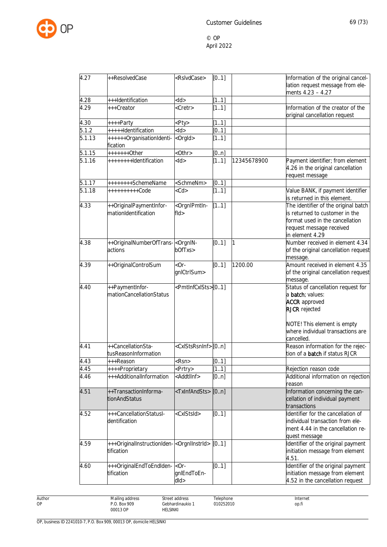

| 4.27                 | ++ResolvedCase                                                  | <rslvdcase></rslvdcase>                                            | [0.1] |             | Information of the original cancel-<br>lation request message from ele-<br>ments 4.23 - 4.27                                                                                       |
|----------------------|-----------------------------------------------------------------|--------------------------------------------------------------------|-------|-------------|------------------------------------------------------------------------------------------------------------------------------------------------------------------------------------|
| 4.28                 | +++Identification                                               | $<$ ld $>$                                                         | [11]  |             |                                                                                                                                                                                    |
| 4.29                 | +++Creator                                                      | <cretr></cretr>                                                    | [11]  |             | Information of the creator of the<br>original cancellation request                                                                                                                 |
| 4.30                 | ++++Party                                                       | <pty></pty>                                                        | [11]  |             |                                                                                                                                                                                    |
| 5.1.2                | +++++Identification                                             | $<$ ld $>$                                                         | [0.1] |             |                                                                                                                                                                                    |
| 5.1.13               | ++++++OrganisationIdenti-<br>fication                           | <orgld></orgld>                                                    | [11]  |             |                                                                                                                                                                                    |
| 5.1.15               | $+++++Other$                                                    | <0thr>                                                             | [0n]  |             |                                                                                                                                                                                    |
| $\overline{5.1}$ .16 | ++++++++Identification                                          | $<$ ld>                                                            | [11]  | 12345678900 | Payment identifier; from element<br>4.26 in the original cancellation<br>request message                                                                                           |
| 5.1.17               | ++++++++SchemeName                                              | <schmenm></schmenm>                                                | [0.1] |             |                                                                                                                                                                                    |
| 5.1.18               | ++++++++++Code                                                  | $<$ Cd $>$                                                         | [11]  |             | Value BANK, if payment identifier<br>is returned in this element.                                                                                                                  |
| 4.33                 | ++OriginalPaymentInfor-<br>mationIdentification                 | <orgnlpmtln-<br><math>f</math>ld<math>&gt;</math></orgnlpmtln-<br> | [11]  |             | The identifier of the original batch<br>is returned to customer in the<br>format used in the cancellation<br>request message received<br>in element 4.29                           |
| 4.38                 | ++OriginalNumberOfTrans- <orgnin-<br>actions</orgnin-<br>       | bOfTxs>                                                            | [0.1] | 1           | Number received in element 4.34<br>of the original cancellation request<br>message.                                                                                                |
| 4.39                 | ++OriginalControlSum                                            | $-0r-$<br>gnlCtrlSum>                                              | [01]  | 1200.00     | Amount received in element 4.35<br>of the original cancellation request<br>message.                                                                                                |
| 4.40                 | ++PaymentInfor-<br>mationCancellationStatus                     | <pmtinfcxists>[01]</pmtinfcxists>                                  |       |             | Status of cancellation request for<br>a <b>batch</b> ; values:<br><b>ACCR</b> approved<br><b>RJCR</b> rejected<br>NOTE! This element is empty<br>where individual transactions are |
|                      |                                                                 |                                                                    |       |             | cancelled.                                                                                                                                                                         |
| 4.41                 | ++CancellationSta-<br>tusReasonInformation                      | <cxlstsrsninf>[0n]</cxlstsrsninf>                                  |       |             | Reason information for the rejec-<br>tion of a <b>batch</b> if status RJCR                                                                                                         |
| 4.43                 | +++Reason                                                       | <rsn></rsn>                                                        | [0.1] |             |                                                                                                                                                                                    |
| 4.45                 | ++++Proprietary                                                 | <prtry></prtry>                                                    | [11]  |             | Rejection reason code                                                                                                                                                              |
| 4.46                 | +++AdditionalInformation                                        | <addtllnf></addtllnf>                                              | [0n]  |             | Additional information on rejection<br>reason                                                                                                                                      |
| 4.51                 | ++TransactionInforma-<br>tionAndStatus                          | <txinfandsts></txinfandsts>                                        | [0n]  |             | Information concerning the can-<br>cellation of individual payment<br>transactions                                                                                                 |
| 4.52                 | +++CancellationStatusl-<br>dentification                        | <cxlstsid></cxlstsid>                                              | [0.1] |             | Identifier for the cancellation of<br>individual transaction from ele-<br>ment 4.44 in the cancellation re-<br>quest message                                                       |
| 4.59                 | +++OriginalInstructionIden-<br><br>corgnllnstrld><br>tification |                                                                    | [01]  |             | Identifier of the original payment<br>initiation message from element<br>4.51.                                                                                                     |
| 4.60                 | +++OriginalEndToEndIden- <br-<br>tification</br-<br>            | gnlEndToEn-<br>dld>                                                | [0.1] |             | Identifier of the original payment<br>initiation message from element<br>4.52 in the cancellation request                                                                          |

Author OP

Street address Gebhardinaukio 1 HELSINKI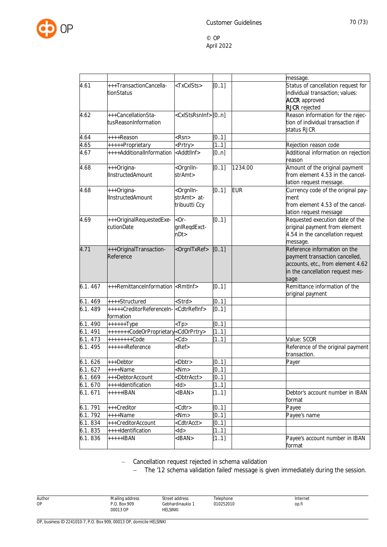

|          |                                                  |                                                                                                           |       |            | message.                                          |
|----------|--------------------------------------------------|-----------------------------------------------------------------------------------------------------------|-------|------------|---------------------------------------------------|
| 4.61     | +++TransactionCancella-                          | <txcxists></txcxists>                                                                                     | [0.1] |            | Status of cancellation request for                |
|          | tionStatus                                       |                                                                                                           |       |            | individual transaction; values:                   |
|          |                                                  |                                                                                                           |       |            | <b>ACCR</b> approved                              |
|          |                                                  |                                                                                                           |       |            | <b>RJCR</b> rejected                              |
| 4.62     | +++CancellationSta-                              | <cxlstsrsninf>[0n]</cxlstsrsninf>                                                                         |       |            | Reason information for the rejec-                 |
|          | tusReasonInformation                             |                                                                                                           |       |            | tion of individual transaction if                 |
|          |                                                  |                                                                                                           |       |            | status RJCR                                       |
| 4.64     | ++++Reason                                       | $<$ Rsn $>$                                                                                               | [0.1] |            |                                                   |
| 4.65     | +++++Proprietary                                 | <prtry></prtry>                                                                                           | [11]  |            | Rejection reason code                             |
| 4.67     | ++++AdditionalInformation                        | <addtllnf></addtllnf>                                                                                     | [0n]  |            | Additional information on rejection<br>reason     |
| 4.68     | +++Origina-                                      | <orgnlln-< td=""><td>[01]</td><td>1234.00</td><td>Amount of the original payment</td></orgnlln-<>         | [01]  | 1234.00    | Amount of the original payment                    |
|          | <b>IInstructedAmount</b>                         | strAmt>                                                                                                   |       |            | from element 4.53 in the cancel-                  |
|          |                                                  |                                                                                                           |       |            | lation request message.                           |
| 4.68     | +++Origina-                                      | <orgnlln-< td=""><td>[0.1]</td><td><b>EUR</b></td><td>Currency code of the original pay-</td></orgnlln-<> | [0.1] | <b>EUR</b> | Currency code of the original pay-                |
|          | <b>IInstructedAmount</b>                         | strAmt> at-                                                                                               |       |            | ment                                              |
|          |                                                  | tribuutti Ccy                                                                                             |       |            | from element 4.53 of the cancel-                  |
|          |                                                  |                                                                                                           |       |            | lation request message                            |
| 4.69     | +++OriginalRequestedExe-                         | $-$ or $-$                                                                                                | [0.1] |            | Requested execution date of the                   |
|          | cutionDate                                       | gnlReqdExct-                                                                                              |       |            | original payment from element                     |
|          |                                                  | nDt                                                                                                       |       |            | 4.54 in the cancellation request                  |
|          |                                                  |                                                                                                           |       |            | message.                                          |
| 4.71     | +++OriginalTransaction-                          | <orgnitxref></orgnitxref>                                                                                 | [0.1] |            | Reference information on the                      |
|          | Reference                                        |                                                                                                           |       |            | payment transaction cancelled,                    |
|          |                                                  |                                                                                                           |       |            | accounts, etc., from element 4.62                 |
|          |                                                  |                                                                                                           |       |            | in the cancellation request mes-                  |
|          |                                                  |                                                                                                           |       |            | sage                                              |
| 6.1.467  | +++RemittanceInformation                         | <rmtlnf></rmtlnf>                                                                                         | [0.1] |            | Remittance information of the                     |
|          |                                                  |                                                                                                           |       |            | original payment                                  |
| 6.1.469  | ++++Structured                                   | <strd></strd>                                                                                             | [01]  |            |                                                   |
| 6.1.489  | +++++CreditorReferenceIn-                        | <cdtrrefinf></cdtrrefinf>                                                                                 | [01]  |            |                                                   |
|          | formation                                        |                                                                                                           |       |            |                                                   |
| 6.1.490  | $+++++Type$                                      | $<$ Tp>                                                                                                   | [0.1] |            |                                                   |
| 6.1.491  | +++++++CodeOrProprietary <cdorprtry></cdorprtry> |                                                                                                           | [11]  |            |                                                   |
| 6.1.473  | ++++++++Code                                     | $<$ Cd $>$                                                                                                | [11]  |            | Value: SCOR                                       |
| 6.1.495  | ++++++Reference                                  | $Ref$                                                                                                     |       |            | Reference of the original payment<br>transaction. |
| 6.1.626  | +++Debtor                                        | <dbtr></dbtr>                                                                                             | [0.1] |            | Payer                                             |
| 6.1.627  | $++++Name$                                       | $<$ Nm $>$                                                                                                | [01]  |            |                                                   |
| 6.1.669  | +++DebtorAccount                                 | <dbtracct></dbtracct>                                                                                     | [01]  |            |                                                   |
| 6.1. 670 | ++++Identification                               | $<$ ld $>$                                                                                                | [11]  |            |                                                   |
| 6.1.671  | +++++IBAN                                        | $<$ IBAN $>$                                                                                              | [11]  |            | Debtor's account number in IBAN<br>format         |
| 6.1.791  | +++Creditor                                      | <cdtr></cdtr>                                                                                             | [01]  |            | Payee                                             |
| 6.1.792  | $***$ Name                                       | $<$ Nm $>$                                                                                                | [0.1] |            | Payee's name                                      |
| 6.1.834  | +++CreditorAccount                               | <cdtracct></cdtracct>                                                                                     | [01]  |            |                                                   |
| 6.1.835  | ++++Identification                               | <ld></ld>                                                                                                 | 1.1]  |            |                                                   |
| 6.1.836  | $***+IBAN$                                       | $<$ IBAN $>$                                                                                              | [11]  |            | Payee's account number in IBAN                    |
|          |                                                  |                                                                                                           |       |            | format                                            |

– Cancellation request rejected in schema validation

Street address Gebhardinaukio 1 **HELSINKI** 

- The '12 schema validation failed' message is given immediately during the session.

Author OP

Telephone 010252010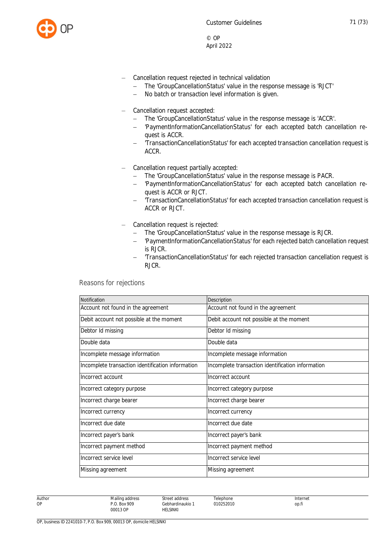

- Cancellation request rejected in technical validation
	- The 'GroupCancellationStatus' value in the response message is 'RJCT'
	- No batch or transaction level information is given.
- Cancellation request accepted:
	- The 'GroupCancellationStatus' value in the response message is 'ACCR'.
	- 'PaymentInformationCancellationStatus' for each accepted batch cancellation request is ACCR.
	- 'TransactionCancellationStatus' for each accepted transaction cancellation request is ACCR.
- Cancellation request partially accepted:
	- The 'GroupCancellationStatus' value in the response message is PACR.
	- 'PaymentInformationCancellationStatus' for each accepted batch cancellation request is ACCR or RJCT.
	- 'TransactionCancellationStatus' for each accepted transaction cancellation request is ACCR or RJCT.
- Cancellation request is rejected:
	- The 'GroupCancellationStatus' value in the response message is RJCR.
	- 'PaymentInformationCancellationStatus' for each rejected batch cancellation request is RJCR.
	- 'TransactionCancellationStatus' for each rejected transaction cancellation request is RJCR.

Reasons for rejections

| <b>Notification</b>                               | Description                                       |
|---------------------------------------------------|---------------------------------------------------|
| Account not found in the agreement                | Account not found in the agreement                |
| Debit account not possible at the moment          | Debit account not possible at the moment          |
| Debtor Id missing                                 | Debtor Id missing                                 |
| Double data                                       | Double data                                       |
| Incomplete message information                    | Incomplete message information                    |
| Incomplete transaction identification information | Incomplete transaction identification information |
| Incorrect account                                 | Incorrect account                                 |
| Incorrect category purpose                        | Incorrect category purpose                        |
| Incorrect charge bearer                           | Incorrect charge bearer                           |
| Incorrect currency                                | Incorrect currency                                |
| Incorrect due date                                | Incorrect due date                                |
| Incorrect payer's bank                            | Incorrect payer's bank                            |
| Incorrect payment method                          | Incorrect payment method                          |
| Incorrect service level                           | Incorrect service level                           |
| Missing agreement                                 | Missing agreement                                 |
|                                                   |                                                   |

Telephone 010252010

Author OP